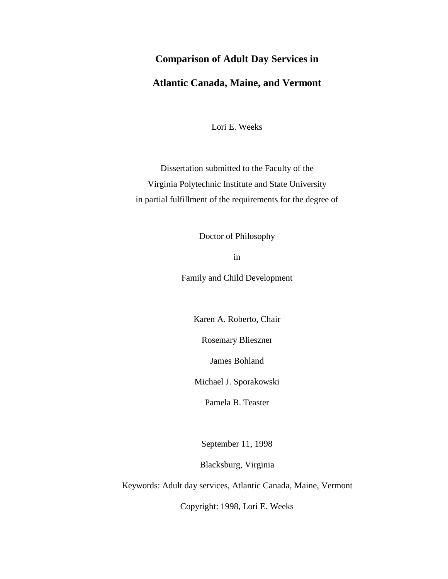# **Comparison of Adult Day Services in**

# **Atlantic Canada, Maine, and Vermont**

Lori E. Weeks

Dissertation submitted to the Faculty of the Virginia Polytechnic Institute and State University in partial fulfillment of the requirements for the degree of

Doctor of Philosophy

in

Family and Child Development

Karen A. Roberto, Chair

Rosemary Blieszner

James Bohland

Michael J. Sporakowski

Pamela B. Teaster

September 11, 1998

Blacksburg, Virginia

Keywords: Adult day services, Atlantic Canada, Maine, Vermont

Copyright: 1998, Lori E. Weeks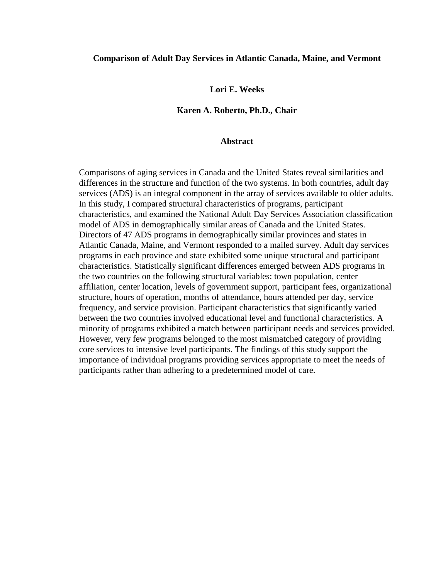# **Comparison of Adult Day Services in Atlantic Canada, Maine, and Vermont**

**Lori E. Weeks**

# **Karen A. Roberto, Ph.D., Chair**

### **Abstract**

Comparisons of aging services in Canada and the United States reveal similarities and differences in the structure and function of the two systems. In both countries, adult day services (ADS) is an integral component in the array of services available to older adults. In this study, I compared structural characteristics of programs, participant characteristics, and examined the National Adult Day Services Association classification model of ADS in demographically similar areas of Canada and the United States. Directors of 47 ADS programs in demographically similar provinces and states in Atlantic Canada, Maine, and Vermont responded to a mailed survey. Adult day services programs in each province and state exhibited some unique structural and participant characteristics. Statistically significant differences emerged between ADS programs in the two countries on the following structural variables: town population, center affiliation, center location, levels of government support, participant fees, organizational structure, hours of operation, months of attendance, hours attended per day, service frequency, and service provision. Participant characteristics that significantly varied between the two countries involved educational level and functional characteristics. A minority of programs exhibited a match between participant needs and services provided. However, very few programs belonged to the most mismatched category of providing core services to intensive level participants. The findings of this study support the importance of individual programs providing services appropriate to meet the needs of participants rather than adhering to a predetermined model of care.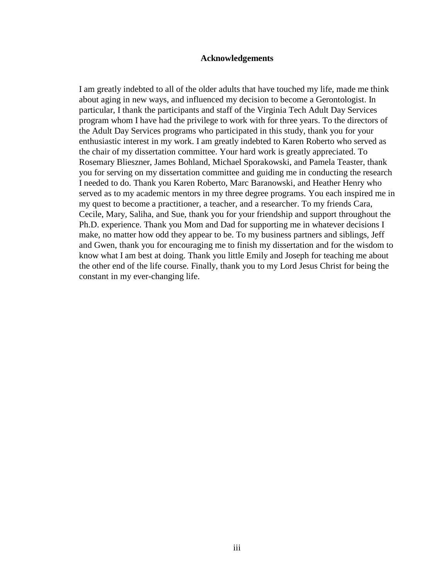### **Acknowledgements**

I am greatly indebted to all of the older adults that have touched my life, made me think about aging in new ways, and influenced my decision to become a Gerontologist. In particular, I thank the participants and staff of the Virginia Tech Adult Day Services program whom I have had the privilege to work with for three years. To the directors of the Adult Day Services programs who participated in this study, thank you for your enthusiastic interest in my work. I am greatly indebted to Karen Roberto who served as the chair of my dissertation committee. Your hard work is greatly appreciated. To Rosemary Blieszner, James Bohland, Michael Sporakowski, and Pamela Teaster, thank you for serving on my dissertation committee and guiding me in conducting the research I needed to do. Thank you Karen Roberto, Marc Baranowski, and Heather Henry who served as to my academic mentors in my three degree programs. You each inspired me in my quest to become a practitioner, a teacher, and a researcher. To my friends Cara, Cecile, Mary, Saliha, and Sue, thank you for your friendship and support throughout the Ph.D. experience. Thank you Mom and Dad for supporting me in whatever decisions I make, no matter how odd they appear to be. To my business partners and siblings, Jeff and Gwen, thank you for encouraging me to finish my dissertation and for the wisdom to know what I am best at doing. Thank you little Emily and Joseph for teaching me about the other end of the life course. Finally, thank you to my Lord Jesus Christ for being the constant in my ever-changing life.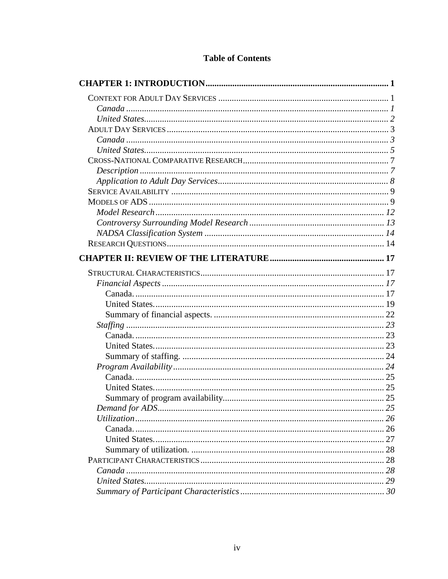# **Table of Contents**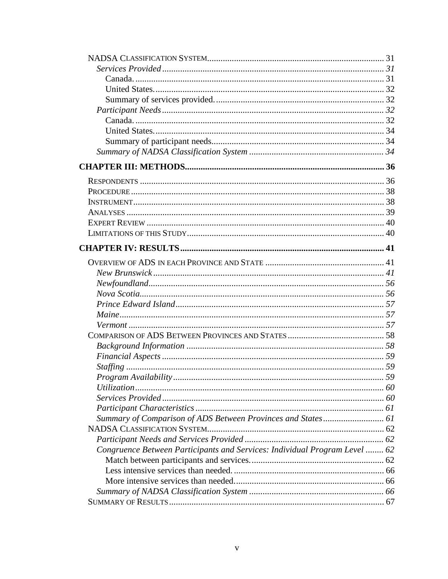| Summary of Comparison of ADS Between Provinces and States 61               |  |
|----------------------------------------------------------------------------|--|
|                                                                            |  |
|                                                                            |  |
| Congruence Between Participants and Services: Individual Program Level  62 |  |
|                                                                            |  |
|                                                                            |  |
|                                                                            |  |
|                                                                            |  |
|                                                                            |  |
|                                                                            |  |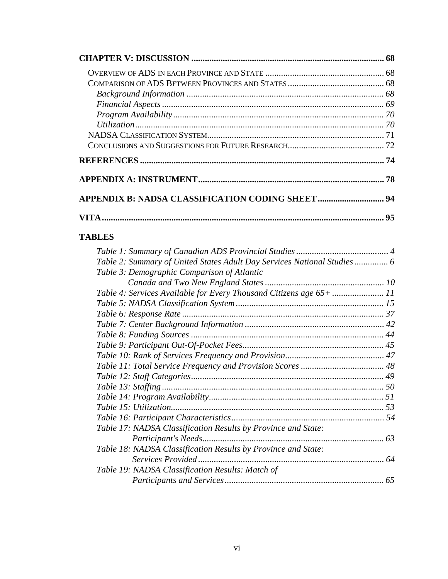| <b>TABLES</b> |  |
|---------------|--|

| Table 2: Summary of United States Adult Day Services National Studies 6 |    |
|-------------------------------------------------------------------------|----|
| Table 3: Demographic Comparison of Atlantic                             |    |
|                                                                         |    |
| Table 4: Services Available for Every Thousand Citizens age 65+  11     |    |
|                                                                         |    |
|                                                                         |    |
|                                                                         |    |
|                                                                         |    |
|                                                                         |    |
|                                                                         |    |
|                                                                         |    |
|                                                                         |    |
|                                                                         |    |
|                                                                         |    |
|                                                                         |    |
|                                                                         |    |
| Table 17: NADSA Classification Results by Province and State:           |    |
|                                                                         |    |
| Table 18: NADSA Classification Results by Province and State:           |    |
|                                                                         |    |
| Table 19: NADSA Classification Results: Match of                        |    |
|                                                                         | 65 |
|                                                                         |    |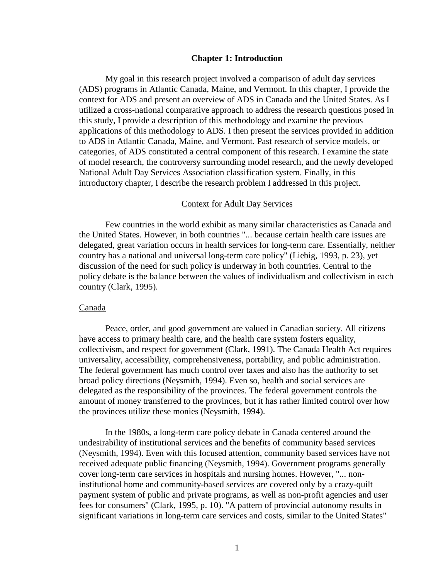#### **Chapter 1: Introduction**

My goal in this research project involved a comparison of adult day services (ADS) programs in Atlantic Canada, Maine, and Vermont. In this chapter, I provide the context for ADS and present an overview of ADS in Canada and the United States. As I utilized a cross-national comparative approach to address the research questions posed in this study, I provide a description of this methodology and examine the previous applications of this methodology to ADS. I then present the services provided in addition to ADS in Atlantic Canada, Maine, and Vermont. Past research of service models, or categories, of ADS constituted a central component of this research. I examine the state of model research, the controversy surrounding model research, and the newly developed National Adult Day Services Association classification system. Finally, in this introductory chapter, I describe the research problem I addressed in this project.

## Context for Adult Day Services

Few countries in the world exhibit as many similar characteristics as Canada and the United States. However, in both countries "... because certain health care issues are delegated, great variation occurs in health services for long-term care. Essentially, neither country has a national and universal long-term care policy" (Liebig, 1993, p. 23), yet discussion of the need for such policy is underway in both countries. Central to the policy debate is the balance between the values of individualism and collectivism in each country (Clark, 1995).

#### Canada

Peace, order, and good government are valued in Canadian society. All citizens have access to primary health care, and the health care system fosters equality, collectivism, and respect for government (Clark, 1991). The Canada Health Act requires universality, accessibility, comprehensiveness, portability, and public administration. The federal government has much control over taxes and also has the authority to set broad policy directions (Neysmith, 1994). Even so, health and social services are delegated as the responsibility of the provinces. The federal government controls the amount of money transferred to the provinces, but it has rather limited control over how the provinces utilize these monies (Neysmith, 1994).

In the 1980s, a long-term care policy debate in Canada centered around the undesirability of institutional services and the benefits of community based services (Neysmith, 1994). Even with this focused attention, community based services have not received adequate public financing (Neysmith, 1994). Government programs generally cover long-term care services in hospitals and nursing homes. However, "... noninstitutional home and community-based services are covered only by a crazy-quilt payment system of public and private programs, as well as non-profit agencies and user fees for consumers" (Clark, 1995, p. 10). "A pattern of provincial autonomy results in significant variations in long-term care services and costs, similar to the United States"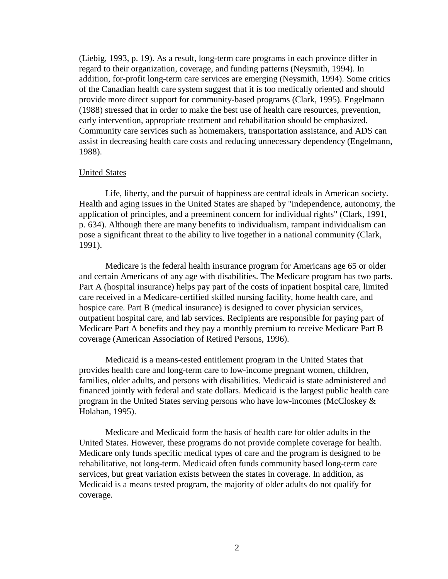(Liebig, 1993, p. 19). As a result, long-term care programs in each province differ in regard to their organization, coverage, and funding patterns (Neysmith, 1994). In addition, for-profit long-term care services are emerging (Neysmith, 1994). Some critics of the Canadian health care system suggest that it is too medically oriented and should provide more direct support for community-based programs (Clark, 1995). Engelmann (1988) stressed that in order to make the best use of health care resources, prevention, early intervention, appropriate treatment and rehabilitation should be emphasized. Community care services such as homemakers, transportation assistance, and ADS can assist in decreasing health care costs and reducing unnecessary dependency (Engelmann, 1988).

# United States

Life, liberty, and the pursuit of happiness are central ideals in American society. Health and aging issues in the United States are shaped by "independence, autonomy, the application of principles, and a preeminent concern for individual rights" (Clark, 1991, p. 634). Although there are many benefits to individualism, rampant individualism can pose a significant threat to the ability to live together in a national community (Clark, 1991).

Medicare is the federal health insurance program for Americans age 65 or older and certain Americans of any age with disabilities. The Medicare program has two parts. Part A (hospital insurance) helps pay part of the costs of inpatient hospital care, limited care received in a Medicare-certified skilled nursing facility, home health care, and hospice care. Part B (medical insurance) is designed to cover physician services, outpatient hospital care, and lab services. Recipients are responsible for paying part of Medicare Part A benefits and they pay a monthly premium to receive Medicare Part B coverage (American Association of Retired Persons, 1996).

Medicaid is a means-tested entitlement program in the United States that provides health care and long-term care to low-income pregnant women, children, families, older adults, and persons with disabilities. Medicaid is state administered and financed jointly with federal and state dollars. Medicaid is the largest public health care program in the United States serving persons who have low-incomes (McCloskey & Holahan, 1995).

Medicare and Medicaid form the basis of health care for older adults in the United States. However, these programs do not provide complete coverage for health. Medicare only funds specific medical types of care and the program is designed to be rehabilitative, not long-term. Medicaid often funds community based long-term care services, but great variation exists between the states in coverage. In addition, as Medicaid is a means tested program, the majority of older adults do not qualify for coverage.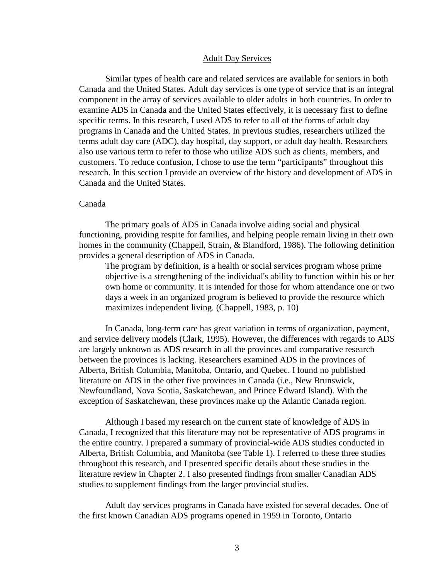#### Adult Day Services

Similar types of health care and related services are available for seniors in both Canada and the United States. Adult day services is one type of service that is an integral component in the array of services available to older adults in both countries. In order to examine ADS in Canada and the United States effectively, it is necessary first to define specific terms. In this research, I used ADS to refer to all of the forms of adult day programs in Canada and the United States. In previous studies, researchers utilized the terms adult day care (ADC), day hospital, day support, or adult day health. Researchers also use various term to refer to those who utilize ADS such as clients, members, and customers. To reduce confusion, I chose to use the term "participants" throughout this research. In this section I provide an overview of the history and development of ADS in Canada and the United States.

# Canada

The primary goals of ADS in Canada involve aiding social and physical functioning, providing respite for families, and helping people remain living in their own homes in the community (Chappell, Strain, & Blandford, 1986). The following definition provides a general description of ADS in Canada.

The program by definition, is a health or social services program whose prime objective is a strengthening of the individual's ability to function within his or her own home or community. It is intended for those for whom attendance one or two days a week in an organized program is believed to provide the resource which maximizes independent living. (Chappell, 1983, p. 10)

In Canada, long-term care has great variation in terms of organization, payment, and service delivery models (Clark, 1995). However, the differences with regards to ADS are largely unknown as ADS research in all the provinces and comparative research between the provinces is lacking. Researchers examined ADS in the provinces of Alberta, British Columbia, Manitoba, Ontario, and Quebec. I found no published literature on ADS in the other five provinces in Canada (i.e., New Brunswick, Newfoundland, Nova Scotia, Saskatchewan, and Prince Edward Island). With the exception of Saskatchewan, these provinces make up the Atlantic Canada region.

Although I based my research on the current state of knowledge of ADS in Canada, I recognized that this literature may not be representative of ADS programs in the entire country. I prepared a summary of provincial-wide ADS studies conducted in Alberta, British Columbia, and Manitoba (see Table 1). I referred to these three studies throughout this research, and I presented specific details about these studies in the literature review in Chapter 2. I also presented findings from smaller Canadian ADS studies to supplement findings from the larger provincial studies.

Adult day services programs in Canada have existed for several decades. One of the first known Canadian ADS programs opened in 1959 in Toronto, Ontario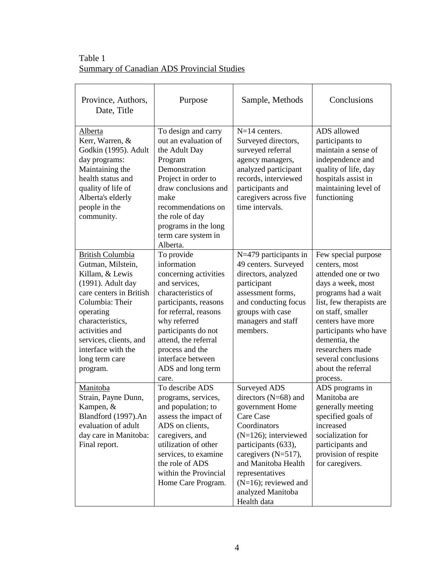Table 1 Summary of Canadian ADS Provincial Studies

| Province, Authors,<br>Date, Title                                                                                                                                                                                                                                   | Purpose                                                                                                                                                                                                                                                                          | Sample, Methods                                                                                                                                                                                                                                                           | Conclusions                                                                                                                                                                                                                                                                                          |
|---------------------------------------------------------------------------------------------------------------------------------------------------------------------------------------------------------------------------------------------------------------------|----------------------------------------------------------------------------------------------------------------------------------------------------------------------------------------------------------------------------------------------------------------------------------|---------------------------------------------------------------------------------------------------------------------------------------------------------------------------------------------------------------------------------------------------------------------------|------------------------------------------------------------------------------------------------------------------------------------------------------------------------------------------------------------------------------------------------------------------------------------------------------|
| Alberta<br>Kerr, Warren, &<br>Godkin (1995). Adult<br>day programs:<br>Maintaining the<br>health status and<br>quality of life of<br>Alberta's elderly<br>people in the<br>community.                                                                               | To design and carry<br>out an evaluation of<br>the Adult Day<br>Program<br>Demonstration<br>Project in order to<br>draw conclusions and<br>make<br>recommendations on<br>the role of day<br>programs in the long<br>term care system in<br>Alberta.                              | $N=14$ centers.<br>Surveyed directors,<br>surveyed referral<br>agency managers,<br>analyzed participant<br>records, interviewed<br>participants and<br>caregivers across five<br>time intervals.                                                                          | ADS allowed<br>participants to<br>maintain a sense of<br>independence and<br>quality of life, day<br>hospitals assist in<br>maintaining level of<br>functioning                                                                                                                                      |
| <b>British Columbia</b><br>Gutman, Milstein,<br>Killam, & Lewis<br>(1991). Adult day<br>care centers in British<br>Columbia: Their<br>operating<br>characteristics,<br>activities and<br>services, clients, and<br>interface with the<br>long term care<br>program. | To provide<br>information<br>concerning activities<br>and services,<br>characteristics of<br>participants, reasons<br>for referral, reasons<br>why referred<br>participants do not<br>attend, the referral<br>process and the<br>interface between<br>ADS and long term<br>care. | N=479 participants in<br>49 centers. Surveyed<br>directors, analyzed<br>participant<br>assessment forms,<br>and conducting focus<br>groups with case<br>managers and staff<br>members.                                                                                    | Few special purpose<br>centers, most<br>attended one or two<br>days a week, most<br>programs had a wait<br>list, few therapists are<br>on staff, smaller<br>centers have more<br>participants who have<br>dementia, the<br>researchers made<br>several conclusions<br>about the referral<br>process. |
| Manitoba<br>Strain, Payne Dunn,<br>Kampen, &<br>Blandford (1997).An<br>evaluation of adult<br>day care in Manitoba:<br>Final report.                                                                                                                                | To describe ADS<br>programs, services,<br>and population; to<br>assess the impact of<br>ADS on clients,<br>caregivers, and<br>utilization of other<br>services, to examine<br>the role of ADS<br>within the Provincial<br>Home Care Program.                                     | Surveyed ADS<br>directors (N=68) and<br>government Home<br>Care Case<br>Coordinators<br>$(N=126)$ ; interviewed<br>participants (633),<br>caregivers $(N=517)$ ,<br>and Manitoba Health<br>representatives<br>$(N=16)$ ; reviewed and<br>analyzed Manitoba<br>Health data | ADS programs in<br>Manitoba are<br>generally meeting<br>specified goals of<br>increased<br>socialization for<br>participants and<br>provision of respite<br>for caregivers.                                                                                                                          |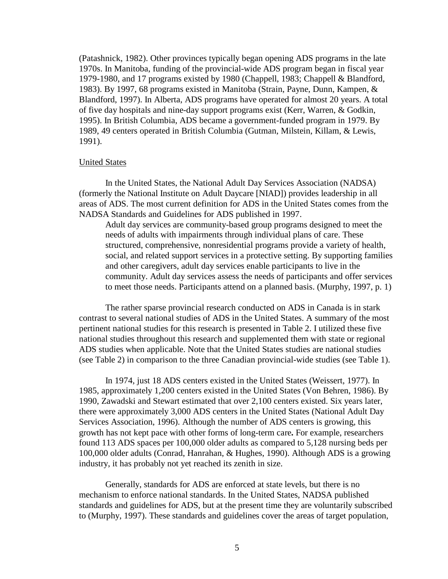(Patashnick, 1982). Other provinces typically began opening ADS programs in the late 1970s. In Manitoba, funding of the provincial-wide ADS program began in fiscal year 1979-1980, and 17 programs existed by 1980 (Chappell, 1983; Chappell & Blandford, 1983). By 1997, 68 programs existed in Manitoba (Strain, Payne, Dunn, Kampen, & Blandford, 1997). In Alberta, ADS programs have operated for almost 20 years. A total of five day hospitals and nine-day support programs exist (Kerr, Warren, & Godkin, 1995). In British Columbia, ADS became a government-funded program in 1979. By 1989, 49 centers operated in British Columbia (Gutman, Milstein, Killam, & Lewis, 1991).

### United States

In the United States, the National Adult Day Services Association (NADSA) (formerly the National Institute on Adult Daycare [NIAD]) provides leadership in all areas of ADS. The most current definition for ADS in the United States comes from the NADSA Standards and Guidelines for ADS published in 1997.

Adult day services are community-based group programs designed to meet the needs of adults with impairments through individual plans of care. These structured, comprehensive, nonresidential programs provide a variety of health, social, and related support services in a protective setting. By supporting families and other caregivers, adult day services enable participants to live in the community. Adult day services assess the needs of participants and offer services to meet those needs. Participants attend on a planned basis. (Murphy, 1997, p. 1)

The rather sparse provincial research conducted on ADS in Canada is in stark contrast to several national studies of ADS in the United States. A summary of the most pertinent national studies for this research is presented in Table 2. I utilized these five national studies throughout this research and supplemented them with state or regional ADS studies when applicable. Note that the United States studies are national studies (see Table 2) in comparison to the three Canadian provincial-wide studies (see Table 1).

In 1974, just 18 ADS centers existed in the United States (Weissert, 1977). In 1985, approximately 1,200 centers existed in the United States (Von Behren, 1986). By 1990, Zawadski and Stewart estimated that over 2,100 centers existed. Six years later, there were approximately 3,000 ADS centers in the United States (National Adult Day Services Association, 1996). Although the number of ADS centers is growing, this growth has not kept pace with other forms of long-term care**.** For example, researchers found 113 ADS spaces per 100,000 older adults as compared to 5,128 nursing beds per 100,000 older adults (Conrad, Hanrahan, & Hughes, 1990). Although ADS is a growing industry, it has probably not yet reached its zenith in size.

Generally, standards for ADS are enforced at state levels, but there is no mechanism to enforce national standards. In the United States, NADSA published standards and guidelines for ADS, but at the present time they are voluntarily subscribed to (Murphy, 1997). These standards and guidelines cover the areas of target population,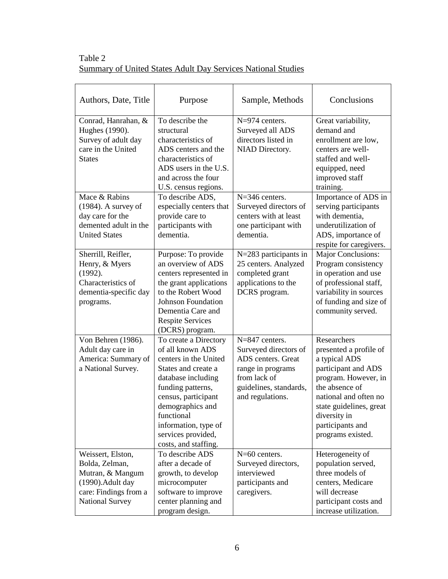| Table 2 |                                                              |
|---------|--------------------------------------------------------------|
|         | Summary of United States Adult Day Services National Studies |

| Authors, Date, Title                                                                                                            | Purpose                                                                                                                                                                                                                                                             | Sample, Methods                                                                                                                                    | Conclusions                                                                                                                                                                                                                          |
|---------------------------------------------------------------------------------------------------------------------------------|---------------------------------------------------------------------------------------------------------------------------------------------------------------------------------------------------------------------------------------------------------------------|----------------------------------------------------------------------------------------------------------------------------------------------------|--------------------------------------------------------------------------------------------------------------------------------------------------------------------------------------------------------------------------------------|
| Conrad, Hanrahan, &<br>Hughes (1990).<br>Survey of adult day<br>care in the United<br><b>States</b>                             | To describe the<br>structural<br>characteristics of<br>ADS centers and the<br>characteristics of<br>ADS users in the U.S.<br>and across the four<br>U.S. census regions.                                                                                            | $N=974$ centers.<br>Surveyed all ADS<br>directors listed in<br>NIAD Directory.                                                                     | Great variability,<br>demand and<br>enrollment are low,<br>centers are well-<br>staffed and well-<br>equipped, need<br>improved staff<br>training.                                                                                   |
| Mace & Rabins<br>$(1984)$ . A survey of<br>day care for the<br>demented adult in the<br><b>United States</b>                    | To describe ADS,<br>especially centers that<br>provide care to<br>participants with<br>dementia.                                                                                                                                                                    | $N=346$ centers.<br>Surveyed directors of<br>centers with at least<br>one participant with<br>dementia.                                            | Importance of ADS in<br>serving participants<br>with dementia.<br>underutilization of<br>ADS, importance of<br>respite for caregivers.                                                                                               |
| Sherrill, Reifler,<br>Henry, & Myers<br>(1992).<br>Characteristics of<br>dementia-specific day<br>programs.                     | Purpose: To provide<br>an overview of ADS<br>centers represented in<br>the grant applications<br>to the Robert Wood<br><b>Johnson Foundation</b><br>Dementia Care and<br><b>Respite Services</b><br>(DCRS) program.                                                 | N=283 participants in<br>25 centers. Analyzed<br>completed grant<br>applications to the<br>DCRS program.                                           | Major Conclusions:<br>Program consistency<br>in operation and use<br>of professional staff,<br>variability in sources<br>of funding and size of<br>community served.                                                                 |
| Von Behren (1986).<br>Adult day care in<br>America: Summary of<br>a National Survey.                                            | To create a Directory<br>of all known ADS<br>centers in the United<br>States and create a<br>database including<br>funding patterns,<br>census, participant<br>demographics and<br>functional<br>information, type of<br>services provided,<br>costs, and staffing. | $N=847$ centers.<br>Surveyed directors of<br>ADS centers. Great<br>range in programs<br>from lack of<br>guidelines, standards,<br>and regulations. | Researchers<br>presented a profile of<br>a typical ADS<br>participant and ADS<br>program. However, in<br>the absence of<br>national and often no<br>state guidelines, great<br>diversity in<br>participants and<br>programs existed. |
| Weissert, Elston,<br>Bolda, Zelman,<br>Mutran, & Mangum<br>(1990). Adult day<br>care: Findings from a<br><b>National Survey</b> | To describe ADS<br>after a decade of<br>growth, to develop<br>microcomputer<br>software to improve<br>center planning and<br>program design.                                                                                                                        | $N=60$ centers.<br>Surveyed directors,<br>interviewed<br>participants and<br>caregivers.                                                           | Heterogeneity of<br>population served,<br>three models of<br>centers, Medicare<br>will decrease<br>participant costs and<br>increase utilization.                                                                                    |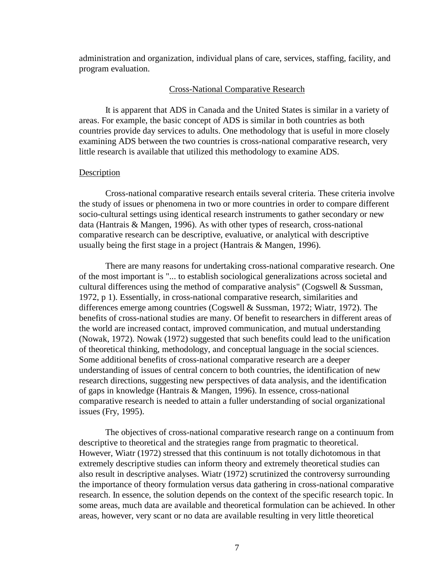administration and organization, individual plans of care, services, staffing, facility, and program evaluation.

# Cross-National Comparative Research

It is apparent that ADS in Canada and the United States is similar in a variety of areas. For example, the basic concept of ADS is similar in both countries as both countries provide day services to adults. One methodology that is useful in more closely examining ADS between the two countries is cross-national comparative research, very little research is available that utilized this methodology to examine ADS.

# **Description**

Cross-national comparative research entails several criteria. These criteria involve the study of issues or phenomena in two or more countries in order to compare different socio-cultural settings using identical research instruments to gather secondary or new data (Hantrais & Mangen, 1996). As with other types of research, cross-national comparative research can be descriptive, evaluative, or analytical with descriptive usually being the first stage in a project (Hantrais & Mangen, 1996).

There are many reasons for undertaking cross-national comparative research. One of the most important is "... to establish sociological generalizations across societal and cultural differences using the method of comparative analysis" (Cogswell  $\&$  Sussman, 1972, p 1). Essentially, in cross-national comparative research, similarities and differences emerge among countries (Cogswell & Sussman, 1972; Wiatr, 1972). The benefits of cross-national studies are many. Of benefit to researchers in different areas of the world are increased contact, improved communication, and mutual understanding (Nowak, 1972). Nowak (1972) suggested that such benefits could lead to the unification of theoretical thinking, methodology, and conceptual language in the social sciences. Some additional benefits of cross-national comparative research are a deeper understanding of issues of central concern to both countries, the identification of new research directions, suggesting new perspectives of data analysis, and the identification of gaps in knowledge (Hantrais & Mangen, 1996). In essence, cross-national comparative research is needed to attain a fuller understanding of social organizational issues (Fry, 1995).

The objectives of cross-national comparative research range on a continuum from descriptive to theoretical and the strategies range from pragmatic to theoretical. However, Wiatr (1972) stressed that this continuum is not totally dichotomous in that extremely descriptive studies can inform theory and extremely theoretical studies can also result in descriptive analyses. Wiatr (1972) scrutinized the controversy surrounding the importance of theory formulation versus data gathering in cross-national comparative research. In essence, the solution depends on the context of the specific research topic. In some areas, much data are available and theoretical formulation can be achieved. In other areas, however, very scant or no data are available resulting in very little theoretical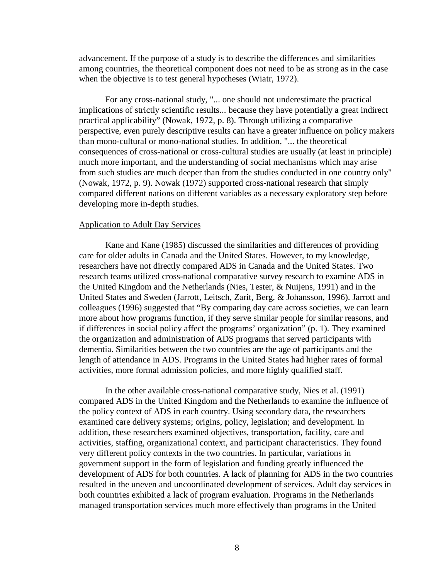advancement. If the purpose of a study is to describe the differences and similarities among countries, the theoretical component does not need to be as strong as in the case when the objective is to test general hypotheses (Wiatr, 1972).

For any cross-national study, "... one should not underestimate the practical implications of strictly scientific results... because they have potentially a great indirect practical applicability" (Nowak, 1972, p. 8). Through utilizing a comparative perspective, even purely descriptive results can have a greater influence on policy makers than mono-cultural or mono-national studies. In addition, "... the theoretical consequences of cross-national or cross-cultural studies are usually (at least in principle) much more important, and the understanding of social mechanisms which may arise from such studies are much deeper than from the studies conducted in one country only" (Nowak, 1972, p. 9). Nowak (1972) supported cross-national research that simply compared different nations on different variables as a necessary exploratory step before developing more in-depth studies.

## Application to Adult Day Services

Kane and Kane (1985) discussed the similarities and differences of providing care for older adults in Canada and the United States. However, to my knowledge, researchers have not directly compared ADS in Canada and the United States. Two research teams utilized cross-national comparative survey research to examine ADS in the United Kingdom and the Netherlands (Nies, Tester, & Nuijens, 1991) and in the United States and Sweden (Jarrott, Leitsch, Zarit, Berg, & Johansson, 1996). Jarrott and colleagues (1996) suggested that "By comparing day care across societies, we can learn more about how programs function, if they serve similar people for similar reasons, and if differences in social policy affect the programs' organization" (p. 1). They examined the organization and administration of ADS programs that served participants with dementia. Similarities between the two countries are the age of participants and the length of attendance in ADS. Programs in the United States had higher rates of formal activities, more formal admission policies, and more highly qualified staff.

In the other available cross-national comparative study, Nies et al. (1991) compared ADS in the United Kingdom and the Netherlands to examine the influence of the policy context of ADS in each country. Using secondary data, the researchers examined care delivery systems; origins, policy, legislation; and development. In addition, these researchers examined objectives, transportation, facility, care and activities, staffing, organizational context, and participant characteristics. They found very different policy contexts in the two countries. In particular, variations in government support in the form of legislation and funding greatly influenced the development of ADS for both countries. A lack of planning for ADS in the two countries resulted in the uneven and uncoordinated development of services. Adult day services in both countries exhibited a lack of program evaluation. Programs in the Netherlands managed transportation services much more effectively than programs in the United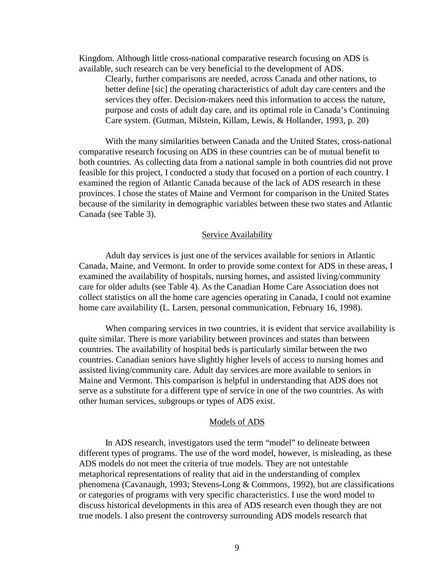Kingdom. Although little cross-national comparative research focusing on ADS is available, such research can be very beneficial to the development of ADS.

Clearly, further comparisons are needed, across Canada and other nations, to better define [sic] the operating characteristics of adult day care centers and the services they offer. Decision-makers need this information to access the nature, purpose and costs of adult day care, and its optimal role in Canada's Continuing Care system. (Gutman, Milstein, Killam, Lewis, & Hollander, 1993, p. 20)

With the many similarities between Canada and the United States, cross-national comparative research focusing on ADS in these countries can be of mutual benefit to both countries. As collecting data from a national sample in both countries did not prove feasible for this project, I conducted a study that focused on a portion of each country. I examined the region of Atlantic Canada because of the lack of ADS research in these provinces. I chose the states of Maine and Vermont for comparison in the United States because of the similarity in demographic variables between these two states and Atlantic Canada (see Table 3).

#### **Service Availability**

Adult day services is just one of the services available for seniors in Atlantic Canada, Maine, and Vermont. In order to provide some context for ADS in these areas, I examined the availability of hospitals, nursing homes, and assisted living/community care for older adults (see Table 4). As the Canadian Home Care Association does not collect statistics on all the home care agencies operating in Canada, I could not examine home care availability (L. Larsen, personal communication, February 16, 1998).

When comparing services in two countries, it is evident that service availability is quite similar. There is more variability between provinces and states than between countries. The availability of hospital beds is particularly similar between the two countries. Canadian seniors have slightly higher levels of access to nursing homes and assisted living/community care. Adult day services are more available to seniors in Maine and Vermont. This comparison is helpful in understanding that ADS does not serve as a substitute for a different type of service in one of the two countries. As with other human services, subgroups or types of ADS exist.

#### Models of ADS

In ADS research, investigators used the term "model" to delineate between different types of programs. The use of the word model, however, is misleading, as these ADS models do not meet the criteria of true models. They are not untestable metaphorical representations of reality that aid in the understanding of complex phenomena (Cavanaugh, 1993; Stevens-Long & Commons, 1992), but are classifications or categories of programs with very specific characteristics. I use the word model to discuss historical developments in this area of ADS research even though they are not true models. I also present the controversy surrounding ADS models research that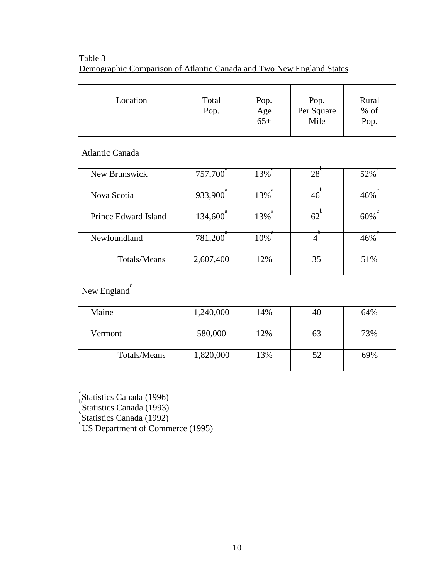Table 3 Demographic Comparison of Atlantic Canada and Two New England States

| Location               | Total<br>Pop.        | Pop.<br>Age<br>$65+$ | Pop.<br>Per Square<br>Mile | Rural<br>$%$ of<br>Pop. |
|------------------------|----------------------|----------------------|----------------------------|-------------------------|
| <b>Atlantic Canada</b> |                      |                      |                            |                         |
| New Brunswick          | 757,700 <sup>"</sup> | 13%                  | $28^{\degree}$             | 52%                     |
| Nova Scotia            | $933,900^4$          | $13\overline{\%}$    | $\overline{46}^{\circ}$    | $46\%$                  |
| Prince Edward Island   | $134,600^{\degree}$  | $13\%$ <sup>a</sup>  | $62^{\circ}$               | $60\%$                  |
| Newfoundland           | 781,200 <sup>"</sup> | $10\%$               | $\overline{4}^e$           | 46%                     |
| <b>Totals/Means</b>    | 2,607,400            | 12%                  | 35                         | 51%                     |
| New England            |                      |                      |                            |                         |
| Maine                  | 1,240,000            | 14%                  | 40                         | 64%                     |
| Vermont                | 580,000              | 12%                  | 63                         | 73%                     |
| <b>Totals/Means</b>    | 1,820,000            | 13%                  | 52                         | 69%                     |

 $\int_{b}^{a}$ Statistics Canada (1996)

estatistics Canada (1993)<br>Statistics Canada (1992)<br>d

US Department of Commerce (1995)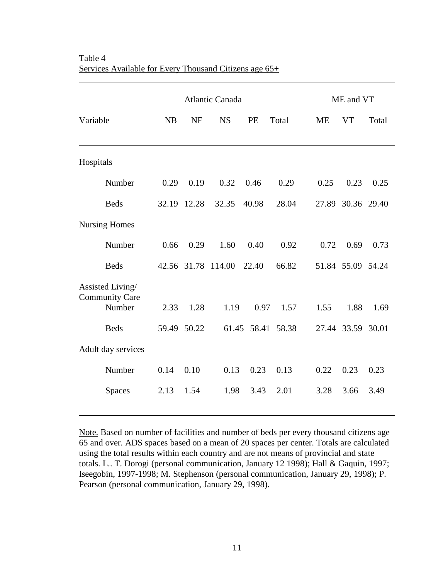|                                                     | <b>Atlantic Canada</b> |             |           | ME and VT   |       |           |                   |       |
|-----------------------------------------------------|------------------------|-------------|-----------|-------------|-------|-----------|-------------------|-------|
| Variable                                            | NB                     | <b>NF</b>   | <b>NS</b> | PE          | Total | <b>ME</b> | <b>VT</b>         | Total |
| Hospitals                                           |                        |             |           |             |       |           |                   |       |
| Number                                              | 0.29                   | 0.19        | 0.32      | 0.46        | 0.29  | 0.25      | 0.23              | 0.25  |
| <b>Beds</b>                                         | 32.19                  | 12.28       | 32.35     | 40.98       | 28.04 | 27.89     | 30.36 29.40       |       |
| <b>Nursing Homes</b>                                |                        |             |           |             |       |           |                   |       |
| Number                                              | 0.66                   | 0.29        | 1.60      | 0.40        | 0.92  | 0.72      | 0.69              | 0.73  |
| <b>Beds</b>                                         |                        | 42.56 31.78 | 114.00    | 22.40       | 66.82 |           | 51.84 55.09 54.24 |       |
| Assisted Living/<br><b>Community Care</b><br>Number | 2.33                   | 1.28        | 1.19      | 0.97        | 1.57  | 1.55      | 1.88              | 1.69  |
| <b>Beds</b>                                         | 59.49                  | 50.22       |           | 61.45 58.41 | 58.38 |           | 27.44 33.59 30.01 |       |
| Adult day services                                  |                        |             |           |             |       |           |                   |       |
| Number                                              | 0.14                   | 0.10        | 0.13      | 0.23        | 0.13  | 0.22      | 0.23              | 0.23  |
| <b>Spaces</b>                                       | 2.13                   | 1.54        | 1.98      | 3.43        | 2.01  | 3.28      | 3.66              | 3.49  |

Table 4 Services Available for Every Thousand Citizens age 65+

 $\overline{a}$ 

Note. Based on number of facilities and number of beds per every thousand citizens age 65 and over. ADS spaces based on a mean of 20 spaces per center. Totals are calculated using the total results within each country and are not means of provincial and state totals. L.. T. Dorogi (personal communication, January 12 1998); Hall & Gaquin, 1997; Iseegobin, 1997-1998; M. Stephenson (personal communication, January 29, 1998); P. Pearson (personal communication, January 29, 1998).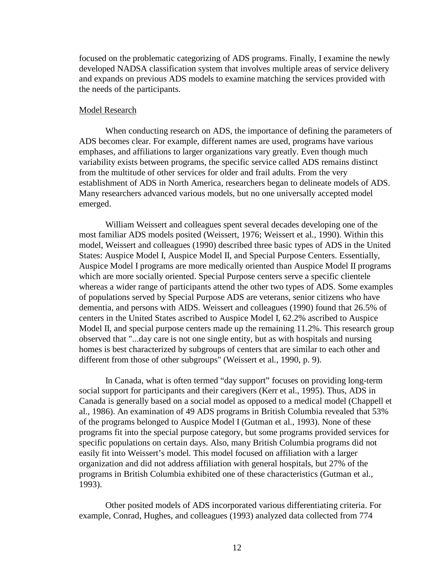focused on the problematic categorizing of ADS programs. Finally, I examine the newly developed NADSA classification system that involves multiple areas of service delivery and expands on previous ADS models to examine matching the services provided with the needs of the participants.

#### Model Research

When conducting research on ADS, the importance of defining the parameters of ADS becomes clear. For example, different names are used, programs have various emphases, and affiliations to larger organizations vary greatly. Even though much variability exists between programs, the specific service called ADS remains distinct from the multitude of other services for older and frail adults. From the very establishment of ADS in North America, researchers began to delineate models of ADS. Many researchers advanced various models, but no one universally accepted model emerged.

William Weissert and colleagues spent several decades developing one of the most familiar ADS models posited (Weissert, 1976; Weissert et al., 1990). Within this model, Weissert and colleagues (1990) described three basic types of ADS in the United States: Auspice Model I, Auspice Model II, and Special Purpose Centers. Essentially, Auspice Model I programs are more medically oriented than Auspice Model II programs which are more socially oriented. Special Purpose centers serve a specific clientele whereas a wider range of participants attend the other two types of ADS. Some examples of populations served by Special Purpose ADS are veterans, senior citizens who have dementia, and persons with AIDS. Weissert and colleagues (1990) found that 26.5% of centers in the United States ascribed to Auspice Model I, 62.2% ascribed to Auspice Model II, and special purpose centers made up the remaining 11.2%. This research group observed that "...day care is not one single entity, but as with hospitals and nursing homes is best characterized by subgroups of centers that are similar to each other and different from those of other subgroups" (Weissert et al., 1990, p. 9).

In Canada, what is often termed "day support" focuses on providing long-term social support for participants and their caregivers (Kerr et al., 1995). Thus, ADS in Canada is generally based on a social model as opposed to a medical model (Chappell et al., 1986). An examination of 49 ADS programs in British Columbia revealed that 53% of the programs belonged to Auspice Model I (Gutman et al., 1993). None of these programs fit into the special purpose category, but some programs provided services for specific populations on certain days. Also, many British Columbia programs did not easily fit into Weissert's model. This model focused on affiliation with a larger organization and did not address affiliation with general hospitals, but 27% of the programs in British Columbia exhibited one of these characteristics (Gutman et al., 1993).

Other posited models of ADS incorporated various differentiating criteria. For example, Conrad, Hughes, and colleagues (1993) analyzed data collected from 774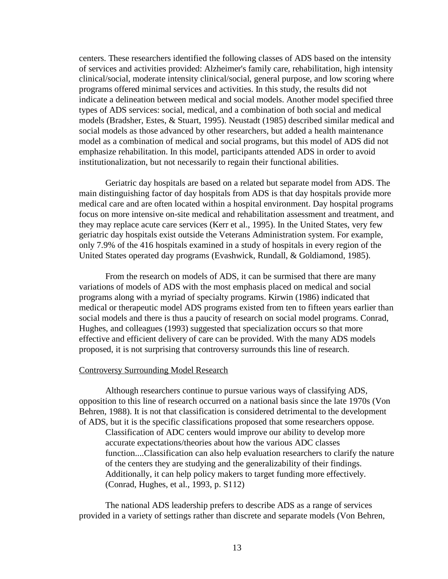centers. These researchers identified the following classes of ADS based on the intensity of services and activities provided: Alzheimer's family care, rehabilitation, high intensity clinical/social, moderate intensity clinical/social, general purpose, and low scoring where programs offered minimal services and activities. In this study, the results did not indicate a delineation between medical and social models. Another model specified three types of ADS services: social, medical, and a combination of both social and medical models (Bradsher, Estes, & Stuart, 1995). Neustadt (1985) described similar medical and social models as those advanced by other researchers, but added a health maintenance model as a combination of medical and social programs, but this model of ADS did not emphasize rehabilitation. In this model, participants attended ADS in order to avoid institutionalization, but not necessarily to regain their functional abilities.

Geriatric day hospitals are based on a related but separate model from ADS. The main distinguishing factor of day hospitals from ADS is that day hospitals provide more medical care and are often located within a hospital environment. Day hospital programs focus on more intensive on-site medical and rehabilitation assessment and treatment, and they may replace acute care services (Kerr et al., 1995). In the United States, very few geriatric day hospitals exist outside the Veterans Administration system. For example, only 7.9% of the 416 hospitals examined in a study of hospitals in every region of the United States operated day programs (Evashwick, Rundall, & Goldiamond, 1985).

From the research on models of ADS, it can be surmised that there are many variations of models of ADS with the most emphasis placed on medical and social programs along with a myriad of specialty programs. Kirwin (1986) indicated that medical or therapeutic model ADS programs existed from ten to fifteen years earlier than social models and there is thus a paucity of research on social model programs. Conrad, Hughes, and colleagues (1993) suggested that specialization occurs so that more effective and efficient delivery of care can be provided. With the many ADS models proposed, it is not surprising that controversy surrounds this line of research.

# Controversy Surrounding Model Research

Although researchers continue to pursue various ways of classifying ADS, opposition to this line of research occurred on a national basis since the late 1970s (Von Behren, 1988). It is not that classification is considered detrimental to the development of ADS, but it is the specific classifications proposed that some researchers oppose. Classification of ADC centers would improve our ability to develop more accurate expectations/theories about how the various ADC classes function....Classification can also help evaluation researchers to clarify the nature of the centers they are studying and the generalizability of their findings. Additionally, it can help policy makers to target funding more effectively. (Conrad, Hughes, et al., 1993, p. S112)

The national ADS leadership prefers to describe ADS as a range of services provided in a variety of settings rather than discrete and separate models (Von Behren,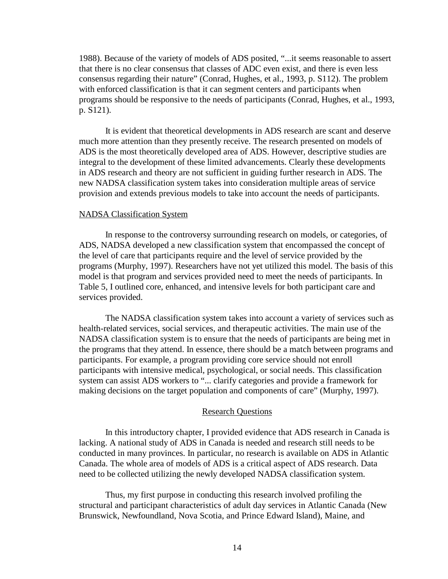1988). Because of the variety of models of ADS posited, "...it seems reasonable to assert that there is no clear consensus that classes of ADC even exist, and there is even less consensus regarding their nature" (Conrad, Hughes, et al., 1993, p. S112). The problem with enforced classification is that it can segment centers and participants when programs should be responsive to the needs of participants (Conrad, Hughes, et al., 1993, p. S121).

It is evident that theoretical developments in ADS research are scant and deserve much more attention than they presently receive. The research presented on models of ADS is the most theoretically developed area of ADS. However, descriptive studies are integral to the development of these limited advancements. Clearly these developments in ADS research and theory are not sufficient in guiding further research in ADS. The new NADSA classification system takes into consideration multiple areas of service provision and extends previous models to take into account the needs of participants.

## NADSA Classification System

In response to the controversy surrounding research on models, or categories, of ADS, NADSA developed a new classification system that encompassed the concept of the level of care that participants require and the level of service provided by the programs (Murphy, 1997). Researchers have not yet utilized this model. The basis of this model is that program and services provided need to meet the needs of participants. In Table 5, I outlined core, enhanced, and intensive levels for both participant care and services provided.

The NADSA classification system takes into account a variety of services such as health-related services, social services, and therapeutic activities. The main use of the NADSA classification system is to ensure that the needs of participants are being met in the programs that they attend. In essence, there should be a match between programs and participants. For example, a program providing core service should not enroll participants with intensive medical, psychological, or social needs. This classification system can assist ADS workers to "... clarify categories and provide a framework for making decisions on the target population and components of care" (Murphy, 1997).

## Research Questions

In this introductory chapter, I provided evidence that ADS research in Canada is lacking. A national study of ADS in Canada is needed and research still needs to be conducted in many provinces. In particular, no research is available on ADS in Atlantic Canada. The whole area of models of ADS is a critical aspect of ADS research. Data need to be collected utilizing the newly developed NADSA classification system.

Thus, my first purpose in conducting this research involved profiling the structural and participant characteristics of adult day services in Atlantic Canada (New Brunswick, Newfoundland, Nova Scotia, and Prince Edward Island), Maine, and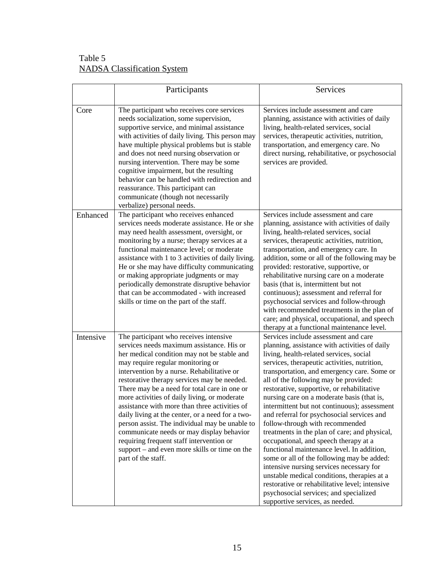| Table 5                            |  |
|------------------------------------|--|
| <b>NADSA</b> Classification System |  |

|           | Participants                                                                                                                                                                                                                                                                                                                                                                                                                                                                                                                                                                                                                                                                                | Services                                                                                                                                                                                                                                                                                                                                                                                                                                                                                                                                                                                                                                                                                                                                                                                                                                                                                                              |
|-----------|---------------------------------------------------------------------------------------------------------------------------------------------------------------------------------------------------------------------------------------------------------------------------------------------------------------------------------------------------------------------------------------------------------------------------------------------------------------------------------------------------------------------------------------------------------------------------------------------------------------------------------------------------------------------------------------------|-----------------------------------------------------------------------------------------------------------------------------------------------------------------------------------------------------------------------------------------------------------------------------------------------------------------------------------------------------------------------------------------------------------------------------------------------------------------------------------------------------------------------------------------------------------------------------------------------------------------------------------------------------------------------------------------------------------------------------------------------------------------------------------------------------------------------------------------------------------------------------------------------------------------------|
| Core      | The participant who receives core services<br>needs socialization, some supervision,<br>supportive service, and minimal assistance<br>with activities of daily living. This person may<br>have multiple physical problems but is stable<br>and does not need nursing observation or<br>nursing intervention. There may be some<br>cognitive impairment, but the resulting<br>behavior can be handled with redirection and<br>reassurance. This participant can<br>communicate (though not necessarily<br>verbalize) personal needs.                                                                                                                                                         | Services include assessment and care<br>planning, assistance with activities of daily<br>living, health-related services, social<br>services, therapeutic activities, nutrition,<br>transportation, and emergency care. No<br>direct nursing, rehabilitative, or psychosocial<br>services are provided.                                                                                                                                                                                                                                                                                                                                                                                                                                                                                                                                                                                                               |
| Enhanced  | The participant who receives enhanced<br>services needs moderate assistance. He or she<br>may need health assessment, oversight, or<br>monitoring by a nurse; therapy services at a<br>functional maintenance level; or moderate<br>assistance with 1 to 3 activities of daily living.<br>He or she may have difficulty communicating<br>or making appropriate judgments or may<br>periodically demonstrate disruptive behavior<br>that can be accommodated - with increased<br>skills or time on the part of the staff.                                                                                                                                                                    | Services include assessment and care<br>planning, assistance with activities of daily<br>living, health-related services, social<br>services, therapeutic activities, nutrition,<br>transportation, and emergency care. In<br>addition, some or all of the following may be<br>provided: restorative, supportive, or<br>rehabilitative nursing care on a moderate<br>basis (that is, intermittent but not<br>continuous); assessment and referral for<br>psychosocial services and follow-through<br>with recommended treatments in the plan of<br>care; and physical, occupational, and speech<br>therapy at a functional maintenance level.                                                                                                                                                                                                                                                                         |
| Intensive | The participant who receives intensive<br>services needs maximum assistance. His or<br>her medical condition may not be stable and<br>may require regular monitoring or<br>intervention by a nurse. Rehabilitative or<br>restorative therapy services may be needed.<br>There may be a need for total care in one or<br>more activities of daily living, or moderate<br>assistance with more than three activities of<br>daily living at the center, or a need for a two-<br>person assist. The individual may be unable to<br>communicate needs or may display behavior<br>requiring frequent staff intervention or<br>support – and even more skills or time on the<br>part of the staff. | Services include assessment and care<br>planning, assistance with activities of daily<br>living, health-related services, social<br>services, therapeutic activities, nutrition,<br>transportation, and emergency care. Some or<br>all of the following may be provided:<br>restorative, supportive, or rehabilitative<br>nursing care on a moderate basis (that is,<br>intermittent but not continuous); assessment<br>and referral for psychosocial services and<br>follow-through with recommended<br>treatments in the plan of care; and physical,<br>occupational, and speech therapy at a<br>functional maintenance level. In addition,<br>some or all of the following may be added:<br>intensive nursing services necessary for<br>unstable medical conditions, therapies at a<br>restorative or rehabilitative level; intensive<br>psychosocial services; and specialized<br>supportive services, as needed. |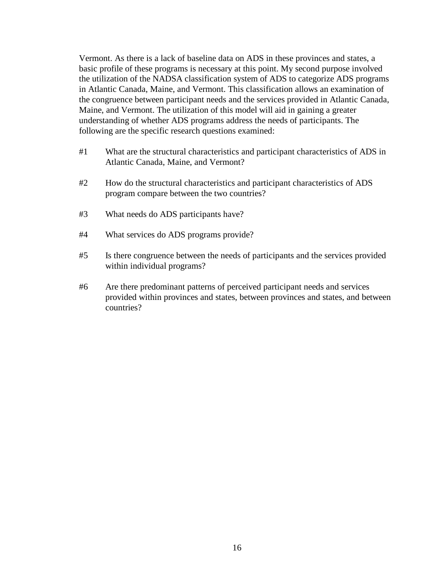Vermont. As there is a lack of baseline data on ADS in these provinces and states, a basic profile of these programs is necessary at this point. My second purpose involved the utilization of the NADSA classification system of ADS to categorize ADS programs in Atlantic Canada, Maine, and Vermont. This classification allows an examination of the congruence between participant needs and the services provided in Atlantic Canada, Maine, and Vermont. The utilization of this model will aid in gaining a greater understanding of whether ADS programs address the needs of participants. The following are the specific research questions examined:

- #1 What are the structural characteristics and participant characteristics of ADS in Atlantic Canada, Maine, and Vermont?
- #2 How do the structural characteristics and participant characteristics of ADS program compare between the two countries?
- #3 What needs do ADS participants have?
- #4 What services do ADS programs provide?
- #5 Is there congruence between the needs of participants and the services provided within individual programs?
- #6 Are there predominant patterns of perceived participant needs and services provided within provinces and states, between provinces and states, and between countries?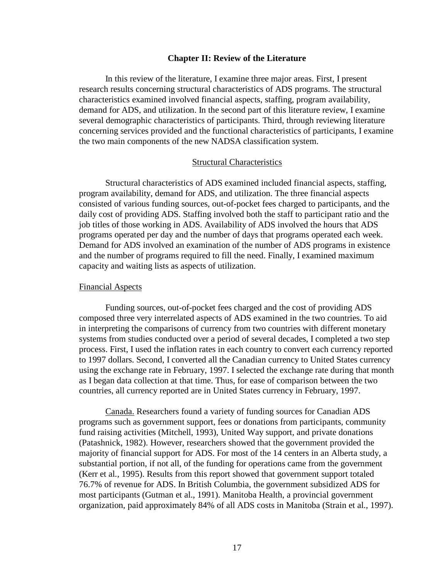## **Chapter II: Review of the Literature**

In this review of the literature, I examine three major areas. First, I present research results concerning structural characteristics of ADS programs. The structural characteristics examined involved financial aspects, staffing, program availability, demand for ADS, and utilization. In the second part of this literature review, I examine several demographic characteristics of participants. Third, through reviewing literature concerning services provided and the functional characteristics of participants, I examine the two main components of the new NADSA classification system.

# Structural Characteristics

Structural characteristics of ADS examined included financial aspects, staffing, program availability, demand for ADS, and utilization. The three financial aspects consisted of various funding sources, out-of-pocket fees charged to participants, and the daily cost of providing ADS. Staffing involved both the staff to participant ratio and the job titles of those working in ADS. Availability of ADS involved the hours that ADS programs operated per day and the number of days that programs operated each week. Demand for ADS involved an examination of the number of ADS programs in existence and the number of programs required to fill the need. Finally, I examined maximum capacity and waiting lists as aspects of utilization.

# Financial Aspects

Funding sources, out-of-pocket fees charged and the cost of providing ADS composed three very interrelated aspects of ADS examined in the two countries. To aid in interpreting the comparisons of currency from two countries with different monetary systems from studies conducted over a period of several decades, I completed a two step process. First, I used the inflation rates in each country to convert each currency reported to 1997 dollars. Second, I converted all the Canadian currency to United States currency using the exchange rate in February, 1997. I selected the exchange rate during that month as I began data collection at that time. Thus, for ease of comparison between the two countries, all currency reported are in United States currency in February, 1997.

Canada. Researchers found a variety of funding sources for Canadian ADS programs such as government support, fees or donations from participants, community fund raising activities (Mitchell, 1993), United Way support, and private donations (Patashnick, 1982). However, researchers showed that the government provided the majority of financial support for ADS. For most of the 14 centers in an Alberta study, a substantial portion, if not all, of the funding for operations came from the government (Kerr et al., 1995). Results from this report showed that government support totaled 76.7% of revenue for ADS. In British Columbia, the government subsidized ADS for most participants (Gutman et al., 1991). Manitoba Health, a provincial government organization, paid approximately 84% of all ADS costs in Manitoba (Strain et al., 1997).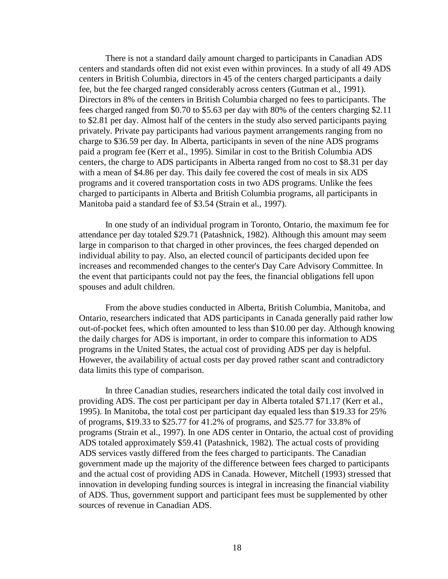There is not a standard daily amount charged to participants in Canadian ADS centers and standards often did not exist even within provinces. In a study of all 49 ADS centers in British Columbia, directors in 45 of the centers charged participants a daily fee, but the fee charged ranged considerably across centers (Gutman et al., 1991). Directors in 8% of the centers in British Columbia charged no fees to participants. The fees charged ranged from \$0.70 to \$5.63 per day with 80% of the centers charging \$2.11 to \$2.81 per day. Almost half of the centers in the study also served participants paying privately. Private pay participants had various payment arrangements ranging from no charge to \$36.59 per day. In Alberta, participants in seven of the nine ADS programs paid a program fee (Kerr et al., 1995). Similar in cost to the British Columbia ADS centers, the charge to ADS participants in Alberta ranged from no cost to \$8.31 per day with a mean of \$4.86 per day. This daily fee covered the cost of meals in six ADS programs and it covered transportation costs in two ADS programs. Unlike the fees charged to participants in Alberta and British Columbia programs, all participants in Manitoba paid a standard fee of \$3.54 (Strain et al., 1997).

In one study of an individual program in Toronto, Ontario, the maximum fee for attendance per day totaled \$29.71 (Patashnick, 1982). Although this amount may seem large in comparison to that charged in other provinces, the fees charged depended on individual ability to pay. Also, an elected council of participants decided upon fee increases and recommended changes to the center's Day Care Advisory Committee. In the event that participants could not pay the fees, the financial obligations fell upon spouses and adult children.

From the above studies conducted in Alberta, British Columbia, Manitoba, and Ontario, researchers indicated that ADS participants in Canada generally paid rather low out-of-pocket fees, which often amounted to less than \$10.00 per day. Although knowing the daily charges for ADS is important, in order to compare this information to ADS programs in the United States, the actual cost of providing ADS per day is helpful. However, the availability of actual costs per day proved rather scant and contradictory data limits this type of comparison.

In three Canadian studies, researchers indicated the total daily cost involved in providing ADS. The cost per participant per day in Alberta totaled \$71.17 (Kerr et al., 1995). In Manitoba, the total cost per participant day equaled less than \$19.33 for 25% of programs, \$19.33 to \$25.77 for 41.2% of programs, and \$25.77 for 33.8% of programs (Strain et al., 1997). In one ADS center in Ontario, the actual cost of providing ADS totaled approximately \$59.41 (Patashnick, 1982). The actual costs of providing ADS services vastly differed from the fees charged to participants. The Canadian government made up the majority of the difference between fees charged to participants and the actual cost of providing ADS in Canada. However, Mitchell (1993) stressed that innovation in developing funding sources is integral in increasing the financial viability of ADS. Thus, government support and participant fees must be supplemented by other sources of revenue in Canadian ADS.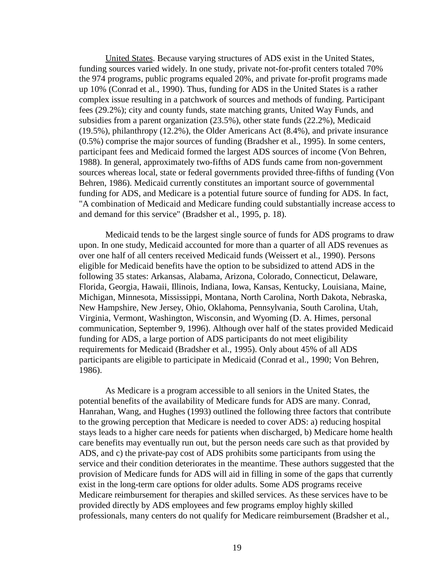United States. Because varying structures of ADS exist in the United States, funding sources varied widely. In one study, private not-for-profit centers totaled 70% the 974 programs, public programs equaled 20%, and private for-profit programs made up 10% (Conrad et al., 1990). Thus, funding for ADS in the United States is a rather complex issue resulting in a patchwork of sources and methods of funding. Participant fees (29.2%); city and county funds, state matching grants, United Way Funds, and subsidies from a parent organization (23.5%), other state funds (22.2%), Medicaid (19.5%), philanthropy (12.2%), the Older Americans Act (8.4%), and private insurance (0.5%) comprise the major sources of funding (Bradsher et al., 1995). In some centers, participant fees and Medicaid formed the largest ADS sources of income (Von Behren, 1988). In general, approximately two-fifths of ADS funds came from non-government sources whereas local, state or federal governments provided three-fifths of funding (Von Behren, 1986). Medicaid currently constitutes an important source of governmental funding for ADS, and Medicare is a potential future source of funding for ADS. In fact, "A combination of Medicaid and Medicare funding could substantially increase access to and demand for this service" (Bradsher et al., 1995, p. 18).

Medicaid tends to be the largest single source of funds for ADS programs to draw upon. In one study, Medicaid accounted for more than a quarter of all ADS revenues as over one half of all centers received Medicaid funds (Weissert et al., 1990). Persons eligible for Medicaid benefits have the option to be subsidized to attend ADS in the following 35 states: Arkansas, Alabama, Arizona, Colorado, Connecticut, Delaware, Florida, Georgia, Hawaii, Illinois, Indiana, Iowa, Kansas, Kentucky, Louisiana, Maine, Michigan, Minnesota, Mississippi, Montana, North Carolina, North Dakota, Nebraska, New Hampshire, New Jersey, Ohio, Oklahoma, Pennsylvania, South Carolina, Utah, Virginia, Vermont, Washington, Wisconsin, and Wyoming (D. A. Himes, personal communication, September 9, 1996). Although over half of the states provided Medicaid funding for ADS, a large portion of ADS participants do not meet eligibility requirements for Medicaid (Bradsher et al., 1995). Only about 45% of all ADS participants are eligible to participate in Medicaid (Conrad et al., 1990; Von Behren, 1986).

As Medicare is a program accessible to all seniors in the United States, the potential benefits of the availability of Medicare funds for ADS are many. Conrad, Hanrahan, Wang, and Hughes (1993) outlined the following three factors that contribute to the growing perception that Medicare is needed to cover ADS: a) reducing hospital stays leads to a higher care needs for patients when discharged, b) Medicare home health care benefits may eventually run out, but the person needs care such as that provided by ADS, and c) the private-pay cost of ADS prohibits some participants from using the service and their condition deteriorates in the meantime. These authors suggested that the provision of Medicare funds for ADS will aid in filling in some of the gaps that currently exist in the long-term care options for older adults. Some ADS programs receive Medicare reimbursement for therapies and skilled services. As these services have to be provided directly by ADS employees and few programs employ highly skilled professionals, many centers do not qualify for Medicare reimbursement (Bradsher et al.,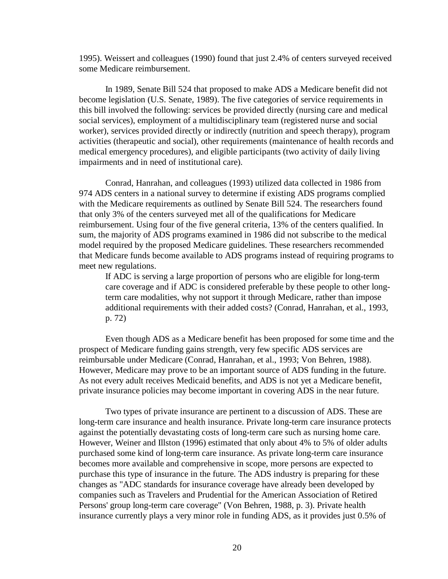1995). Weissert and colleagues (1990) found that just 2.4% of centers surveyed received some Medicare reimbursement.

In 1989, Senate Bill 524 that proposed to make ADS a Medicare benefit did not become legislation (U.S. Senate, 1989). The five categories of service requirements in this bill involved the following: services be provided directly (nursing care and medical social services), employment of a multidisciplinary team (registered nurse and social worker), services provided directly or indirectly (nutrition and speech therapy), program activities (therapeutic and social), other requirements (maintenance of health records and medical emergency procedures), and eligible participants (two activity of daily living impairments and in need of institutional care).

Conrad, Hanrahan, and colleagues (1993) utilized data collected in 1986 from 974 ADS centers in a national survey to determine if existing ADS programs complied with the Medicare requirements as outlined by Senate Bill 524. The researchers found that only 3% of the centers surveyed met all of the qualifications for Medicare reimbursement. Using four of the five general criteria, 13% of the centers qualified. In sum, the majority of ADS programs examined in 1986 did not subscribe to the medical model required by the proposed Medicare guidelines. These researchers recommended that Medicare funds become available to ADS programs instead of requiring programs to meet new regulations.

If ADC is serving a large proportion of persons who are eligible for long-term care coverage and if ADC is considered preferable by these people to other longterm care modalities, why not support it through Medicare, rather than impose additional requirements with their added costs? (Conrad, Hanrahan, et al., 1993, p. 72)

Even though ADS as a Medicare benefit has been proposed for some time and the prospect of Medicare funding gains strength, very few specific ADS services are reimbursable under Medicare (Conrad, Hanrahan, et al., 1993; Von Behren, 1988). However, Medicare may prove to be an important source of ADS funding in the future. As not every adult receives Medicaid benefits, and ADS is not yet a Medicare benefit, private insurance policies may become important in covering ADS in the near future.

Two types of private insurance are pertinent to a discussion of ADS. These are long-term care insurance and health insurance. Private long-term care insurance protects against the potentially devastating costs of long-term care such as nursing home care. However, Weiner and Illston (1996) estimated that only about 4% to 5% of older adults purchased some kind of long-term care insurance. As private long-term care insurance becomes more available and comprehensive in scope, more persons are expected to purchase this type of insurance in the future. The ADS industry is preparing for these changes as "ADC standards for insurance coverage have already been developed by companies such as Travelers and Prudential for the American Association of Retired Persons' group long-term care coverage" (Von Behren, 1988, p. 3). Private health insurance currently plays a very minor role in funding ADS, as it provides just 0.5% of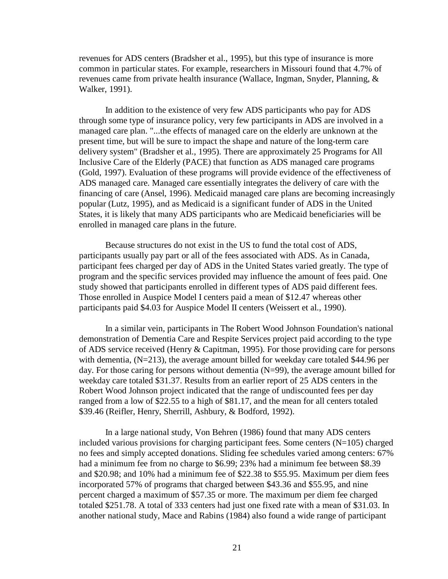revenues for ADS centers (Bradsher et al., 1995), but this type of insurance is more common in particular states. For example, researchers in Missouri found that 4.7% of revenues came from private health insurance (Wallace, Ingman, Snyder, Planning, & Walker, 1991).

In addition to the existence of very few ADS participants who pay for ADS through some type of insurance policy, very few participants in ADS are involved in a managed care plan. "...the effects of managed care on the elderly are unknown at the present time, but will be sure to impact the shape and nature of the long-term care delivery system" (Bradsher et al., 1995). There are approximately 25 Programs for All Inclusive Care of the Elderly (PACE) that function as ADS managed care programs (Gold, 1997). Evaluation of these programs will provide evidence of the effectiveness of ADS managed care. Managed care essentially integrates the delivery of care with the financing of care (Ansel, 1996). Medicaid managed care plans are becoming increasingly popular (Lutz, 1995), and as Medicaid is a significant funder of ADS in the United States, it is likely that many ADS participants who are Medicaid beneficiaries will be enrolled in managed care plans in the future.

Because structures do not exist in the US to fund the total cost of ADS, participants usually pay part or all of the fees associated with ADS. As in Canada, participant fees charged per day of ADS in the United States varied greatly. The type of program and the specific services provided may influence the amount of fees paid. One study showed that participants enrolled in different types of ADS paid different fees. Those enrolled in Auspice Model I centers paid a mean of \$12.47 whereas other participants paid \$4.03 for Auspice Model II centers (Weissert et al., 1990).

In a similar vein, participants in The Robert Wood Johnson Foundation's national demonstration of Dementia Care and Respite Services project paid according to the type of ADS service received (Henry & Capitman, 1995). For those providing care for persons with dementia, (N=213), the average amount billed for weekday care totaled \$44.96 per day. For those caring for persons without dementia (N=99), the average amount billed for weekday care totaled \$31.37. Results from an earlier report of 25 ADS centers in the Robert Wood Johnson project indicated that the range of undiscounted fees per day ranged from a low of \$22.55 to a high of \$81.17, and the mean for all centers totaled \$39.46 (Reifler, Henry, Sherrill, Ashbury, & Bodford, 1992).

In a large national study, Von Behren (1986) found that many ADS centers included various provisions for charging participant fees. Some centers  $(N=105)$  charged no fees and simply accepted donations. Sliding fee schedules varied among centers: 67% had a minimum fee from no charge to \$6.99; 23% had a minimum fee between \$8.39 and \$20.98; and 10% had a minimum fee of \$22.38 to \$55.95. Maximum per diem fees incorporated 57% of programs that charged between \$43.36 and \$55.95, and nine percent charged a maximum of \$57.35 or more. The maximum per diem fee charged totaled \$251.78. A total of 333 centers had just one fixed rate with a mean of \$31.03. In another national study, Mace and Rabins (1984) also found a wide range of participant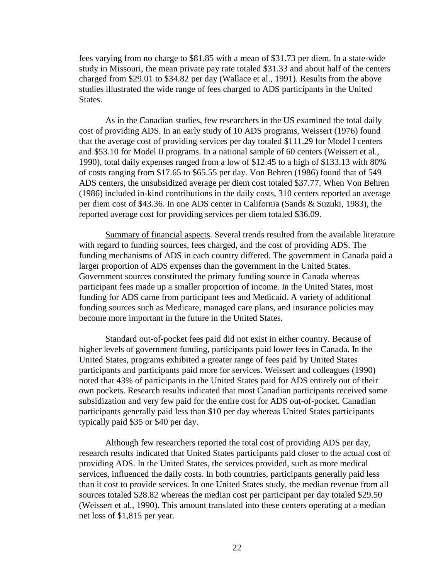fees varying from no charge to \$81.85 with a mean of \$31.73 per diem. In a state-wide study in Missouri, the mean private pay rate totaled \$31.33 and about half of the centers charged from \$29.01 to \$34.82 per day (Wallace et al., 1991). Results from the above studies illustrated the wide range of fees charged to ADS participants in the United States.

As in the Canadian studies, few researchers in the US examined the total daily cost of providing ADS. In an early study of 10 ADS programs, Weissert (1976) found that the average cost of providing services per day totaled \$111.29 for Model I centers and \$53.10 for Model II programs. In a national sample of 60 centers (Weissert et al., 1990), total daily expenses ranged from a low of \$12.45 to a high of \$133.13 with 80% of costs ranging from \$17.65 to \$65.55 per day. Von Behren (1986) found that of 549 ADS centers, the unsubsidized average per diem cost totaled \$37.77. When Von Behren (1986) included in-kind contributions in the daily costs, 310 centers reported an average per diem cost of \$43.36. In one ADS center in California (Sands & Suzuki, 1983), the reported average cost for providing services per diem totaled \$36.09.

Summary of financial aspects. Several trends resulted from the available literature with regard to funding sources, fees charged, and the cost of providing ADS. The funding mechanisms of ADS in each country differed. The government in Canada paid a larger proportion of ADS expenses than the government in the United States. Government sources constituted the primary funding source in Canada whereas participant fees made up a smaller proportion of income. In the United States, most funding for ADS came from participant fees and Medicaid. A variety of additional funding sources such as Medicare, managed care plans, and insurance policies may become more important in the future in the United States.

Standard out-of-pocket fees paid did not exist in either country. Because of higher levels of government funding, participants paid lower fees in Canada. In the United States, programs exhibited a greater range of fees paid by United States participants and participants paid more for services. Weissert and colleagues (1990) noted that 43% of participants in the United States paid for ADS entirely out of their own pockets. Research results indicated that most Canadian participants received some subsidization and very few paid for the entire cost for ADS out-of-pocket. Canadian participants generally paid less than \$10 per day whereas United States participants typically paid \$35 or \$40 per day.

Although few researchers reported the total cost of providing ADS per day, research results indicated that United States participants paid closer to the actual cost of providing ADS. In the United States, the services provided, such as more medical services, influenced the daily costs. In both countries, participants generally paid less than it cost to provide services. In one United States study, the median revenue from all sources totaled \$28.82 whereas the median cost per participant per day totaled \$29.50 (Weissert et al., 1990). This amount translated into these centers operating at a median net loss of \$1,815 per year.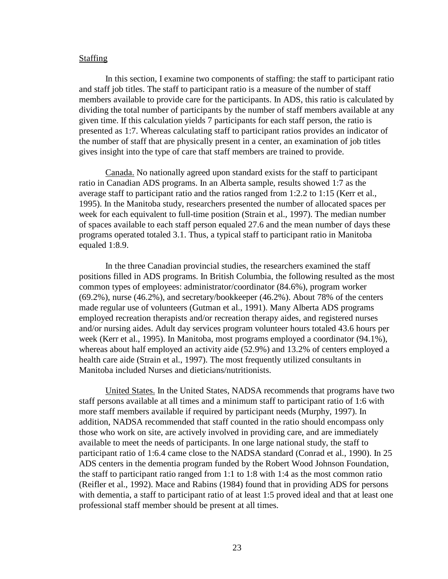# **Staffing**

In this section, I examine two components of staffing: the staff to participant ratio and staff job titles. The staff to participant ratio is a measure of the number of staff members available to provide care for the participants. In ADS, this ratio is calculated by dividing the total number of participants by the number of staff members available at any given time. If this calculation yields 7 participants for each staff person, the ratio is presented as 1:7. Whereas calculating staff to participant ratios provides an indicator of the number of staff that are physically present in a center, an examination of job titles gives insight into the type of care that staff members are trained to provide.

Canada. No nationally agreed upon standard exists for the staff to participant ratio in Canadian ADS programs. In an Alberta sample, results showed 1:7 as the average staff to participant ratio and the ratios ranged from 1:2.2 to 1:15 (Kerr et al., 1995). In the Manitoba study, researchers presented the number of allocated spaces per week for each equivalent to full-time position (Strain et al., 1997). The median number of spaces available to each staff person equaled 27.6 and the mean number of days these programs operated totaled 3.1. Thus, a typical staff to participant ratio in Manitoba equaled 1:8.9.

In the three Canadian provincial studies, the researchers examined the staff positions filled in ADS programs. In British Columbia, the following resulted as the most common types of employees: administrator/coordinator (84.6%), program worker (69.2%), nurse (46.2%), and secretary/bookkeeper (46.2%). About 78% of the centers made regular use of volunteers (Gutman et al., 1991). Many Alberta ADS programs employed recreation therapists and/or recreation therapy aides, and registered nurses and/or nursing aides. Adult day services program volunteer hours totaled 43.6 hours per week (Kerr et al., 1995). In Manitoba, most programs employed a coordinator (94.1%), whereas about half employed an activity aide (52.9%) and 13.2% of centers employed a health care aide (Strain et al., 1997). The most frequently utilized consultants in Manitoba included Nurses and dieticians/nutritionists.

United States. In the United States, NADSA recommends that programs have two staff persons available at all times and a minimum staff to participant ratio of 1:6 with more staff members available if required by participant needs (Murphy, 1997). In addition, NADSA recommended that staff counted in the ratio should encompass only those who work on site, are actively involved in providing care, and are immediately available to meet the needs of participants. In one large national study, the staff to participant ratio of 1:6.4 came close to the NADSA standard (Conrad et al., 1990). In 25 ADS centers in the dementia program funded by the Robert Wood Johnson Foundation, the staff to participant ratio ranged from 1:1 to 1:8 with 1:4 as the most common ratio (Reifler et al., 1992). Mace and Rabins (1984) found that in providing ADS for persons with dementia, a staff to participant ratio of at least 1:5 proved ideal and that at least one professional staff member should be present at all times.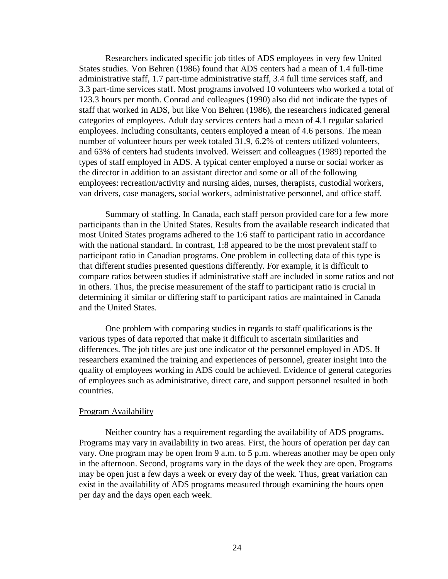Researchers indicated specific job titles of ADS employees in very few United States studies. Von Behren (1986) found that ADS centers had a mean of 1.4 full-time administrative staff, 1.7 part-time administrative staff, 3.4 full time services staff, and 3.3 part-time services staff. Most programs involved 10 volunteers who worked a total of 123.3 hours per month. Conrad and colleagues (1990) also did not indicate the types of staff that worked in ADS, but like Von Behren (1986), the researchers indicated general categories of employees. Adult day services centers had a mean of 4.1 regular salaried employees. Including consultants, centers employed a mean of 4.6 persons. The mean number of volunteer hours per week totaled 31.9, 6.2% of centers utilized volunteers, and 63% of centers had students involved. Weissert and colleagues (1989) reported the types of staff employed in ADS. A typical center employed a nurse or social worker as the director in addition to an assistant director and some or all of the following employees: recreation/activity and nursing aides, nurses, therapists, custodial workers, van drivers, case managers, social workers, administrative personnel, and office staff.

Summary of staffing. In Canada, each staff person provided care for a few more participants than in the United States. Results from the available research indicated that most United States programs adhered to the 1:6 staff to participant ratio in accordance with the national standard. In contrast, 1:8 appeared to be the most prevalent staff to participant ratio in Canadian programs. One problem in collecting data of this type is that different studies presented questions differently. For example, it is difficult to compare ratios between studies if administrative staff are included in some ratios and not in others. Thus, the precise measurement of the staff to participant ratio is crucial in determining if similar or differing staff to participant ratios are maintained in Canada and the United States.

One problem with comparing studies in regards to staff qualifications is the various types of data reported that make it difficult to ascertain similarities and differences. The job titles are just one indicator of the personnel employed in ADS. If researchers examined the training and experiences of personnel, greater insight into the quality of employees working in ADS could be achieved. Evidence of general categories of employees such as administrative, direct care, and support personnel resulted in both countries.

# Program Availability

Neither country has a requirement regarding the availability of ADS programs. Programs may vary in availability in two areas. First, the hours of operation per day can vary. One program may be open from 9 a.m. to 5 p.m. whereas another may be open only in the afternoon. Second, programs vary in the days of the week they are open. Programs may be open just a few days a week or every day of the week. Thus, great variation can exist in the availability of ADS programs measured through examining the hours open per day and the days open each week.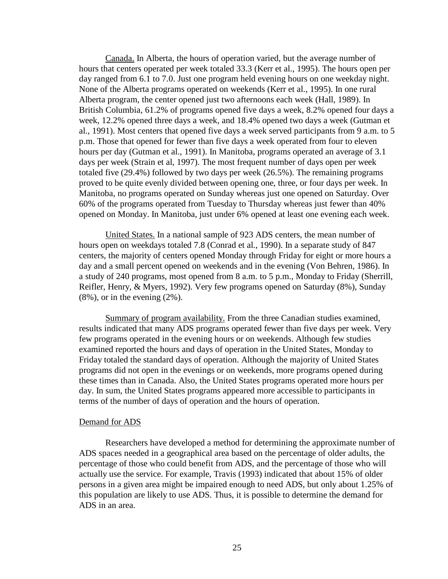Canada. In Alberta, the hours of operation varied, but the average number of hours that centers operated per week totaled 33.3 (Kerr et al., 1995). The hours open per day ranged from 6.1 to 7.0. Just one program held evening hours on one weekday night. None of the Alberta programs operated on weekends (Kerr et al., 1995). In one rural Alberta program, the center opened just two afternoons each week (Hall, 1989). In British Columbia, 61.2% of programs opened five days a week, 8.2% opened four days a week, 12.2% opened three days a week, and 18.4% opened two days a week (Gutman et al., 1991). Most centers that opened five days a week served participants from 9 a.m. to 5 p.m. Those that opened for fewer than five days a week operated from four to eleven hours per day (Gutman et al., 1991). In Manitoba, programs operated an average of 3.1 days per week (Strain et al, 1997). The most frequent number of days open per week totaled five (29.4%) followed by two days per week (26.5%). The remaining programs proved to be quite evenly divided between opening one, three, or four days per week. In Manitoba, no programs operated on Sunday whereas just one opened on Saturday. Over 60% of the programs operated from Tuesday to Thursday whereas just fewer than 40% opened on Monday. In Manitoba, just under 6% opened at least one evening each week.

United States. In a national sample of 923 ADS centers, the mean number of hours open on weekdays totaled 7.8 (Conrad et al., 1990). In a separate study of 847 centers, the majority of centers opened Monday through Friday for eight or more hours a day and a small percent opened on weekends and in the evening (Von Behren, 1986). In a study of 240 programs, most opened from 8 a.m. to 5 p.m., Monday to Friday (Sherrill, Reifler, Henry, & Myers, 1992). Very few programs opened on Saturday (8%), Sunday  $(8\%)$ , or in the evening  $(2\%)$ .

Summary of program availability. From the three Canadian studies examined, results indicated that many ADS programs operated fewer than five days per week. Very few programs operated in the evening hours or on weekends. Although few studies examined reported the hours and days of operation in the United States, Monday to Friday totaled the standard days of operation. Although the majority of United States programs did not open in the evenings or on weekends, more programs opened during these times than in Canada. Also, the United States programs operated more hours per day. In sum, the United States programs appeared more accessible to participants in terms of the number of days of operation and the hours of operation.

# Demand for ADS

Researchers have developed a method for determining the approximate number of ADS spaces needed in a geographical area based on the percentage of older adults, the percentage of those who could benefit from ADS, and the percentage of those who will actually use the service. For example, Travis (1993) indicated that about 15% of older persons in a given area might be impaired enough to need ADS, but only about 1.25% of this population are likely to use ADS. Thus, it is possible to determine the demand for ADS in an area.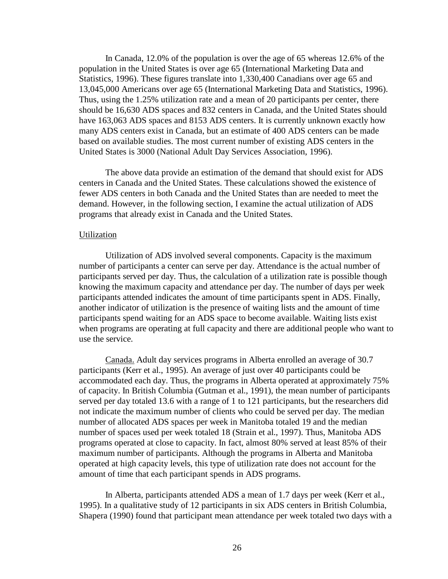In Canada, 12.0% of the population is over the age of 65 whereas 12.6% of the population in the United States is over age 65 (International Marketing Data and Statistics, 1996). These figures translate into 1,330,400 Canadians over age 65 and 13,045,000 Americans over age 65 (International Marketing Data and Statistics, 1996). Thus, using the 1.25% utilization rate and a mean of 20 participants per center, there should be 16,630 ADS spaces and 832 centers in Canada, and the United States should have 163,063 ADS spaces and 8153 ADS centers. It is currently unknown exactly how many ADS centers exist in Canada, but an estimate of 400 ADS centers can be made based on available studies. The most current number of existing ADS centers in the United States is 3000 (National Adult Day Services Association, 1996).

The above data provide an estimation of the demand that should exist for ADS centers in Canada and the United States. These calculations showed the existence of fewer ADS centers in both Canada and the United States than are needed to meet the demand. However, in the following section, I examine the actual utilization of ADS programs that already exist in Canada and the United States.

#### Utilization

Utilization of ADS involved several components. Capacity is the maximum number of participants a center can serve per day. Attendance is the actual number of participants served per day. Thus, the calculation of a utilization rate is possible though knowing the maximum capacity and attendance per day. The number of days per week participants attended indicates the amount of time participants spent in ADS. Finally, another indicator of utilization is the presence of waiting lists and the amount of time participants spend waiting for an ADS space to become available. Waiting lists exist when programs are operating at full capacity and there are additional people who want to use the service.

Canada. Adult day services programs in Alberta enrolled an average of 30.7 participants (Kerr et al., 1995). An average of just over 40 participants could be accommodated each day. Thus, the programs in Alberta operated at approximately 75% of capacity. In British Columbia (Gutman et al., 1991), the mean number of participants served per day totaled 13.6 with a range of 1 to 121 participants, but the researchers did not indicate the maximum number of clients who could be served per day. The median number of allocated ADS spaces per week in Manitoba totaled 19 and the median number of spaces used per week totaled 18 (Strain et al., 1997). Thus, Manitoba ADS programs operated at close to capacity. In fact, almost 80% served at least 85% of their maximum number of participants. Although the programs in Alberta and Manitoba operated at high capacity levels, this type of utilization rate does not account for the amount of time that each participant spends in ADS programs.

In Alberta, participants attended ADS a mean of 1.7 days per week (Kerr et al., 1995). In a qualitative study of 12 participants in six ADS centers in British Columbia, Shapera (1990) found that participant mean attendance per week totaled two days with a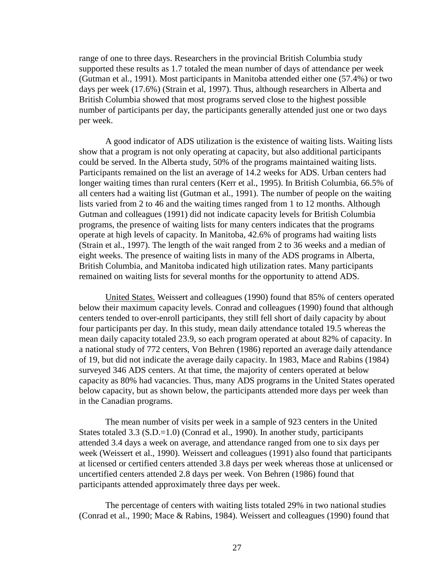range of one to three days. Researchers in the provincial British Columbia study supported these results as 1.7 totaled the mean number of days of attendance per week (Gutman et al., 1991). Most participants in Manitoba attended either one (57.4%) or two days per week (17.6%) (Strain et al, 1997). Thus, although researchers in Alberta and British Columbia showed that most programs served close to the highest possible number of participants per day, the participants generally attended just one or two days per week.

A good indicator of ADS utilization is the existence of waiting lists. Waiting lists show that a program is not only operating at capacity, but also additional participants could be served. In the Alberta study, 50% of the programs maintained waiting lists. Participants remained on the list an average of 14.2 weeks for ADS. Urban centers had longer waiting times than rural centers (Kerr et al., 1995). In British Columbia, 66.5% of all centers had a waiting list (Gutman et al., 1991). The number of people on the waiting lists varied from 2 to 46 and the waiting times ranged from 1 to 12 months. Although Gutman and colleagues (1991) did not indicate capacity levels for British Columbia programs, the presence of waiting lists for many centers indicates that the programs operate at high levels of capacity. In Manitoba, 42.6% of programs had waiting lists (Strain et al., 1997). The length of the wait ranged from 2 to 36 weeks and a median of eight weeks. The presence of waiting lists in many of the ADS programs in Alberta, British Columbia, and Manitoba indicated high utilization rates. Many participants remained on waiting lists for several months for the opportunity to attend ADS.

United States. Weissert and colleagues (1990) found that 85% of centers operated below their maximum capacity levels. Conrad and colleagues (1990) found that although centers tended to over-enroll participants, they still fell short of daily capacity by about four participants per day. In this study, mean daily attendance totaled 19.5 whereas the mean daily capacity totaled 23.9, so each program operated at about 82% of capacity. In a national study of 772 centers, Von Behren (1986) reported an average daily attendance of 19, but did not indicate the average daily capacity. In 1983, Mace and Rabins (1984) surveyed 346 ADS centers. At that time, the majority of centers operated at below capacity as 80% had vacancies. Thus, many ADS programs in the United States operated below capacity, but as shown below, the participants attended more days per week than in the Canadian programs.

The mean number of visits per week in a sample of 923 centers in the United States totaled 3.3 (S.D.=1.0) (Conrad et al., 1990). In another study, participants attended 3.4 days a week on average, and attendance ranged from one to six days per week (Weissert et al., 1990). Weissert and colleagues (1991) also found that participants at licensed or certified centers attended 3.8 days per week whereas those at unlicensed or uncertified centers attended 2.8 days per week. Von Behren (1986) found that participants attended approximately three days per week.

The percentage of centers with waiting lists totaled 29% in two national studies (Conrad et al., 1990; Mace & Rabins, 1984). Weissert and colleagues (1990) found that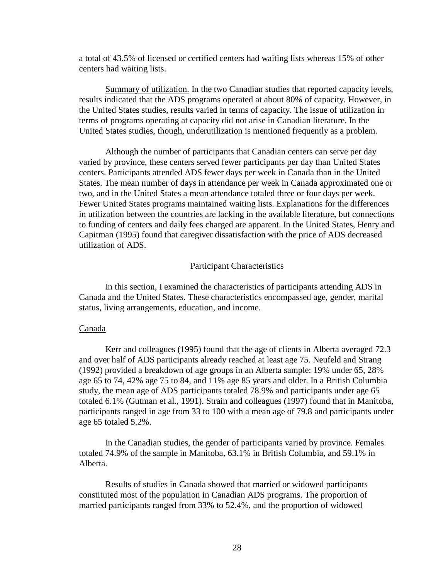a total of 43.5% of licensed or certified centers had waiting lists whereas 15% of other centers had waiting lists.

Summary of utilization. In the two Canadian studies that reported capacity levels, results indicated that the ADS programs operated at about 80% of capacity. However, in the United States studies, results varied in terms of capacity. The issue of utilization in terms of programs operating at capacity did not arise in Canadian literature. In the United States studies, though, underutilization is mentioned frequently as a problem.

Although the number of participants that Canadian centers can serve per day varied by province, these centers served fewer participants per day than United States centers. Participants attended ADS fewer days per week in Canada than in the United States. The mean number of days in attendance per week in Canada approximated one or two, and in the United States a mean attendance totaled three or four days per week. Fewer United States programs maintained waiting lists. Explanations for the differences in utilization between the countries are lacking in the available literature, but connections to funding of centers and daily fees charged are apparent. In the United States, Henry and Capitman (1995) found that caregiver dissatisfaction with the price of ADS decreased utilization of ADS.

## Participant Characteristics

In this section, I examined the characteristics of participants attending ADS in Canada and the United States. These characteristics encompassed age, gender, marital status, living arrangements, education, and income.

#### Canada

Kerr and colleagues (1995) found that the age of clients in Alberta averaged 72.3 and over half of ADS participants already reached at least age 75. Neufeld and Strang (1992) provided a breakdown of age groups in an Alberta sample: 19% under 65, 28% age 65 to 74, 42% age 75 to 84, and 11% age 85 years and older. In a British Columbia study, the mean age of ADS participants totaled 78.9% and participants under age 65 totaled 6.1% (Gutman et al., 1991). Strain and colleagues (1997) found that in Manitoba, participants ranged in age from 33 to 100 with a mean age of 79.8 and participants under age 65 totaled 5.2%.

In the Canadian studies, the gender of participants varied by province. Females totaled 74.9% of the sample in Manitoba, 63.1% in British Columbia, and 59.1% in Alberta.

Results of studies in Canada showed that married or widowed participants constituted most of the population in Canadian ADS programs. The proportion of married participants ranged from 33% to 52.4%, and the proportion of widowed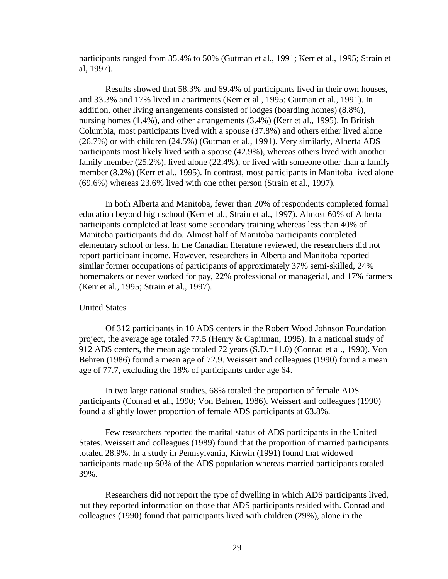participants ranged from 35.4% to 50% (Gutman et al., 1991; Kerr et al., 1995; Strain et al, 1997).

Results showed that 58.3% and 69.4% of participants lived in their own houses, and 33.3% and 17% lived in apartments (Kerr et al., 1995; Gutman et al., 1991). In addition, other living arrangements consisted of lodges (boarding homes) (8.8%), nursing homes (1.4%), and other arrangements (3.4%) (Kerr et al., 1995). In British Columbia, most participants lived with a spouse (37.8%) and others either lived alone (26.7%) or with children (24.5%) (Gutman et al., 1991). Very similarly, Alberta ADS participants most likely lived with a spouse (42.9%), whereas others lived with another family member (25.2%), lived alone (22.4%), or lived with someone other than a family member (8.2%) (Kerr et al., 1995). In contrast, most participants in Manitoba lived alone (69.6%) whereas 23.6% lived with one other person (Strain et al., 1997).

In both Alberta and Manitoba, fewer than 20% of respondents completed formal education beyond high school (Kerr et al., Strain et al., 1997). Almost 60% of Alberta participants completed at least some secondary training whereas less than 40% of Manitoba participants did do. Almost half of Manitoba participants completed elementary school or less. In the Canadian literature reviewed, the researchers did not report participant income. However, researchers in Alberta and Manitoba reported similar former occupations of participants of approximately 37% semi-skilled, 24% homemakers or never worked for pay, 22% professional or managerial, and 17% farmers (Kerr et al., 1995; Strain et al., 1997).

# United States

Of 312 participants in 10 ADS centers in the Robert Wood Johnson Foundation project, the average age totaled 77.5 (Henry & Capitman, 1995). In a national study of 912 ADS centers, the mean age totaled 72 years (S.D.=11.0) (Conrad et al., 1990). Von Behren (1986) found a mean age of 72.9. Weissert and colleagues (1990) found a mean age of 77.7, excluding the 18% of participants under age 64.

In two large national studies, 68% totaled the proportion of female ADS participants (Conrad et al., 1990; Von Behren, 1986). Weissert and colleagues (1990) found a slightly lower proportion of female ADS participants at 63.8%.

Few researchers reported the marital status of ADS participants in the United States. Weissert and colleagues (1989) found that the proportion of married participants totaled 28.9%. In a study in Pennsylvania, Kirwin (1991) found that widowed participants made up 60% of the ADS population whereas married participants totaled 39%.

Researchers did not report the type of dwelling in which ADS participants lived, but they reported information on those that ADS participants resided with. Conrad and colleagues (1990) found that participants lived with children (29%), alone in the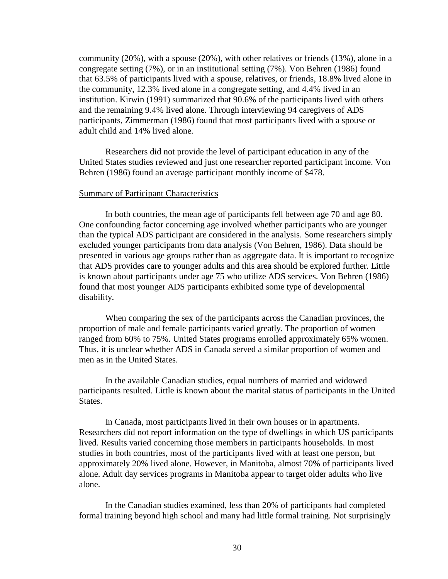community (20%), with a spouse (20%), with other relatives or friends (13%), alone in a congregate setting (7%), or in an institutional setting (7%). Von Behren (1986) found that 63.5% of participants lived with a spouse, relatives, or friends, 18.8% lived alone in the community, 12.3% lived alone in a congregate setting, and 4.4% lived in an institution. Kirwin (1991) summarized that 90.6% of the participants lived with others and the remaining 9.4% lived alone. Through interviewing 94 caregivers of ADS participants, Zimmerman (1986) found that most participants lived with a spouse or adult child and 14% lived alone.

Researchers did not provide the level of participant education in any of the United States studies reviewed and just one researcher reported participant income. Von Behren (1986) found an average participant monthly income of \$478.

### Summary of Participant Characteristics

In both countries, the mean age of participants fell between age 70 and age 80. One confounding factor concerning age involved whether participants who are younger than the typical ADS participant are considered in the analysis. Some researchers simply excluded younger participants from data analysis (Von Behren, 1986). Data should be presented in various age groups rather than as aggregate data. It is important to recognize that ADS provides care to younger adults and this area should be explored further. Little is known about participants under age 75 who utilize ADS services. Von Behren (1986) found that most younger ADS participants exhibited some type of developmental disability.

When comparing the sex of the participants across the Canadian provinces, the proportion of male and female participants varied greatly. The proportion of women ranged from 60% to 75%. United States programs enrolled approximately 65% women. Thus, it is unclear whether ADS in Canada served a similar proportion of women and men as in the United States.

In the available Canadian studies, equal numbers of married and widowed participants resulted. Little is known about the marital status of participants in the United States.

In Canada, most participants lived in their own houses or in apartments. Researchers did not report information on the type of dwellings in which US participants lived. Results varied concerning those members in participants households. In most studies in both countries, most of the participants lived with at least one person, but approximately 20% lived alone. However, in Manitoba, almost 70% of participants lived alone. Adult day services programs in Manitoba appear to target older adults who live alone.

In the Canadian studies examined, less than 20% of participants had completed formal training beyond high school and many had little formal training. Not surprisingly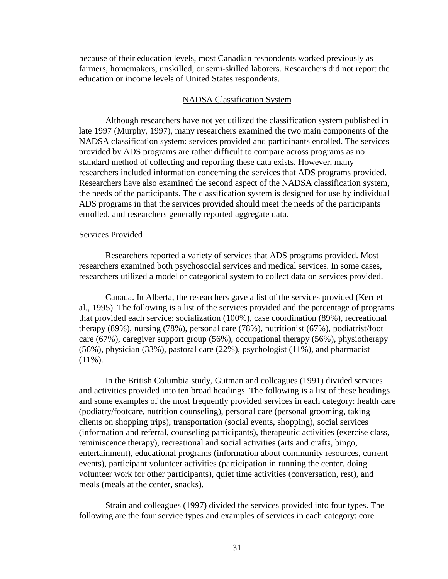because of their education levels, most Canadian respondents worked previously as farmers, homemakers, unskilled, or semi-skilled laborers. Researchers did not report the education or income levels of United States respondents.

#### NADSA Classification System

Although researchers have not yet utilized the classification system published in late 1997 (Murphy, 1997), many researchers examined the two main components of the NADSA classification system: services provided and participants enrolled. The services provided by ADS programs are rather difficult to compare across programs as no standard method of collecting and reporting these data exists. However, many researchers included information concerning the services that ADS programs provided. Researchers have also examined the second aspect of the NADSA classification system, the needs of the participants. The classification system is designed for use by individual ADS programs in that the services provided should meet the needs of the participants enrolled, and researchers generally reported aggregate data.

#### Services Provided

Researchers reported a variety of services that ADS programs provided. Most researchers examined both psychosocial services and medical services. In some cases, researchers utilized a model or categorical system to collect data on services provided.

Canada. In Alberta, the researchers gave a list of the services provided (Kerr et al., 1995). The following is a list of the services provided and the percentage of programs that provided each service: socialization (100%), case coordination (89%), recreational therapy (89%), nursing (78%), personal care (78%), nutritionist (67%), podiatrist/foot care (67%), caregiver support group (56%), occupational therapy (56%), physiotherapy (56%), physician (33%), pastoral care (22%), psychologist (11%), and pharmacist  $(11\%)$ .

In the British Columbia study, Gutman and colleagues (1991) divided services and activities provided into ten broad headings. The following is a list of these headings and some examples of the most frequently provided services in each category: health care (podiatry/footcare, nutrition counseling), personal care (personal grooming, taking clients on shopping trips), transportation (social events, shopping), social services (information and referral, counseling participants), therapeutic activities (exercise class, reminiscence therapy), recreational and social activities (arts and crafts, bingo, entertainment), educational programs (information about community resources, current events), participant volunteer activities (participation in running the center, doing volunteer work for other participants), quiet time activities (conversation, rest), and meals (meals at the center, snacks).

Strain and colleagues (1997) divided the services provided into four types. The following are the four service types and examples of services in each category: core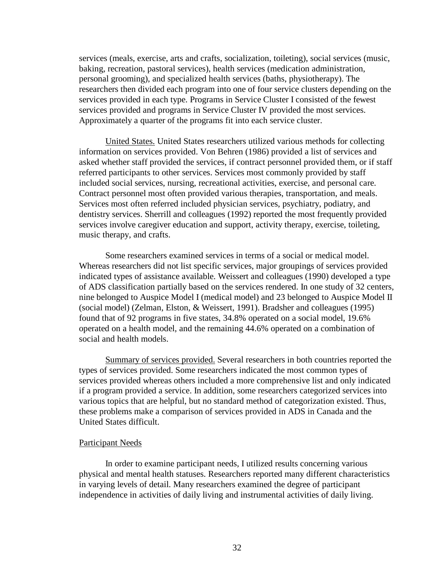services (meals, exercise, arts and crafts, socialization, toileting), social services (music, baking, recreation, pastoral services), health services (medication administration, personal grooming), and specialized health services (baths, physiotherapy). The researchers then divided each program into one of four service clusters depending on the services provided in each type. Programs in Service Cluster I consisted of the fewest services provided and programs in Service Cluster IV provided the most services. Approximately a quarter of the programs fit into each service cluster.

United States. United States researchers utilized various methods for collecting information on services provided. Von Behren (1986) provided a list of services and asked whether staff provided the services, if contract personnel provided them, or if staff referred participants to other services. Services most commonly provided by staff included social services, nursing, recreational activities, exercise, and personal care. Contract personnel most often provided various therapies, transportation, and meals. Services most often referred included physician services, psychiatry, podiatry, and dentistry services. Sherrill and colleagues (1992) reported the most frequently provided services involve caregiver education and support, activity therapy, exercise, toileting, music therapy, and crafts.

Some researchers examined services in terms of a social or medical model. Whereas researchers did not list specific services, major groupings of services provided indicated types of assistance available. Weissert and colleagues (1990) developed a type of ADS classification partially based on the services rendered. In one study of 32 centers, nine belonged to Auspice Model I (medical model) and 23 belonged to Auspice Model II (social model) (Zelman, Elston, & Weissert, 1991). Bradsher and colleagues (1995) found that of 92 programs in five states, 34.8% operated on a social model, 19.6% operated on a health model, and the remaining 44.6% operated on a combination of social and health models.

Summary of services provided. Several researchers in both countries reported the types of services provided. Some researchers indicated the most common types of services provided whereas others included a more comprehensive list and only indicated if a program provided a service. In addition, some researchers categorized services into various topics that are helpful, but no standard method of categorization existed. Thus, these problems make a comparison of services provided in ADS in Canada and the United States difficult.

### Participant Needs

In order to examine participant needs, I utilized results concerning various physical and mental health statuses. Researchers reported many different characteristics in varying levels of detail. Many researchers examined the degree of participant independence in activities of daily living and instrumental activities of daily living.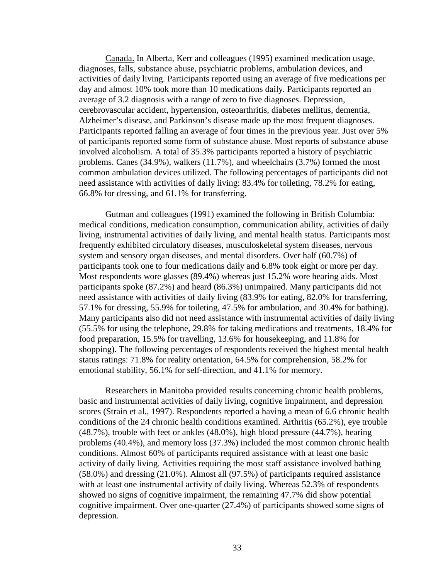Canada. In Alberta, Kerr and colleagues (1995) examined medication usage, diagnoses, falls, substance abuse, psychiatric problems, ambulation devices, and activities of daily living. Participants reported using an average of five medications per day and almost 10% took more than 10 medications daily. Participants reported an average of 3.2 diagnosis with a range of zero to five diagnoses. Depression, cerebrovascular accident, hypertension, osteoarthritis, diabetes mellitus, dementia, Alzheimer's disease, and Parkinson's disease made up the most frequent diagnoses. Participants reported falling an average of four times in the previous year. Just over 5% of participants reported some form of substance abuse. Most reports of substance abuse involved alcoholism. A total of 35.3% participants reported a history of psychiatric problems. Canes (34.9%), walkers (11.7%), and wheelchairs (3.7%) formed the most common ambulation devices utilized. The following percentages of participants did not need assistance with activities of daily living: 83.4% for toileting, 78.2% for eating, 66.8% for dressing, and 61.1% for transferring.

Gutman and colleagues (1991) examined the following in British Columbia: medical conditions, medication consumption, communication ability, activities of daily living, instrumental activities of daily living, and mental health status. Participants most frequently exhibited circulatory diseases, musculoskeletal system diseases, nervous system and sensory organ diseases, and mental disorders. Over half (60.7%) of participants took one to four medications daily and 6.8% took eight or more per day. Most respondents wore glasses (89.4%) whereas just 15.2% wore hearing aids. Most participants spoke (87.2%) and heard (86.3%) unimpaired. Many participants did not need assistance with activities of daily living (83.9% for eating, 82.0% for transferring, 57.1% for dressing, 55.9% for toileting, 47.5% for ambulation, and 30.4% for bathing). Many participants also did not need assistance with instrumental activities of daily living (55.5% for using the telephone, 29.8% for taking medications and treatments, 18.4% for food preparation, 15.5% for travelling, 13.6% for housekeeping, and 11.8% for shopping). The following percentages of respondents received the highest mental health status ratings: 71.8% for reality orientation, 64.5% for comprehension, 58.2% for emotional stability, 56.1% for self-direction, and 41.1% for memory.

Researchers in Manitoba provided results concerning chronic health problems, basic and instrumental activities of daily living, cognitive impairment, and depression scores (Strain et al., 1997). Respondents reported a having a mean of 6.6 chronic health conditions of the 24 chronic health conditions examined. Arthritis (65.2%), eye trouble (48.7%), trouble with feet or ankles (48.0%), high blood pressure (44.7%), hearing problems (40.4%), and memory loss (37.3%) included the most common chronic health conditions. Almost 60% of participants required assistance with at least one basic activity of daily living. Activities requiring the most staff assistance involved bathing (58.0%) and dressing (21.0%). Almost all (97.5%) of participants required assistance with at least one instrumental activity of daily living. Whereas 52.3% of respondents showed no signs of cognitive impairment, the remaining 47.7% did show potential cognitive impairment. Over one-quarter (27.4%) of participants showed some signs of depression.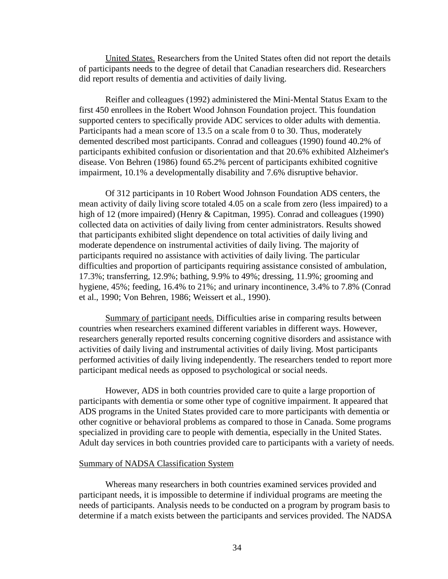United States. Researchers from the United States often did not report the details of participants needs to the degree of detail that Canadian researchers did. Researchers did report results of dementia and activities of daily living.

Reifler and colleagues (1992) administered the Mini-Mental Status Exam to the first 450 enrollees in the Robert Wood Johnson Foundation project. This foundation supported centers to specifically provide ADC services to older adults with dementia. Participants had a mean score of 13.5 on a scale from 0 to 30. Thus, moderately demented described most participants. Conrad and colleagues (1990) found 40.2% of participants exhibited confusion or disorientation and that 20.6% exhibited Alzheimer's disease. Von Behren (1986) found 65.2% percent of participants exhibited cognitive impairment, 10.1% a developmentally disability and 7.6% disruptive behavior.

Of 312 participants in 10 Robert Wood Johnson Foundation ADS centers, the mean activity of daily living score totaled 4.05 on a scale from zero (less impaired) to a high of 12 (more impaired) (Henry & Capitman, 1995). Conrad and colleagues (1990) collected data on activities of daily living from center administrators. Results showed that participants exhibited slight dependence on total activities of daily living and moderate dependence on instrumental activities of daily living. The majority of participants required no assistance with activities of daily living. The particular difficulties and proportion of participants requiring assistance consisted of ambulation, 17.3%; transferring, 12.9%; bathing, 9.9% to 49%; dressing, 11.9%; grooming and hygiene, 45%; feeding, 16.4% to 21%; and urinary incontinence, 3.4% to 7.8% (Conrad et al., 1990; Von Behren, 1986; Weissert et al., 1990).

Summary of participant needs. Difficulties arise in comparing results between countries when researchers examined different variables in different ways. However, researchers generally reported results concerning cognitive disorders and assistance with activities of daily living and instrumental activities of daily living. Most participants performed activities of daily living independently. The researchers tended to report more participant medical needs as opposed to psychological or social needs.

However, ADS in both countries provided care to quite a large proportion of participants with dementia or some other type of cognitive impairment. It appeared that ADS programs in the United States provided care to more participants with dementia or other cognitive or behavioral problems as compared to those in Canada. Some programs specialized in providing care to people with dementia, especially in the United States. Adult day services in both countries provided care to participants with a variety of needs.

### Summary of NADSA Classification System

Whereas many researchers in both countries examined services provided and participant needs, it is impossible to determine if individual programs are meeting the needs of participants. Analysis needs to be conducted on a program by program basis to determine if a match exists between the participants and services provided. The NADSA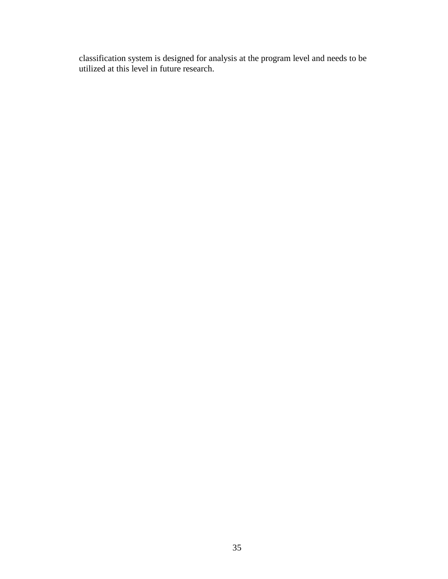classification system is designed for analysis at the program level and needs to be utilized at this level in future research.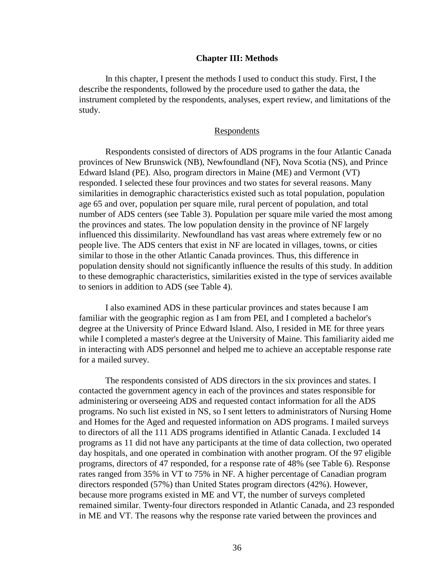### **Chapter III: Methods**

In this chapter, I present the methods I used to conduct this study. First, I the describe the respondents, followed by the procedure used to gather the data, the instrument completed by the respondents, analyses, expert review, and limitations of the study.

## Respondents

Respondents consisted of directors of ADS programs in the four Atlantic Canada provinces of New Brunswick (NB), Newfoundland (NF), Nova Scotia (NS), and Prince Edward Island (PE). Also, program directors in Maine (ME) and Vermont (VT) responded. I selected these four provinces and two states for several reasons. Many similarities in demographic characteristics existed such as total population, population age 65 and over, population per square mile, rural percent of population, and total number of ADS centers (see Table 3). Population per square mile varied the most among the provinces and states. The low population density in the province of NF largely influenced this dissimilarity. Newfoundland has vast areas where extremely few or no people live. The ADS centers that exist in NF are located in villages, towns, or cities similar to those in the other Atlantic Canada provinces. Thus, this difference in population density should not significantly influence the results of this study. In addition to these demographic characteristics, similarities existed in the type of services available to seniors in addition to ADS (see Table 4).

I also examined ADS in these particular provinces and states because I am familiar with the geographic region as I am from PEI, and I completed a bachelor's degree at the University of Prince Edward Island. Also, I resided in ME for three years while I completed a master's degree at the University of Maine. This familiarity aided me in interacting with ADS personnel and helped me to achieve an acceptable response rate for a mailed survey.

The respondents consisted of ADS directors in the six provinces and states. I contacted the government agency in each of the provinces and states responsible for administering or overseeing ADS and requested contact information for all the ADS programs. No such list existed in NS, so I sent letters to administrators of Nursing Home and Homes for the Aged and requested information on ADS programs. I mailed surveys to directors of all the 111 ADS programs identified in Atlantic Canada. I excluded 14 programs as 11 did not have any participants at the time of data collection, two operated day hospitals, and one operated in combination with another program. Of the 97 eligible programs, directors of 47 responded, for a response rate of 48% (see Table 6). Response rates ranged from 35% in VT to 75% in NF. A higher percentage of Canadian program directors responded (57%) than United States program directors (42%). However, because more programs existed in ME and VT, the number of surveys completed remained similar. Twenty-four directors responded in Atlantic Canada, and 23 responded in ME and VT. The reasons why the response rate varied between the provinces and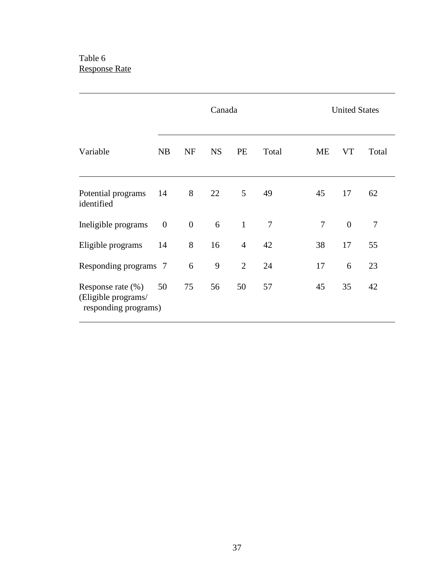# Table 6 Response Rate

|                                                                     |                  |                | Canada    |                | <b>United States</b> |                |                |        |
|---------------------------------------------------------------------|------------------|----------------|-----------|----------------|----------------------|----------------|----------------|--------|
| Variable                                                            | NB               | <b>NF</b>      | <b>NS</b> | PE             | Total                | ME             | VT             | Total  |
| Potential programs<br>identified                                    | 14               | 8              | 22        | 5              | 49                   | 45             | 17             | 62     |
| Ineligible programs                                                 | $\boldsymbol{0}$ | $\overline{0}$ | 6         | $\mathbf{1}$   | $\overline{7}$       | $\overline{7}$ | $\overline{0}$ | $\tau$ |
| Eligible programs                                                   | 14               | 8              | 16        | $\overline{4}$ | 42                   | 38             | 17             | 55     |
| Responding programs 7                                               |                  | 6              | 9         | $\overline{2}$ | 24                   | 17             | 6              | 23     |
| Response rate $(\%)$<br>(Eligible programs/<br>responding programs) | 50               | 75             | 56        | 50             | 57                   | 45             | 35             | 42     |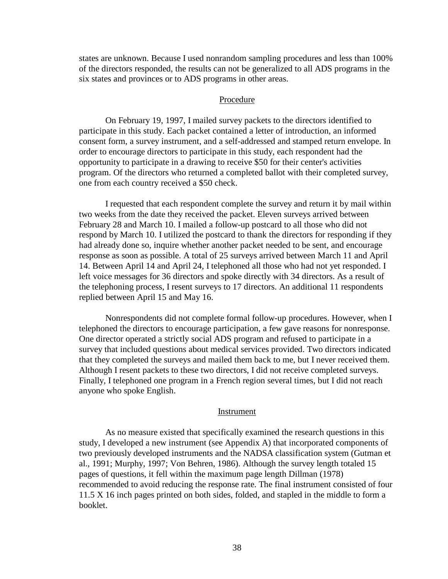states are unknown. Because I used nonrandom sampling procedures and less than 100% of the directors responded, the results can not be generalized to all ADS programs in the six states and provinces or to ADS programs in other areas.

#### Procedure

On February 19, 1997, I mailed survey packets to the directors identified to participate in this study. Each packet contained a letter of introduction, an informed consent form, a survey instrument, and a self-addressed and stamped return envelope. In order to encourage directors to participate in this study, each respondent had the opportunity to participate in a drawing to receive \$50 for their center's activities program. Of the directors who returned a completed ballot with their completed survey, one from each country received a \$50 check.

I requested that each respondent complete the survey and return it by mail within two weeks from the date they received the packet. Eleven surveys arrived between February 28 and March 10. I mailed a follow-up postcard to all those who did not respond by March 10. I utilized the postcard to thank the directors for responding if they had already done so, inquire whether another packet needed to be sent, and encourage response as soon as possible. A total of 25 surveys arrived between March 11 and April 14. Between April 14 and April 24, I telephoned all those who had not yet responded. I left voice messages for 36 directors and spoke directly with 34 directors. As a result of the telephoning process, I resent surveys to 17 directors. An additional 11 respondents replied between April 15 and May 16.

Nonrespondents did not complete formal follow-up procedures. However, when I telephoned the directors to encourage participation, a few gave reasons for nonresponse. One director operated a strictly social ADS program and refused to participate in a survey that included questions about medical services provided. Two directors indicated that they completed the surveys and mailed them back to me, but I never received them. Although I resent packets to these two directors, I did not receive completed surveys. Finally, I telephoned one program in a French region several times, but I did not reach anyone who spoke English.

### Instrument

As no measure existed that specifically examined the research questions in this study, I developed a new instrument (see Appendix A) that incorporated components of two previously developed instruments and the NADSA classification system (Gutman et al., 1991; Murphy, 1997; Von Behren, 1986). Although the survey length totaled 15 pages of questions, it fell within the maximum page length Dillman (1978) recommended to avoid reducing the response rate. The final instrument consisted of four 11.5 X 16 inch pages printed on both sides, folded, and stapled in the middle to form a booklet.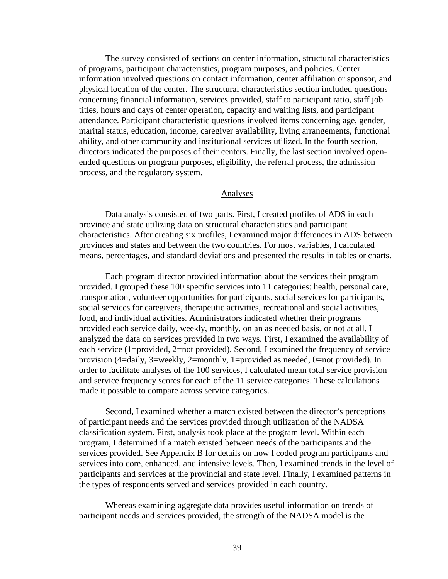The survey consisted of sections on center information, structural characteristics of programs, participant characteristics, program purposes, and policies. Center information involved questions on contact information, center affiliation or sponsor, and physical location of the center. The structural characteristics section included questions concerning financial information, services provided, staff to participant ratio, staff job titles, hours and days of center operation, capacity and waiting lists, and participant attendance. Participant characteristic questions involved items concerning age, gender, marital status, education, income, caregiver availability, living arrangements, functional ability, and other community and institutional services utilized. In the fourth section, directors indicated the purposes of their centers. Finally, the last section involved openended questions on program purposes, eligibility, the referral process, the admission process, and the regulatory system.

## Analyses

Data analysis consisted of two parts. First, I created profiles of ADS in each province and state utilizing data on structural characteristics and participant characteristics. After creating six profiles, I examined major differences in ADS between provinces and states and between the two countries. For most variables, I calculated means, percentages, and standard deviations and presented the results in tables or charts.

Each program director provided information about the services their program provided. I grouped these 100 specific services into 11 categories: health, personal care, transportation, volunteer opportunities for participants, social services for participants, social services for caregivers, therapeutic activities, recreational and social activities, food, and individual activities. Administrators indicated whether their programs provided each service daily, weekly, monthly, on an as needed basis, or not at all. I analyzed the data on services provided in two ways. First, I examined the availability of each service (1=provided, 2=not provided). Second, I examined the frequency of service provision (4=daily, 3=weekly, 2=monthly, 1=provided as needed, 0=not provided). In order to facilitate analyses of the 100 services, I calculated mean total service provision and service frequency scores for each of the 11 service categories. These calculations made it possible to compare across service categories.

Second, I examined whether a match existed between the director's perceptions of participant needs and the services provided through utilization of the NADSA classification system. First, analysis took place at the program level. Within each program, I determined if a match existed between needs of the participants and the services provided. See Appendix B for details on how I coded program participants and services into core, enhanced, and intensive levels. Then, I examined trends in the level of participants and services at the provincial and state level. Finally, I examined patterns in the types of respondents served and services provided in each country.

Whereas examining aggregate data provides useful information on trends of participant needs and services provided, the strength of the NADSA model is the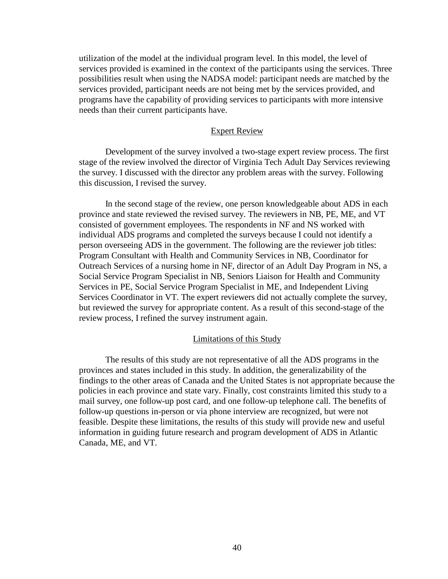utilization of the model at the individual program level. In this model, the level of services provided is examined in the context of the participants using the services. Three possibilities result when using the NADSA model: participant needs are matched by the services provided, participant needs are not being met by the services provided, and programs have the capability of providing services to participants with more intensive needs than their current participants have.

### Expert Review

Development of the survey involved a two-stage expert review process. The first stage of the review involved the director of Virginia Tech Adult Day Services reviewing the survey. I discussed with the director any problem areas with the survey. Following this discussion, I revised the survey.

In the second stage of the review, one person knowledgeable about ADS in each province and state reviewed the revised survey. The reviewers in NB, PE, ME, and VT consisted of government employees. The respondents in NF and NS worked with individual ADS programs and completed the surveys because I could not identify a person overseeing ADS in the government. The following are the reviewer job titles: Program Consultant with Health and Community Services in NB, Coordinator for Outreach Services of a nursing home in NF, director of an Adult Day Program in NS, a Social Service Program Specialist in NB, Seniors Liaison for Health and Community Services in PE, Social Service Program Specialist in ME, and Independent Living Services Coordinator in VT. The expert reviewers did not actually complete the survey, but reviewed the survey for appropriate content. As a result of this second-stage of the review process, I refined the survey instrument again.

## Limitations of this Study

The results of this study are not representative of all the ADS programs in the provinces and states included in this study. In addition, the generalizability of the findings to the other areas of Canada and the United States is not appropriate because the policies in each province and state vary. Finally, cost constraints limited this study to a mail survey, one follow-up post card, and one follow-up telephone call. The benefits of follow-up questions in-person or via phone interview are recognized, but were not feasible. Despite these limitations, the results of this study will provide new and useful information in guiding future research and program development of ADS in Atlantic Canada, ME, and VT.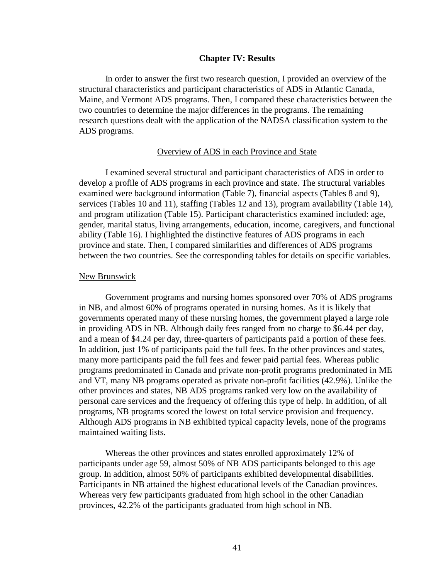### **Chapter IV: Results**

In order to answer the first two research question, I provided an overview of the structural characteristics and participant characteristics of ADS in Atlantic Canada, Maine, and Vermont ADS programs. Then, I compared these characteristics between the two countries to determine the major differences in the programs. The remaining research questions dealt with the application of the NADSA classification system to the ADS programs.

## Overview of ADS in each Province and State

I examined several structural and participant characteristics of ADS in order to develop a profile of ADS programs in each province and state. The structural variables examined were background information (Table 7), financial aspects (Tables 8 and 9), services (Tables 10 and 11), staffing (Tables 12 and 13), program availability (Table 14), and program utilization (Table 15). Participant characteristics examined included: age, gender, marital status, living arrangements, education, income, caregivers, and functional ability (Table 16). I highlighted the distinctive features of ADS programs in each province and state. Then, I compared similarities and differences of ADS programs between the two countries. See the corresponding tables for details on specific variables.

### New Brunswick

Government programs and nursing homes sponsored over 70% of ADS programs in NB, and almost 60% of programs operated in nursing homes. As it is likely that governments operated many of these nursing homes, the government played a large role in providing ADS in NB. Although daily fees ranged from no charge to \$6.44 per day, and a mean of \$4.24 per day, three-quarters of participants paid a portion of these fees. In addition, just 1% of participants paid the full fees. In the other provinces and states, many more participants paid the full fees and fewer paid partial fees. Whereas public programs predominated in Canada and private non-profit programs predominated in ME and VT, many NB programs operated as private non-profit facilities (42.9%). Unlike the other provinces and states, NB ADS programs ranked very low on the availability of personal care services and the frequency of offering this type of help. In addition, of all programs, NB programs scored the lowest on total service provision and frequency. Although ADS programs in NB exhibited typical capacity levels, none of the programs maintained waiting lists.

Whereas the other provinces and states enrolled approximately 12% of participants under age 59, almost 50% of NB ADS participants belonged to this age group. In addition, almost 50% of participants exhibited developmental disabilities. Participants in NB attained the highest educational levels of the Canadian provinces. Whereas very few participants graduated from high school in the other Canadian provinces, 42.2% of the participants graduated from high school in NB.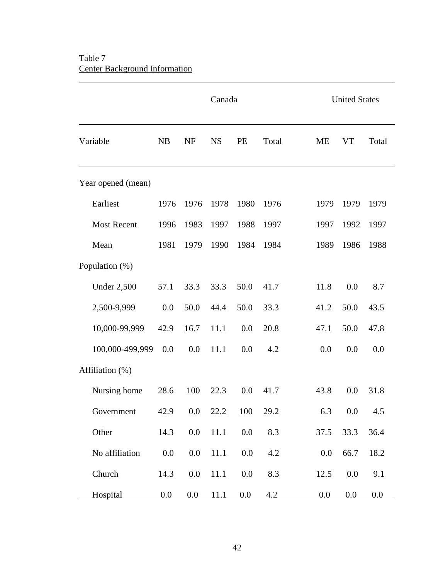# Table 7 Center Background Information

 $\overline{a}$ 

|                    |      |           | Canada      |      |       |           | <b>United States</b> |       |
|--------------------|------|-----------|-------------|------|-------|-----------|----------------------|-------|
| Variable           | NB   | <b>NF</b> | <b>NS</b>   | PE   | Total | <b>ME</b> | <b>VT</b>            | Total |
| Year opened (mean) |      |           |             |      |       |           |                      |       |
| Earliest           | 1976 | 1976      | 1978        | 1980 | 1976  | 1979      | 1979                 | 1979  |
| <b>Most Recent</b> | 1996 | 1983      | 1997        | 1988 | 1997  | 1997      | 1992                 | 1997  |
| Mean               | 1981 | 1979      | 1990        | 1984 | 1984  | 1989      | 1986                 | 1988  |
| Population (%)     |      |           |             |      |       |           |                      |       |
| <b>Under 2,500</b> | 57.1 | 33.3      | 33.3        | 50.0 | 41.7  | 11.8      | 0.0                  | 8.7   |
| 2,500-9,999        | 0.0  | 50.0      | 44.4        | 50.0 | 33.3  | 41.2      | 50.0                 | 43.5  |
| 10,000-99,999      | 42.9 | 16.7      | 11.1        | 0.0  | 20.8  | 47.1      | 50.0                 | 47.8  |
| 100,000-499,999    | 0.0  | 0.0       | 11.1        | 0.0  | 4.2   | 0.0       | 0.0                  | 0.0   |
| Affiliation (%)    |      |           |             |      |       |           |                      |       |
| Nursing home       | 28.6 | 100       | 22.3        | 0.0  | 41.7  | 43.8      | 0.0                  | 31.8  |
| Government         | 42.9 | $0.0\,$   | 22.2        | 100  | 29.2  | 6.3       | $0.0\,$              | 4.5   |
| Other              | 14.3 | 0.0       | 11.1        | 0.0  | 8.3   | 37.5      | 33.3                 | 36.4  |
| No affiliation     | 0.0  | 0.0       | 11.1        | 0.0  | 4.2   | 0.0       | 66.7                 | 18.2  |
| Church             | 14.3 | 0.0       | 11.1        | 0.0  | 8.3   | 12.5      | 0.0                  | 9.1   |
| Hospital           | 0.0  | 0.0       | <u>11.1</u> | 0.0  | 4.2   | 0.0       | 0.0                  | 0.0   |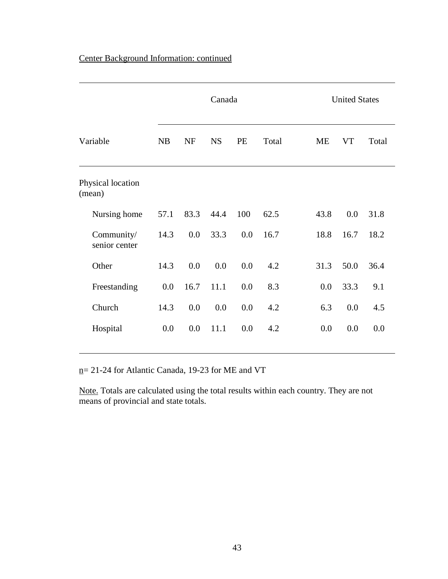# Center Background Information: continued

|                             | Canada    |           |           |     |       |           |           | <b>United States</b> |  |
|-----------------------------|-----------|-----------|-----------|-----|-------|-----------|-----------|----------------------|--|
| Variable                    | <b>NB</b> | <b>NF</b> | <b>NS</b> | PE  | Total | <b>ME</b> | <b>VT</b> | Total                |  |
| Physical location<br>(mean) |           |           |           |     |       |           |           |                      |  |
| Nursing home                | 57.1      | 83.3      | 44.4      | 100 | 62.5  | 43.8      | 0.0       | 31.8                 |  |
| Community/<br>senior center | 14.3      | 0.0       | 33.3      | 0.0 | 16.7  | 18.8      | 16.7      | 18.2                 |  |
| Other                       | 14.3      | 0.0       | 0.0       | 0.0 | 4.2   | 31.3      | 50.0      | 36.4                 |  |
| Freestanding                | 0.0       | 16.7      | 11.1      | 0.0 | 8.3   | 0.0       | 33.3      | 9.1                  |  |
| Church                      | 14.3      | 0.0       | 0.0       | 0.0 | 4.2   | 6.3       | 0.0       | 4.5                  |  |
| Hospital                    | 0.0       | 0.0       | 11.1      | 0.0 | 4.2   | 0.0       | 0.0       | 0.0                  |  |

n= 21-24 for Atlantic Canada, 19-23 for ME and VT

 $\overline{a}$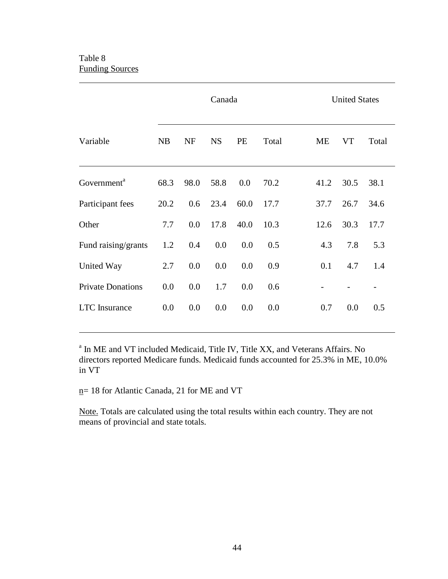## Table 8 Funding Sources

 $\overline{a}$ 

 $\overline{a}$ 

|                          |      |           | Canada    |      |       | <b>United States</b> |           |       |
|--------------------------|------|-----------|-----------|------|-------|----------------------|-----------|-------|
| Variable                 | NB   | <b>NF</b> | <b>NS</b> | PE   | Total | ME                   | <b>VT</b> | Total |
| Government <sup>a</sup>  | 68.3 | 98.0      | 58.8      | 0.0  | 70.2  | 41.2                 | 30.5      | 38.1  |
| Participant fees         | 20.2 | 0.6       | 23.4      | 60.0 | 17.7  | 37.7                 | 26.7      | 34.6  |
| Other                    | 7.7  | 0.0       | 17.8      | 40.0 | 10.3  | 12.6                 | 30.3      | 17.7  |
| Fund raising/grants      | 1.2  | 0.4       | 0.0       | 0.0  | 0.5   | 4.3                  | 7.8       | 5.3   |
| United Way               | 2.7  | 0.0       | 0.0       | 0.0  | 0.9   | 0.1                  | 4.7       | 1.4   |
| <b>Private Donations</b> | 0.0  | 0.0       | 1.7       | 0.0  | 0.6   |                      |           |       |
| <b>LTC</b> Insurance     | 0.0  | 0.0       | 0.0       | 0.0  | 0.0   | 0.7                  | 0.0       | 0.5   |

<sup>a</sup> In ME and VT included Medicaid, Title IV, Title XX, and Veterans Affairs. No directors reported Medicare funds. Medicaid funds accounted for 25.3% in ME, 10.0% in VT

n= 18 for Atlantic Canada, 21 for ME and VT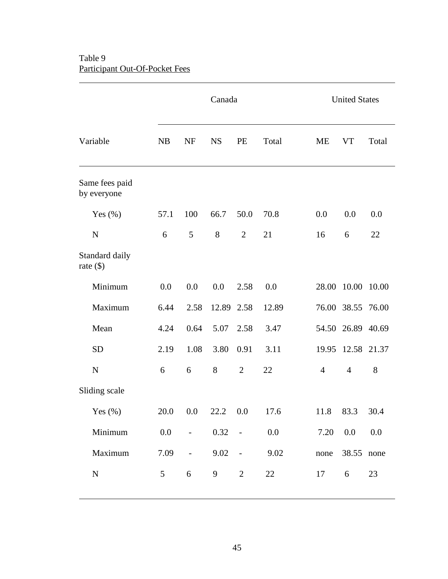# Table 9 Participant Out-Of-Pocket Fees

 $\overline{a}$ 

|                               | Canada  |                          |            |                |               | <b>United States</b> |                |         |
|-------------------------------|---------|--------------------------|------------|----------------|---------------|----------------------|----------------|---------|
| Variable                      | NB      | <b>NF</b>                | <b>NS</b>  | PE             | Total         | <b>ME</b>            | <b>VT</b>      | Total   |
| Same fees paid<br>by everyone |         |                          |            |                |               |                      |                |         |
| Yes $(\%)$                    | 57.1    | 100                      | 66.7       | 50.0           | 70.8          | 0.0                  | 0.0            | 0.0     |
| $\mathbf N$                   | 6       | 5                        | 8          | $\overline{2}$ | 21            | 16                   | 6              | 22      |
| Standard daily<br>rate $(\$)$ |         |                          |            |                |               |                      |                |         |
| Minimum                       | 0.0     | 0.0                      | 0.0        | 2.58           | 0.0           | 28.00                | 10.00          | 10.00   |
| Maximum                       | 6.44    | 2.58                     | 12.89 2.58 |                | 12.89         |                      | 76.00 38.55    | 76.00   |
| Mean                          | 4.24    | 0.64                     | 5.07       | 2.58           | 3.47          |                      | 54.50 26.89    | 40.69   |
| <b>SD</b>                     | 2.19    | 1.08                     | 3.80       | 0.91           | 3.11          | 19.95                | 12.58 21.37    |         |
| $\mathbf N$                   | 6       | 6                        | 8          | $\overline{2}$ | 22            | $\overline{4}$       | $\overline{4}$ | 8       |
| Sliding scale                 |         |                          |            |                |               |                      |                |         |
| Yes $(\%)$                    |         | $20.0\ 0.0$              |            |                | 22.2 0.0 17.6 | 11.8                 | 83.3           | 30.4    |
| Minimum                       | $0.0\,$ | $\sim 10^{-1}$           | $0.32 -$   |                | $0.0\,$       | 7.20                 | 0.0            | $0.0\,$ |
| Maximum                       | 7.09    | $\overline{\phantom{a}}$ | $9.02 -$   |                | 9.02          | none                 | 38.55 none     |         |
| ${\bf N}$                     | 5       | 6                        | 9          | $\overline{2}$ | 22            | 17                   | 6              | 23      |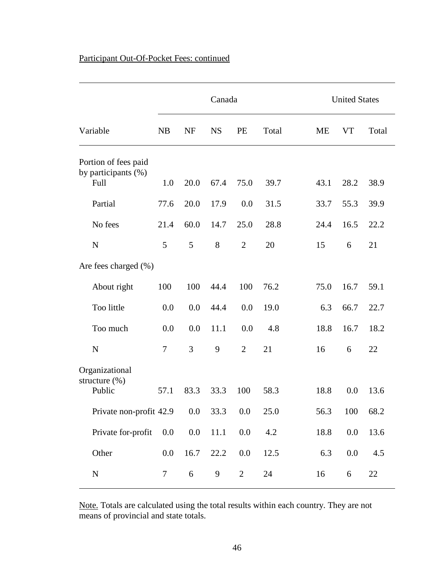# Participant Out-Of-Pocket Fees: continued

|                                                     |                  |           | Canada    |                |       |      | <b>United States</b> |       |
|-----------------------------------------------------|------------------|-----------|-----------|----------------|-------|------|----------------------|-------|
| Variable                                            | <b>NB</b>        | <b>NF</b> | <b>NS</b> | PE             | Total | ME   | <b>VT</b>            | Total |
| Portion of fees paid<br>by participants (%)<br>Full | 1.0              | 20.0      | 67.4      | 75.0           | 39.7  | 43.1 | 28.2                 | 38.9  |
| Partial                                             | 77.6             | 20.0      | 17.9      | 0.0            | 31.5  | 33.7 | 55.3                 | 39.9  |
| No fees                                             | 21.4             | 60.0      | 14.7      | 25.0           | 28.8  | 24.4 | 16.5                 | 22.2  |
| $\mathbf N$                                         | 5                | 5         | 8         | $\overline{2}$ | 20    | 15   | 6                    | 21    |
| Are fees charged $(\%)$                             |                  |           |           |                |       |      |                      |       |
| About right                                         | 100              | 100       | 44.4      | 100            | 76.2  | 75.0 | 16.7                 | 59.1  |
| Too little                                          | 0.0              | 0.0       | 44.4      | 0.0            | 19.0  | 6.3  | 66.7                 | 22.7  |
| Too much                                            | 0.0              | 0.0       | 11.1      | 0.0            | 4.8   | 18.8 | 16.7                 | 18.2  |
| $\mathbf N$                                         | $\tau$           | 3         | 9         | $\overline{2}$ | 21    | 16   | 6                    | 22    |
| Organizational<br>structure $(\% )$<br>Public       | 57.1             | 83.3      | 33.3      | 100            | 58.3  | 18.8 | 0.0                  | 13.6  |
| Private non-profit 42.9                             |                  | 0.0       | 33.3      | $0.0\,$        | 25.0  | 56.3 | 100                  | 68.2  |
| Private for-profit                                  | 0.0              | 0.0       | 11.1      | $0.0\,$        | 4.2   | 18.8 | 0.0                  | 13.6  |
| Other                                               | 0.0              | 16.7      | 22.2      | 0.0            | 12.5  | 6.3  | 0.0                  | 4.5   |
| ${\bf N}$                                           | $\boldsymbol{7}$ | 6         | 9         | $\overline{2}$ | 24    | 16   | 6                    | 22    |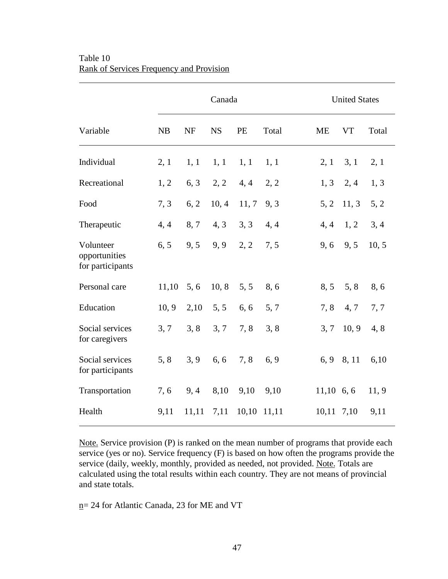|                                                | Canada |       |           |       |       |              | <b>United States</b> |       |  |  |
|------------------------------------------------|--------|-------|-----------|-------|-------|--------------|----------------------|-------|--|--|
| Variable                                       | NB     | NF    | <b>NS</b> | PE    | Total | <b>ME</b>    | <b>VT</b>            | Total |  |  |
| Individual                                     | 2, 1   | 1, 1  | 1, 1      | 1, 1  | 1, 1  | 2, 1         | 3, 1                 | 2, 1  |  |  |
| Recreational                                   | 1, 2   | 6, 3  | 2, 2      | 4, 4  | 2, 2  | 1, 3         | 2, 4                 | 1, 3  |  |  |
| Food                                           | 7, 3   | 6, 2  | 10, 4     | 11, 7 | 9, 3  | 5, 2         | 11, 3                | 5, 2  |  |  |
| Therapeutic                                    | 4, 4   | 8,7   | 4, 3      | 3, 3  | 4, 4  | 4, 4         | 1, 2                 | 3, 4  |  |  |
| Volunteer<br>opportunities<br>for participants | 6, 5   | 9, 5  | 9, 9      | 2, 2  | 7, 5  | 9,6          | 9, 5                 | 10, 5 |  |  |
| Personal care                                  | 11,10  | 5, 6  | 10, 8     | 5, 5  | 8,6   | 8, 5         | 5, 8                 | 8,6   |  |  |
| Education                                      | 10, 9  | 2,10  | 5, 5      | 6, 6  | 5, 7  | 7, 8         | 4, 7                 | 7,7   |  |  |
| Social services<br>for caregivers              | 3, 7   | 3, 8  | 3, 7      | 7, 8  | 3, 8  | 3, 7         | 10, 9                | 4,8   |  |  |
| Social services<br>for participants            | 5, 8   | 3, 9  | 6, 6      | 7, 8  | 6, 9  |              | 6, 9 8, 11           | 6,10  |  |  |
| Transportation                                 | 7, 6   | 9,4   | 8,10      | 9,10  | 9,10  | $11,10$ 6, 6 |                      | 11, 9 |  |  |
| Health                                         | 9,11   | 11,11 | 7,11      | 10,10 | 11,11 | 10,11        | 7,10                 | 9,11  |  |  |

## Table 10 Rank of Services Frequency and Provision

 $\overline{a}$ 

Note. Service provision (P) is ranked on the mean number of programs that provide each service (yes or no). Service frequency (F) is based on how often the programs provide the service (daily, weekly, monthly, provided as needed, not provided. Note. Totals are calculated using the total results within each country. They are not means of provincial and state totals.

n= 24 for Atlantic Canada, 23 for ME and VT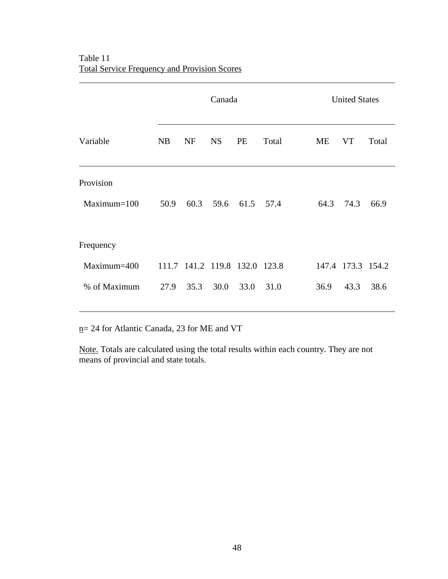$\overline{a}$ 

|               |           | Canada                        |           |           |       |  | <b>United States</b> |                   |       |  |
|---------------|-----------|-------------------------------|-----------|-----------|-------|--|----------------------|-------------------|-------|--|
| Variable      | <b>NB</b> | <b>NF</b>                     | <b>NS</b> | PE        | Total |  | ME                   | <b>VT</b>         | Total |  |
| Provision     |           |                               |           |           |       |  |                      |                   |       |  |
| $Maximum=100$ | 50.9      | 60.3                          | 59.6      | 61.5 57.4 |       |  | 64.3                 | 74.3              | 66.9  |  |
| Frequency     |           |                               |           |           |       |  |                      |                   |       |  |
| Maximum=400   |           | 111.7 141.2 119.8 132.0 123.8 |           |           |       |  |                      | 147.4 173.3 154.2 |       |  |
| % of Maximum  |           | 27.9 35.3                     | 30.0      | 33.0      | 31.0  |  | 36.9                 | 43.3              | 38.6  |  |

n= 24 for Atlantic Canada, 23 for ME and VT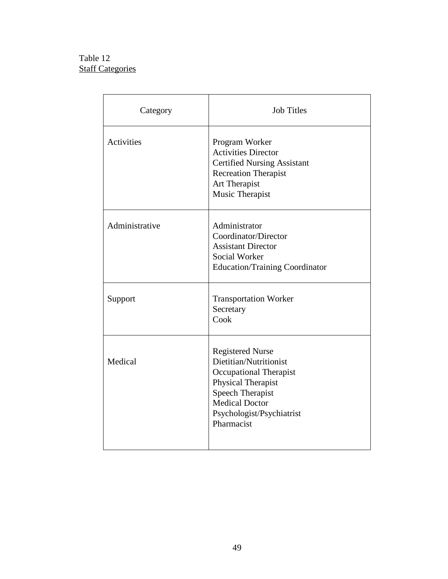# Table 12 **Staff Categories**

| Category       | <b>Job Titles</b>                                                                                                                                                                                |
|----------------|--------------------------------------------------------------------------------------------------------------------------------------------------------------------------------------------------|
| Activities     | Program Worker<br><b>Activities Director</b><br><b>Certified Nursing Assistant</b><br><b>Recreation Therapist</b><br>Art Therapist<br>Music Therapist                                            |
| Administrative | Administrator<br>Coordinator/Director<br><b>Assistant Director</b><br>Social Worker<br><b>Education/Training Coordinator</b>                                                                     |
| Support        | <b>Transportation Worker</b><br>Secretary<br>Cook                                                                                                                                                |
| Medical        | <b>Registered Nurse</b><br>Dietitian/Nutritionist<br>Occupational Therapist<br>Physical Therapist<br><b>Speech Therapist</b><br><b>Medical Doctor</b><br>Psychologist/Psychiatrist<br>Pharmacist |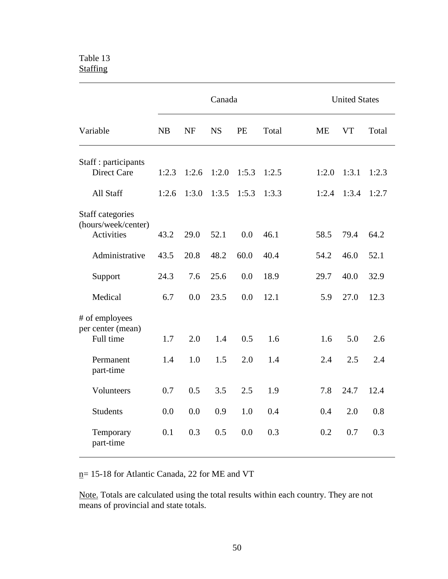## Table 13 **Staffing**

|                                                              |           |           | Canada    |       |       |           | <b>United States</b> |       |
|--------------------------------------------------------------|-----------|-----------|-----------|-------|-------|-----------|----------------------|-------|
| Variable                                                     | <b>NB</b> | <b>NF</b> | <b>NS</b> | PE    | Total | <b>ME</b> | <b>VT</b>            | Total |
| Staff : participants<br><b>Direct Care</b>                   | 1:2.3     | 1:2.6     | 1:2.0     | 1:5.3 | 1:2.5 | 1:2.0     | 1:3.1                | 1:2.3 |
| All Staff                                                    | 1:2.6     | 1:3.0     | 1:3.5     | 1:5.3 | 1:3.3 | 1:2.4     | 1:3.4                | 1:2.7 |
| Staff categories<br>(hours/week/center)<br><b>Activities</b> | 43.2      | 29.0      | 52.1      | 0.0   | 46.1  | 58.5      | 79.4                 | 64.2  |
| Administrative                                               | 43.5      | 20.8      | 48.2      | 60.0  | 40.4  | 54.2      | 46.0                 | 52.1  |
| Support                                                      | 24.3      | 7.6       | 25.6      | 0.0   | 18.9  | 29.7      | 40.0                 | 32.9  |
| Medical                                                      | 6.7       | 0.0       | 23.5      | 0.0   | 12.1  | 5.9       | 27.0                 | 12.3  |
| # of employees<br>per center (mean)<br>Full time             | 1.7       | 2.0       | 1.4       | 0.5   | 1.6   | 1.6       | 5.0                  | 2.6   |
| Permanent<br>part-time                                       | 1.4       | 1.0       | 1.5       | 2.0   | 1.4   | 2.4       | 2.5                  | 2.4   |
| Volunteers                                                   | 0.7       | 0.5       | 3.5       | 2.5   | 1.9   | 7.8       | 24.7                 | 12.4  |
| <b>Students</b>                                              | 0.0       | 0.0       | 0.9       | 1.0   | 0.4   | 0.4       | 2.0                  | 0.8   |
| Temporary<br>part-time                                       | 0.1       | 0.3       | 0.5       | 0.0   | 0.3   | 0.2       | 0.7                  | 0.3   |

n= 15-18 for Atlantic Canada, 22 for ME and VT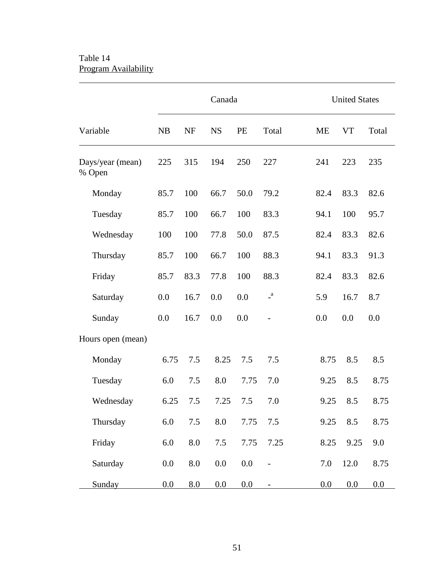# Table 14 Program Availability

 $\overline{a}$ 

|                            |      |                    | Canada    |         |              | <b>United States</b> |           |       |  |
|----------------------------|------|--------------------|-----------|---------|--------------|----------------------|-----------|-------|--|
| Variable                   | NB   | <b>NF</b>          | <b>NS</b> | PE      | Total        | <b>ME</b>            | <b>VT</b> | Total |  |
| Days/year (mean)<br>% Open | 225  | 315                | 194       | 250     | 227          | 241                  | 223       | 235   |  |
| Monday                     | 85.7 | 100                | 66.7      | 50.0    | 79.2         | 82.4                 | 83.3      | 82.6  |  |
| Tuesday                    | 85.7 | 100                | 66.7      | 100     | 83.3         | 94.1                 | 100       | 95.7  |  |
| Wednesday                  | 100  | 100                | 77.8      | 50.0    | 87.5         | 82.4                 | 83.3      | 82.6  |  |
| Thursday                   | 85.7 | 100                | 66.7      | 100     | 88.3         | 94.1                 | 83.3      | 91.3  |  |
| Friday                     | 85.7 | 83.3               | 77.8      | 100     | 88.3         | 82.4                 | 83.3      | 82.6  |  |
| Saturday                   | 0.0  | 16.7               | 0.0       | 0.0     | $\mathbf{a}$ | 5.9                  | 16.7      | 8.7   |  |
| Sunday                     | 0.0  | 16.7               | 0.0       | 0.0     |              | 0.0                  | 0.0       | 0.0   |  |
| Hours open (mean)          |      |                    |           |         |              |                      |           |       |  |
| Monday                     | 6.75 | 7.5                | 8.25      | 7.5     | 7.5          | 8.75                 | 8.5       | 8.5   |  |
| Tuesday                    | 6.0  | 7.5                | 8.0       | 7.75    | 7.0          | 9.25                 | 8.5       | 8.75  |  |
| Wednesday                  | 6.25 | 7.5                | 7.25      | 7.5     | 7.0          | 9.25                 | 8.5       | 8.75  |  |
| Thursday                   | 6.0  | 7.5                | 8.0       | 7.75    | 7.5          | 9.25                 | 8.5       | 8.75  |  |
| Friday                     | 6.0  | $\boldsymbol{8.0}$ | 7.5       | 7.75    | 7.25         | 8.25                 | 9.25      | 9.0   |  |
| Saturday                   | 0.0  | 8.0                | $0.0\,$   | $0.0\,$ |              | 7.0                  | 12.0      | 8.75  |  |
| Sunday                     | 0.0  | 8.0                | 0.0       | 0.0     |              | 0.0                  | 0.0       | 0.0   |  |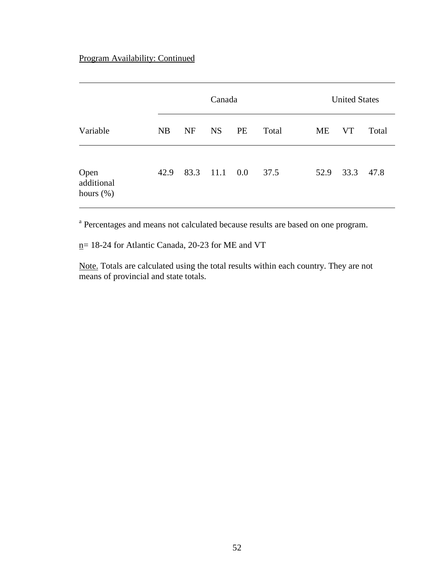# Program Availability: Continued

|                                    |      |           | Canada    |         |       |      | <b>United States</b> |       |  |  |
|------------------------------------|------|-----------|-----------|---------|-------|------|----------------------|-------|--|--|
| Variable                           | NB   | <b>NF</b> | <b>NS</b> | PE      | Total | ME   | <b>VT</b>            | Total |  |  |
| Open<br>additional<br>hours $(\%)$ | 42.9 | 83.3      | 11.1      | $0.0\,$ | 37.5  | 52.9 | 33.3                 | 47.8  |  |  |

<sup>a</sup> Percentages and means not calculated because results are based on one program.

 $n= 18-24$  for Atlantic Canada, 20-23 for ME and VT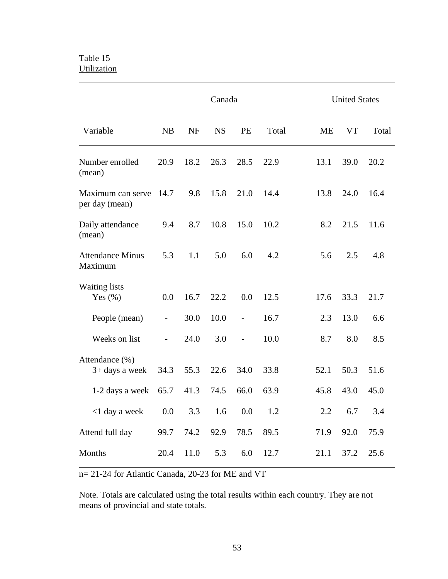## Table 15 **Utilization**

 $\overline{a}$ 

|                                     | Canada                   |           |           |                          |       | <b>United States</b> |      |       |  |
|-------------------------------------|--------------------------|-----------|-----------|--------------------------|-------|----------------------|------|-------|--|
| Variable                            | NB                       | <b>NF</b> | <b>NS</b> | PE                       | Total | <b>ME</b>            | VT   | Total |  |
| Number enrolled<br>(mean)           | 20.9                     | 18.2      | 26.3      | 28.5                     | 22.9  | 13.1                 | 39.0 | 20.2  |  |
| Maximum can serve<br>per day (mean) | 14.7                     | 9.8       | 15.8      | 21.0                     | 14.4  | 13.8                 | 24.0 | 16.4  |  |
| Daily attendance<br>(mean)          | 9.4                      | 8.7       | 10.8      | 15.0                     | 10.2  | 8.2                  | 21.5 | 11.6  |  |
| <b>Attendance Minus</b><br>Maximum  | 5.3                      | 1.1       | 5.0       | 6.0                      | 4.2   | 5.6                  | 2.5  | 4.8   |  |
| <b>Waiting lists</b><br>Yes $(\%)$  | 0.0                      | 16.7      | 22.2      | 0.0                      | 12.5  | 17.6                 | 33.3 | 21.7  |  |
| People (mean)                       | $\overline{\phantom{a}}$ | 30.0      | 10.0      | $\overline{\phantom{0}}$ | 16.7  | 2.3                  | 13.0 | 6.6   |  |
| Weeks on list                       |                          | 24.0      | 3.0       |                          | 10.0  | 8.7                  | 8.0  | 8.5   |  |
| Attendance (%)<br>$3+$ days a week  | 34.3                     | 55.3      | 22.6      | 34.0                     | 33.8  | 52.1                 | 50.3 | 51.6  |  |
| 1-2 days a week                     | 65.7                     | 41.3      | 74.5      | 66.0                     | 63.9  | 45.8                 | 43.0 | 45.0  |  |
| <1 day a week                       | 0.0                      |           |           | $3.3$ $1.6$ $0.0$ $1.2$  |       | 2.2                  | 6.7  | 3.4   |  |
| Attend full day                     | 99.7                     | 74.2      | 92.9      | 78.5                     | 89.5  | 71.9                 | 92.0 | 75.9  |  |
| Months                              |                          | 20.4 11.0 | 5.3       | 6.0                      | 12.7  | 21.1                 | 37.2 | 25.6  |  |

 $n= 21-24$  for Atlantic Canada, 20-23 for ME and VT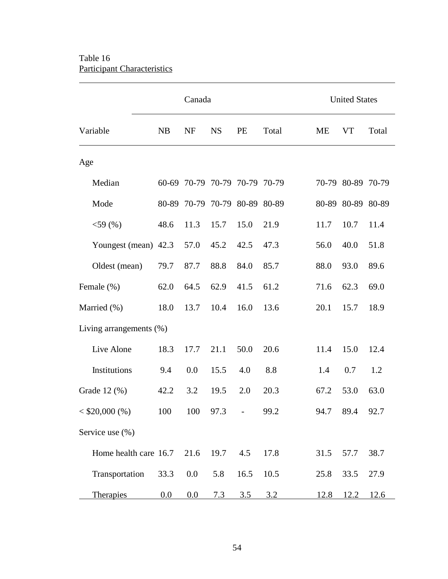# Table 16 Participant Characteristics

 $\overline{a}$ 

|                            |      | Canada                        |           |      |       | <b>United States</b> |                   |       |  |
|----------------------------|------|-------------------------------|-----------|------|-------|----------------------|-------------------|-------|--|
| Variable                   | NB   | <b>NF</b>                     | <b>NS</b> | PE   | Total | <b>ME</b>            | <b>VT</b>         | Total |  |
| Age                        |      |                               |           |      |       |                      |                   |       |  |
| Median                     |      | 60-69 70-79 70-79 70-79 70-79 |           |      |       |                      | 70-79 80-89 70-79 |       |  |
| Mode                       |      | 80-89 70-79 70-79 80-89 80-89 |           |      |       |                      | 80-89 80-89 80-89 |       |  |
| $<$ 59 (%)                 | 48.6 | 11.3                          | 15.7      | 15.0 | 21.9  | 11.7                 | 10.7              | 11.4  |  |
| Youngest (mean) 42.3       |      | 57.0                          | 45.2      | 42.5 | 47.3  | 56.0                 | 40.0              | 51.8  |  |
| Oldest (mean)              | 79.7 | 87.7                          | 88.8      | 84.0 | 85.7  | 88.0                 | 93.0              | 89.6  |  |
| Female (%)                 | 62.0 | 64.5                          | 62.9      | 41.5 | 61.2  | 71.6                 | 62.3              | 69.0  |  |
| Married (%)                | 18.0 | 13.7                          | 10.4      | 16.0 | 13.6  | 20.1                 | 15.7              | 18.9  |  |
| Living arrangements $(\%)$ |      |                               |           |      |       |                      |                   |       |  |
| Live Alone                 | 18.3 | 17.7                          | 21.1      | 50.0 | 20.6  | 11.4                 | 15.0              | 12.4  |  |
| Institutions               | 9.4  | 0.0                           | 15.5      | 4.0  | 8.8   | 1.4                  | 0.7               | 1.2   |  |
| Grade 12 (%)               | 42.2 | 3.2                           | 19.5      | 2.0  | 20.3  | 67.2                 | 53.0              | 63.0  |  |
| $< $20,000 ($\%)$          | 100  | 100                           | 97.3      |      | 99.2  | 94.7                 | 89.4              | 92.7  |  |
| Service use (%)            |      |                               |           |      |       |                      |                   |       |  |
| Home health care 16.7      |      | 21.6                          | 19.7      | 4.5  | 17.8  | 31.5                 | 57.7              | 38.7  |  |
| Transportation             | 33.3 | 0.0                           | 5.8       | 16.5 | 10.5  | 25.8                 | 33.5              | 27.9  |  |
| <b>Therapies</b>           | 0.0  | 0.0                           | 7.3       | 3.5  | 3.2   | 12.8                 | 12.2              | 12.6  |  |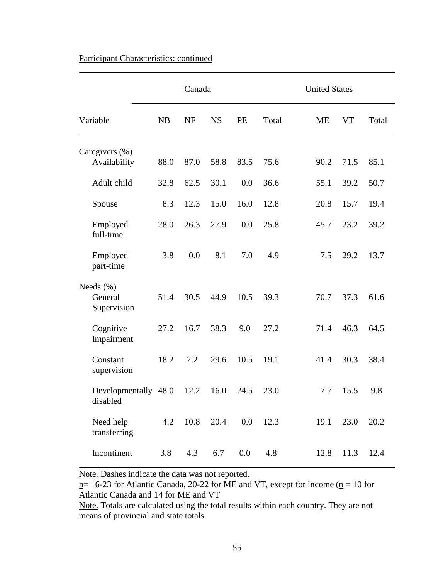|                                         | Canada |           |           |      |       | <b>United States</b> |           |       |  |
|-----------------------------------------|--------|-----------|-----------|------|-------|----------------------|-----------|-------|--|
| Variable                                | NB     | <b>NF</b> | <b>NS</b> | PE   | Total | <b>ME</b>            | <b>VT</b> | Total |  |
| Caregivers (%)                          |        |           |           |      |       |                      |           |       |  |
| Availability                            | 88.0   | 87.0      | 58.8      | 83.5 | 75.6  | 90.2                 | 71.5      | 85.1  |  |
| Adult child                             | 32.8   | 62.5      | 30.1      | 0.0  | 36.6  | 55.1                 | 39.2      | 50.7  |  |
| Spouse                                  | 8.3    | 12.3      | 15.0      | 16.0 | 12.8  | 20.8                 | 15.7      | 19.4  |  |
| Employed<br>full-time                   | 28.0   | 26.3      | 27.9      | 0.0  | 25.8  | 45.7                 | 23.2      | 39.2  |  |
| Employed<br>part-time                   | 3.8    | 0.0       | 8.1       | 7.0  | 4.9   | 7.5                  | 29.2      | 13.7  |  |
| Needs $(\% )$<br>General<br>Supervision | 51.4   | 30.5      | 44.9      | 10.5 | 39.3  | 70.7                 | 37.3      | 61.6  |  |
| Cognitive<br>Impairment                 | 27.2   | 16.7      | 38.3      | 9.0  | 27.2  | 71.4                 | 46.3      | 64.5  |  |
| Constant<br>supervision                 | 18.2   | 7.2       | 29.6      | 10.5 | 19.1  | 41.4                 | 30.3      | 38.4  |  |
| Developmentally 48.0<br>disabled        |        | 12.2      | 16.0      | 24.5 | 23.0  | 7.7                  | 15.5      | 9.8   |  |
| Need help<br>transferring               | 4.2    | 10.8      | 20.4      | 0.0  | 12.3  | 19.1                 | 23.0      | 20.2  |  |
| Incontinent                             | 3.8    | 4.3       | 6.7       | 0.0  | 4.8   | 12.8                 | 11.3      | 12.4  |  |

## Participant Characteristics: continued

 $\overline{a}$ 

 $\overline{a}$ 

Note. Dashes indicate the data was not reported.

 $n= 16-23$  for Atlantic Canada, 20-22 for ME and VT, except for income ( $n = 10$  for Atlantic Canada and 14 for ME and VT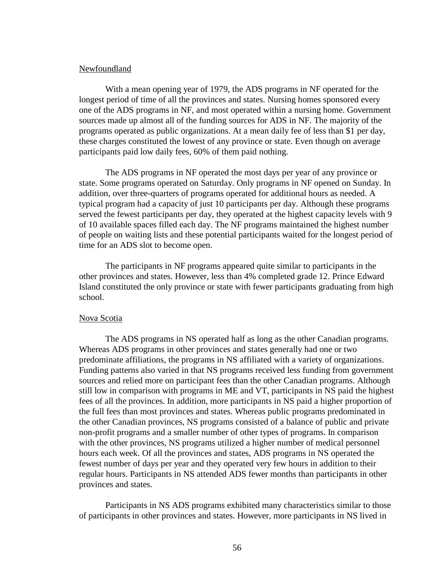## Newfoundland

With a mean opening year of 1979, the ADS programs in NF operated for the longest period of time of all the provinces and states. Nursing homes sponsored every one of the ADS programs in NF, and most operated within a nursing home. Government sources made up almost all of the funding sources for ADS in NF. The majority of the programs operated as public organizations. At a mean daily fee of less than \$1 per day, these charges constituted the lowest of any province or state. Even though on average participants paid low daily fees, 60% of them paid nothing.

The ADS programs in NF operated the most days per year of any province or state. Some programs operated on Saturday. Only programs in NF opened on Sunday. In addition, over three-quarters of programs operated for additional hours as needed. A typical program had a capacity of just 10 participants per day. Although these programs served the fewest participants per day, they operated at the highest capacity levels with 9 of 10 available spaces filled each day. The NF programs maintained the highest number of people on waiting lists and these potential participants waited for the longest period of time for an ADS slot to become open.

The participants in NF programs appeared quite similar to participants in the other provinces and states. However, less than 4% completed grade 12. Prince Edward Island constituted the only province or state with fewer participants graduating from high school.

### Nova Scotia

The ADS programs in NS operated half as long as the other Canadian programs. Whereas ADS programs in other provinces and states generally had one or two predominate affiliations, the programs in NS affiliated with a variety of organizations. Funding patterns also varied in that NS programs received less funding from government sources and relied more on participant fees than the other Canadian programs. Although still low in comparison with programs in ME and VT, participants in NS paid the highest fees of all the provinces. In addition, more participants in NS paid a higher proportion of the full fees than most provinces and states. Whereas public programs predominated in the other Canadian provinces, NS programs consisted of a balance of public and private non-profit programs and a smaller number of other types of programs. In comparison with the other provinces, NS programs utilized a higher number of medical personnel hours each week. Of all the provinces and states, ADS programs in NS operated the fewest number of days per year and they operated very few hours in addition to their regular hours. Participants in NS attended ADS fewer months than participants in other provinces and states.

Participants in NS ADS programs exhibited many characteristics similar to those of participants in other provinces and states. However, more participants in NS lived in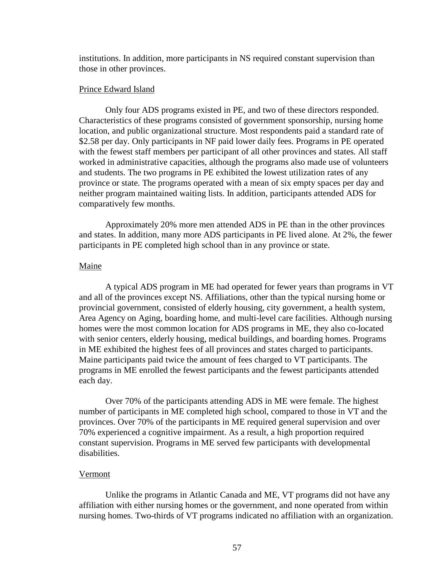institutions. In addition, more participants in NS required constant supervision than those in other provinces.

### Prince Edward Island

Only four ADS programs existed in PE, and two of these directors responded. Characteristics of these programs consisted of government sponsorship, nursing home location, and public organizational structure. Most respondents paid a standard rate of \$2.58 per day. Only participants in NF paid lower daily fees. Programs in PE operated with the fewest staff members per participant of all other provinces and states. All staff worked in administrative capacities, although the programs also made use of volunteers and students. The two programs in PE exhibited the lowest utilization rates of any province or state. The programs operated with a mean of six empty spaces per day and neither program maintained waiting lists. In addition, participants attended ADS for comparatively few months.

Approximately 20% more men attended ADS in PE than in the other provinces and states. In addition, many more ADS participants in PE lived alone. At 2%, the fewer participants in PE completed high school than in any province or state.

## Maine

A typical ADS program in ME had operated for fewer years than programs in VT and all of the provinces except NS. Affiliations, other than the typical nursing home or provincial government, consisted of elderly housing, city government, a health system, Area Agency on Aging, boarding home, and multi-level care facilities. Although nursing homes were the most common location for ADS programs in ME, they also co-located with senior centers, elderly housing, medical buildings, and boarding homes. Programs in ME exhibited the highest fees of all provinces and states charged to participants. Maine participants paid twice the amount of fees charged to VT participants. The programs in ME enrolled the fewest participants and the fewest participants attended each day.

Over 70% of the participants attending ADS in ME were female. The highest number of participants in ME completed high school, compared to those in VT and the provinces. Over 70% of the participants in ME required general supervision and over 70% experienced a cognitive impairment. As a result, a high proportion required constant supervision. Programs in ME served few participants with developmental disabilities.

## Vermont

Unlike the programs in Atlantic Canada and ME, VT programs did not have any affiliation with either nursing homes or the government, and none operated from within nursing homes. Two-thirds of VT programs indicated no affiliation with an organization.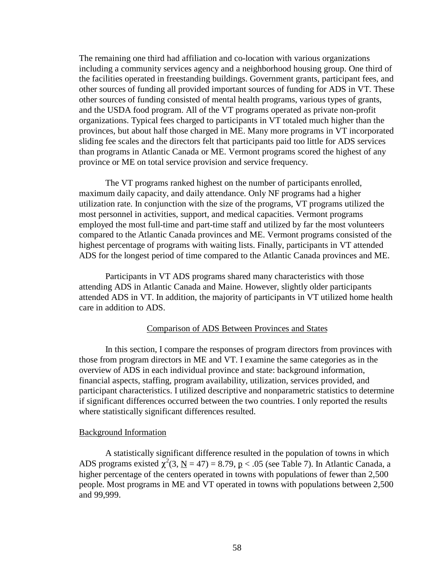The remaining one third had affiliation and co-location with various organizations including a community services agency and a neighborhood housing group. One third of the facilities operated in freestanding buildings. Government grants, participant fees, and other sources of funding all provided important sources of funding for ADS in VT. These other sources of funding consisted of mental health programs, various types of grants, and the USDA food program. All of the VT programs operated as private non-profit organizations. Typical fees charged to participants in VT totaled much higher than the provinces, but about half those charged in ME. Many more programs in VT incorporated sliding fee scales and the directors felt that participants paid too little for ADS services than programs in Atlantic Canada or ME. Vermont programs scored the highest of any province or ME on total service provision and service frequency.

The VT programs ranked highest on the number of participants enrolled, maximum daily capacity, and daily attendance. Only NF programs had a higher utilization rate. In conjunction with the size of the programs, VT programs utilized the most personnel in activities, support, and medical capacities. Vermont programs employed the most full-time and part-time staff and utilized by far the most volunteers compared to the Atlantic Canada provinces and ME. Vermont programs consisted of the highest percentage of programs with waiting lists. Finally, participants in VT attended ADS for the longest period of time compared to the Atlantic Canada provinces and ME.

Participants in VT ADS programs shared many characteristics with those attending ADS in Atlantic Canada and Maine. However, slightly older participants attended ADS in VT. In addition, the majority of participants in VT utilized home health care in addition to ADS.

### Comparison of ADS Between Provinces and States

In this section, I compare the responses of program directors from provinces with those from program directors in ME and VT. I examine the same categories as in the overview of ADS in each individual province and state: background information, financial aspects, staffing, program availability, utilization, services provided, and participant characteristics. I utilized descriptive and nonparametric statistics to determine if significant differences occurred between the two countries. I only reported the results where statistically significant differences resulted.

#### Background Information

A statistically significant difference resulted in the population of towns in which ADS programs existed  $\chi^2(3, \underline{N} = 47) = 8.79$ ,  $\underline{p} < .05$  (see Table 7). In Atlantic Canada, a higher percentage of the centers operated in towns with populations of fewer than 2,500 people. Most programs in ME and VT operated in towns with populations between 2,500 and 99,999.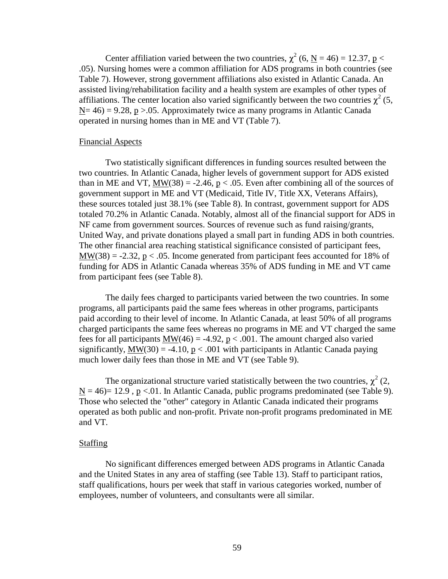Center affiliation varied between the two countries,  $\chi^2$  (6, <u>N</u> = 46) = 12.37, <u>p</u> < .05). Nursing homes were a common affiliation for ADS programs in both countries (see Table 7). However, strong government affiliations also existed in Atlantic Canada. An assisted living/rehabilitation facility and a health system are examples of other types of affiliations. The center location also varied significantly between the two countries  $\chi^2$  (5,  $N= 46$ ) = 9.28, p > 0.05. Approximately twice as many programs in Atlantic Canada operated in nursing homes than in ME and VT (Table 7).

### Financial Aspects

Two statistically significant differences in funding sources resulted between the two countries. In Atlantic Canada, higher levels of government support for ADS existed than in ME and VT,  $MW(38) = -2.46$ ,  $p < .05$ . Even after combining all of the sources of government support in ME and VT (Medicaid, Title IV, Title XX, Veterans Affairs), these sources totaled just 38.1% (see Table 8). In contrast, government support for ADS totaled 70.2% in Atlantic Canada. Notably, almost all of the financial support for ADS in NF came from government sources. Sources of revenue such as fund raising/grants, United Way, and private donations played a small part in funding ADS in both countries. The other financial area reaching statistical significance consisted of participant fees,  $MW(38) = -2.32$ ,  $p < .05$ . Income generated from participant fees accounted for 18% of funding for ADS in Atlantic Canada whereas 35% of ADS funding in ME and VT came from participant fees (see Table 8).

The daily fees charged to participants varied between the two countries. In some programs, all participants paid the same fees whereas in other programs, participants paid according to their level of income. In Atlantic Canada, at least 50% of all programs charged participants the same fees whereas no programs in ME and VT charged the same fees for all participants  $MW(46) = -4.92$ ,  $p < .001$ . The amount charged also varied significantly,  $\text{MW}(30) = -4.10$ ,  $p < .001$  with participants in Atlantic Canada paying much lower daily fees than those in ME and VT (see Table 9).

The organizational structure varied statistically between the two countries,  $\chi^2$  (2,  $N = 46$  = 12.9, p <.01. In Atlantic Canada, public programs predominated (see Table 9). Those who selected the "other" category in Atlantic Canada indicated their programs operated as both public and non-profit. Private non-profit programs predominated in ME and VT.

## Staffing

No significant differences emerged between ADS programs in Atlantic Canada and the United States in any area of staffing (see Table 13). Staff to participant ratios, staff qualifications, hours per week that staff in various categories worked, number of employees, number of volunteers, and consultants were all similar.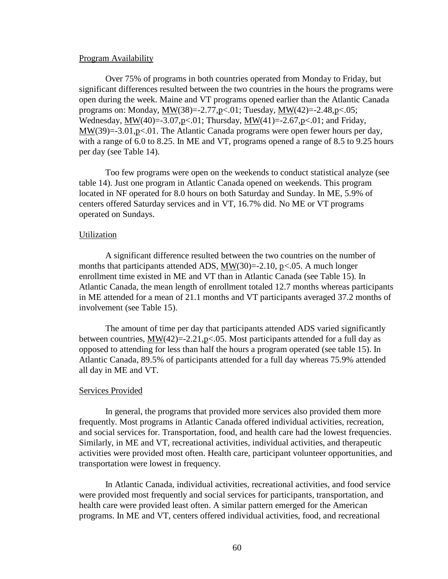### Program Availability

Over 75% of programs in both countries operated from Monday to Friday, but significant differences resulted between the two countries in the hours the programs were open during the week. Maine and VT programs opened earlier than the Atlantic Canada programs on: Monday,  $MW(38) = -2.77$ ,  $p < 01$ ; Tuesday,  $MW(42) = -2.48$ ,  $p < 05$ ; Wednesday,  $\text{MW}(40) = -3.07, \text{p} < .01$ ; Thursday,  $\text{MW}(41) = -2.67, \text{p} < .01$ ; and Friday, MW(39)=-3.01,p<.01. The Atlantic Canada programs were open fewer hours per day, with a range of 6.0 to 8.25. In ME and VT, programs opened a range of 8.5 to 9.25 hours per day (see Table 14).

Too few programs were open on the weekends to conduct statistical analyze (see table 14). Just one program in Atlantic Canada opened on weekends. This program located in NF operated for 8.0 hours on both Saturday and Sunday. In ME, 5.9% of centers offered Saturday services and in VT, 16.7% did. No ME or VT programs operated on Sundays.

#### Utilization

A significant difference resulted between the two countries on the number of months that participants attended ADS,  $MW(30)=2.10$ , p<.05. A much longer enrollment time existed in ME and VT than in Atlantic Canada (see Table 15). In Atlantic Canada, the mean length of enrollment totaled 12.7 months whereas participants in ME attended for a mean of 21.1 months and VT participants averaged 37.2 months of involvement (see Table 15).

The amount of time per day that participants attended ADS varied significantly between countries,  $MW(42)=2.21$ ,  $p<.05$ . Most participants attended for a full day as opposed to attending for less than half the hours a program operated (see table 15). In Atlantic Canada, 89.5% of participants attended for a full day whereas 75.9% attended all day in ME and VT.

### Services Provided

In general, the programs that provided more services also provided them more frequently. Most programs in Atlantic Canada offered individual activities, recreation, and social services for. Transportation, food, and health care had the lowest frequencies. Similarly, in ME and VT, recreational activities, individual activities, and therapeutic activities were provided most often. Health care, participant volunteer opportunities, and transportation were lowest in frequency.

In Atlantic Canada, individual activities, recreational activities, and food service were provided most frequently and social services for participants, transportation, and health care were provided least often. A similar pattern emerged for the American programs. In ME and VT, centers offered individual activities, food, and recreational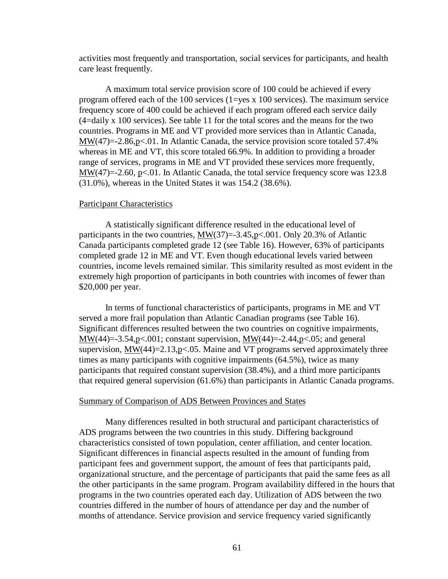activities most frequently and transportation, social services for participants, and health care least frequently.

A maximum total service provision score of 100 could be achieved if every program offered each of the 100 services  $(1 = yes \times 100 \text{ services})$ . The maximum service frequency score of 400 could be achieved if each program offered each service daily (4=daily x 100 services). See table 11 for the total scores and the means for the two countries. Programs in ME and VT provided more services than in Atlantic Canada, MW(47)=-2.86,p<.01. In Atlantic Canada, the service provision score totaled 57.4% whereas in ME and VT, this score totaled 66.9%. In addition to providing a broader range of services, programs in ME and VT provided these services more frequently,  $MW(47)=2.60$ ,  $p<.01$ . In Atlantic Canada, the total service frequency score was 123.8 (31.0%), whereas in the United States it was 154.2 (38.6%).

### Participant Characteristics

A statistically significant difference resulted in the educational level of participants in the two countries,  $MW(37) = -3.45$ ,  $p < .001$ . Only 20.3% of Atlantic Canada participants completed grade 12 (see Table 16). However, 63% of participants completed grade 12 in ME and VT. Even though educational levels varied between countries, income levels remained similar. This similarity resulted as most evident in the extremely high proportion of participants in both countries with incomes of fewer than \$20,000 per year.

In terms of functional characteristics of participants, programs in ME and VT served a more frail population than Atlantic Canadian programs (see Table 16). Significant differences resulted between the two countries on cognitive impairments, MW(44)=-3.54,p<.001; constant supervision, MW(44)=-2.44,p<.05; and general supervision,  $\text{MW}(44)=2.13,\text{p}lt 0.05$ . Maine and VT programs served approximately three times as many participants with cognitive impairments (64.5%), twice as many participants that required constant supervision (38.4%), and a third more participants that required general supervision (61.6%) than participants in Atlantic Canada programs.

#### Summary of Comparison of ADS Between Provinces and States

Many differences resulted in both structural and participant characteristics of ADS programs between the two countries in this study. Differing background characteristics consisted of town population, center affiliation, and center location. Significant differences in financial aspects resulted in the amount of funding from participant fees and government support, the amount of fees that participants paid, organizational structure, and the percentage of participants that paid the same fees as all the other participants in the same program. Program availability differed in the hours that programs in the two countries operated each day. Utilization of ADS between the two countries differed in the number of hours of attendance per day and the number of months of attendance. Service provision and service frequency varied significantly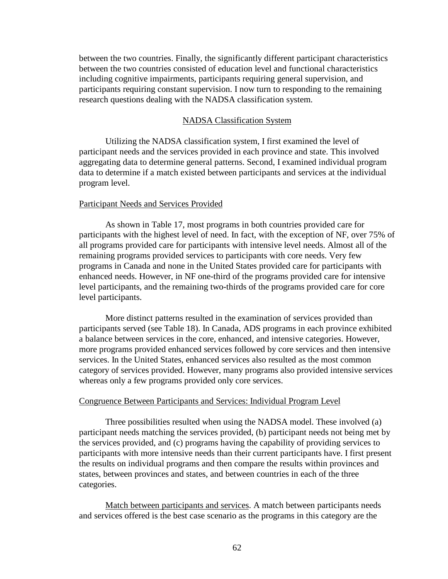between the two countries. Finally, the significantly different participant characteristics between the two countries consisted of education level and functional characteristics including cognitive impairments, participants requiring general supervision, and participants requiring constant supervision. I now turn to responding to the remaining research questions dealing with the NADSA classification system.

## NADSA Classification System

Utilizing the NADSA classification system, I first examined the level of participant needs and the services provided in each province and state. This involved aggregating data to determine general patterns. Second, I examined individual program data to determine if a match existed between participants and services at the individual program level.

### Participant Needs and Services Provided

As shown in Table 17, most programs in both countries provided care for participants with the highest level of need. In fact, with the exception of NF, over 75% of all programs provided care for participants with intensive level needs. Almost all of the remaining programs provided services to participants with core needs. Very few programs in Canada and none in the United States provided care for participants with enhanced needs. However, in NF one-third of the programs provided care for intensive level participants, and the remaining two-thirds of the programs provided care for core level participants.

More distinct patterns resulted in the examination of services provided than participants served (see Table 18). In Canada, ADS programs in each province exhibited a balance between services in the core, enhanced, and intensive categories. However, more programs provided enhanced services followed by core services and then intensive services. In the United States, enhanced services also resulted as the most common category of services provided. However, many programs also provided intensive services whereas only a few programs provided only core services.

### Congruence Between Participants and Services: Individual Program Level

Three possibilities resulted when using the NADSA model. These involved (a) participant needs matching the services provided, (b) participant needs not being met by the services provided, and (c) programs having the capability of providing services to participants with more intensive needs than their current participants have. I first present the results on individual programs and then compare the results within provinces and states, between provinces and states, and between countries in each of the three categories.

Match between participants and services. A match between participants needs and services offered is the best case scenario as the programs in this category are the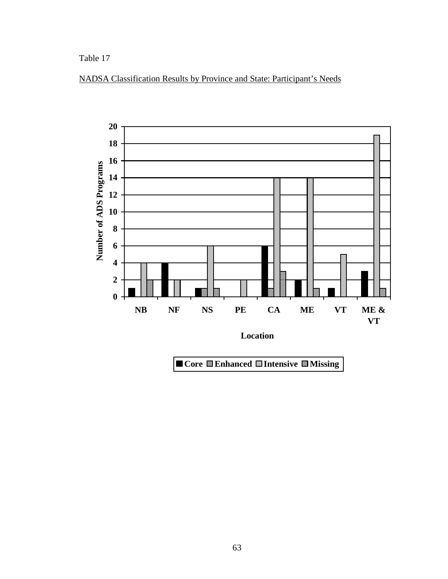Table 17





■ Core **图 Enhanced** ■ Intensive **■ Missing**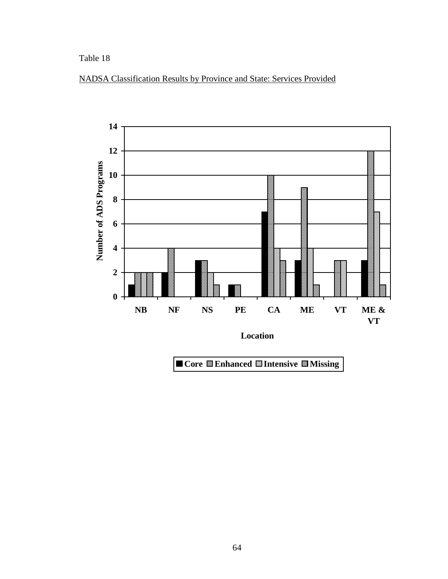Table 18



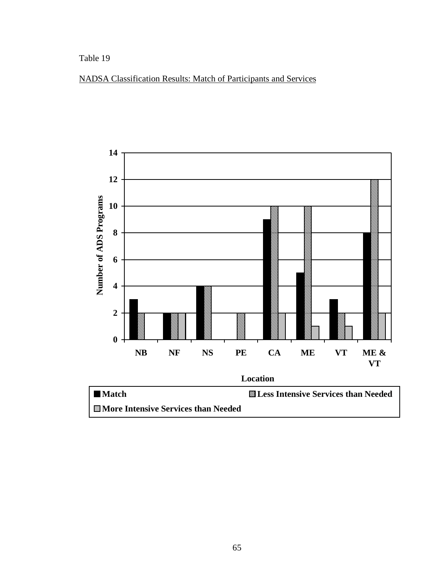## Table 19

# NADSA Classification Results: Match of Participants and Services

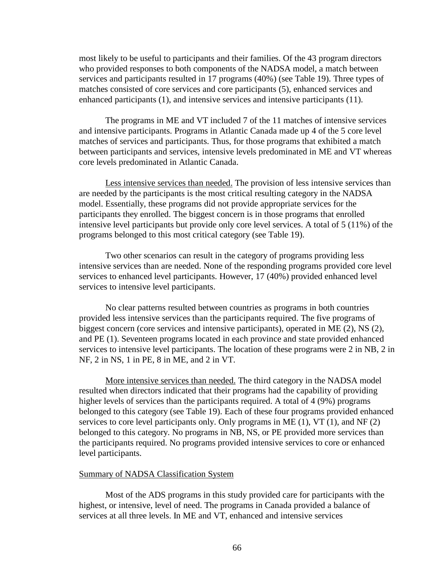most likely to be useful to participants and their families. Of the 43 program directors who provided responses to both components of the NADSA model, a match between services and participants resulted in 17 programs (40%) (see Table 19). Three types of matches consisted of core services and core participants (5), enhanced services and enhanced participants (1), and intensive services and intensive participants (11).

The programs in ME and VT included 7 of the 11 matches of intensive services and intensive participants. Programs in Atlantic Canada made up 4 of the 5 core level matches of services and participants. Thus, for those programs that exhibited a match between participants and services, intensive levels predominated in ME and VT whereas core levels predominated in Atlantic Canada.

Less intensive services than needed. The provision of less intensive services than are needed by the participants is the most critical resulting category in the NADSA model. Essentially, these programs did not provide appropriate services for the participants they enrolled. The biggest concern is in those programs that enrolled intensive level participants but provide only core level services. A total of 5 (11%) of the programs belonged to this most critical category (see Table 19).

Two other scenarios can result in the category of programs providing less intensive services than are needed. None of the responding programs provided core level services to enhanced level participants. However, 17 (40%) provided enhanced level services to intensive level participants.

No clear patterns resulted between countries as programs in both countries provided less intensive services than the participants required. The five programs of biggest concern (core services and intensive participants), operated in ME (2), NS (2), and PE (1). Seventeen programs located in each province and state provided enhanced services to intensive level participants. The location of these programs were 2 in NB, 2 in NF, 2 in NS, 1 in PE, 8 in ME, and 2 in VT.

More intensive services than needed. The third category in the NADSA model resulted when directors indicated that their programs had the capability of providing higher levels of services than the participants required. A total of 4 (9%) programs belonged to this category (see Table 19). Each of these four programs provided enhanced services to core level participants only. Only programs in ME (1), VT (1), and NF (2) belonged to this category. No programs in NB, NS, or PE provided more services than the participants required. No programs provided intensive services to core or enhanced level participants.

## Summary of NADSA Classification System

Most of the ADS programs in this study provided care for participants with the highest, or intensive, level of need. The programs in Canada provided a balance of services at all three levels. In ME and VT, enhanced and intensive services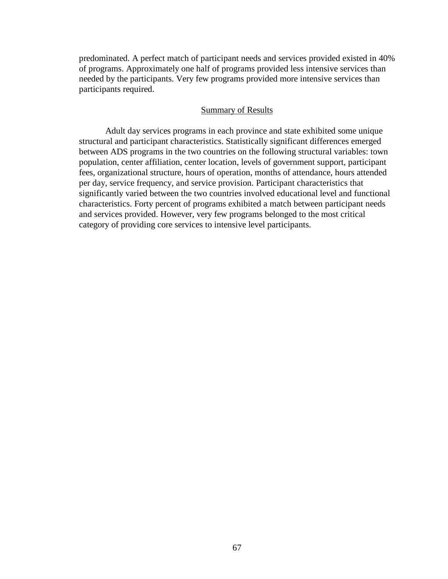predominated. A perfect match of participant needs and services provided existed in 40% of programs. Approximately one half of programs provided less intensive services than needed by the participants. Very few programs provided more intensive services than participants required.

#### Summary of Results

Adult day services programs in each province and state exhibited some unique structural and participant characteristics. Statistically significant differences emerged between ADS programs in the two countries on the following structural variables: town population, center affiliation, center location, levels of government support, participant fees, organizational structure, hours of operation, months of attendance, hours attended per day, service frequency, and service provision. Participant characteristics that significantly varied between the two countries involved educational level and functional characteristics. Forty percent of programs exhibited a match between participant needs and services provided. However, very few programs belonged to the most critical category of providing core services to intensive level participants.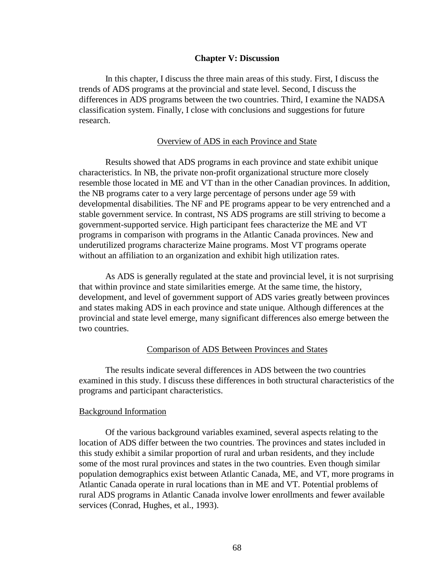#### **Chapter V: Discussion**

In this chapter, I discuss the three main areas of this study. First, I discuss the trends of ADS programs at the provincial and state level. Second, I discuss the differences in ADS programs between the two countries. Third, I examine the NADSA classification system. Finally, I close with conclusions and suggestions for future research.

#### Overview of ADS in each Province and State

Results showed that ADS programs in each province and state exhibit unique characteristics. In NB, the private non-profit organizational structure more closely resemble those located in ME and VT than in the other Canadian provinces. In addition, the NB programs cater to a very large percentage of persons under age 59 with developmental disabilities. The NF and PE programs appear to be very entrenched and a stable government service. In contrast, NS ADS programs are still striving to become a government-supported service. High participant fees characterize the ME and VT programs in comparison with programs in the Atlantic Canada provinces. New and underutilized programs characterize Maine programs. Most VT programs operate without an affiliation to an organization and exhibit high utilization rates.

As ADS is generally regulated at the state and provincial level, it is not surprising that within province and state similarities emerge. At the same time, the history, development, and level of government support of ADS varies greatly between provinces and states making ADS in each province and state unique. Although differences at the provincial and state level emerge, many significant differences also emerge between the two countries.

#### Comparison of ADS Between Provinces and States

The results indicate several differences in ADS between the two countries examined in this study. I discuss these differences in both structural characteristics of the programs and participant characteristics.

#### Background Information

Of the various background variables examined, several aspects relating to the location of ADS differ between the two countries. The provinces and states included in this study exhibit a similar proportion of rural and urban residents, and they include some of the most rural provinces and states in the two countries. Even though similar population demographics exist between Atlantic Canada, ME, and VT, more programs in Atlantic Canada operate in rural locations than in ME and VT. Potential problems of rural ADS programs in Atlantic Canada involve lower enrollments and fewer available services (Conrad, Hughes, et al., 1993).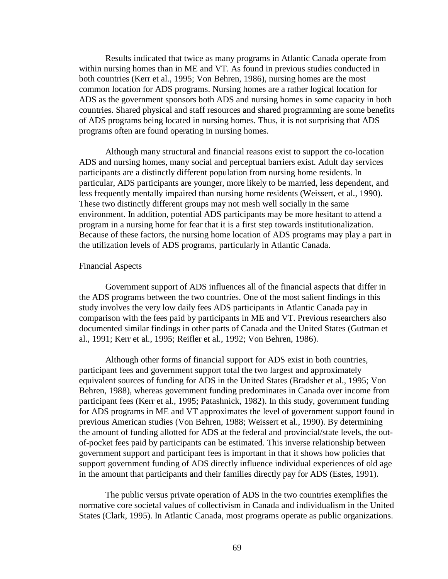Results indicated that twice as many programs in Atlantic Canada operate from within nursing homes than in ME and VT. As found in previous studies conducted in both countries (Kerr et al., 1995; Von Behren, 1986), nursing homes are the most common location for ADS programs. Nursing homes are a rather logical location for ADS as the government sponsors both ADS and nursing homes in some capacity in both countries. Shared physical and staff resources and shared programming are some benefits of ADS programs being located in nursing homes. Thus, it is not surprising that ADS programs often are found operating in nursing homes.

Although many structural and financial reasons exist to support the co-location ADS and nursing homes, many social and perceptual barriers exist. Adult day services participants are a distinctly different population from nursing home residents. In particular, ADS participants are younger, more likely to be married, less dependent, and less frequently mentally impaired than nursing home residents (Weissert, et al., 1990). These two distinctly different groups may not mesh well socially in the same environment. In addition, potential ADS participants may be more hesitant to attend a program in a nursing home for fear that it is a first step towards institutionalization. Because of these factors, the nursing home location of ADS programs may play a part in the utilization levels of ADS programs, particularly in Atlantic Canada.

#### Financial Aspects

Government support of ADS influences all of the financial aspects that differ in the ADS programs between the two countries. One of the most salient findings in this study involves the very low daily fees ADS participants in Atlantic Canada pay in comparison with the fees paid by participants in ME and VT. Previous researchers also documented similar findings in other parts of Canada and the United States (Gutman et al., 1991; Kerr et al., 1995; Reifler et al., 1992; Von Behren, 1986).

Although other forms of financial support for ADS exist in both countries, participant fees and government support total the two largest and approximately equivalent sources of funding for ADS in the United States (Bradsher et al., 1995; Von Behren, 1988), whereas government funding predominates in Canada over income from participant fees (Kerr et al., 1995; Patashnick, 1982). In this study, government funding for ADS programs in ME and VT approximates the level of government support found in previous American studies (Von Behren, 1988; Weissert et al., 1990). By determining the amount of funding allotted for ADS at the federal and provincial/state levels, the outof-pocket fees paid by participants can be estimated. This inverse relationship between government support and participant fees is important in that it shows how policies that support government funding of ADS directly influence individual experiences of old age in the amount that participants and their families directly pay for ADS (Estes, 1991).

The public versus private operation of ADS in the two countries exemplifies the normative core societal values of collectivism in Canada and individualism in the United States (Clark, 1995). In Atlantic Canada, most programs operate as public organizations.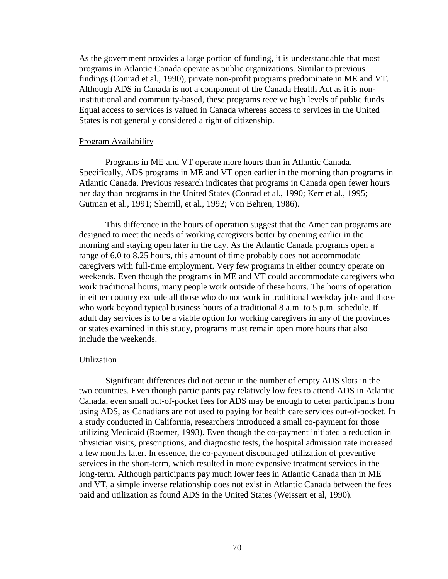As the government provides a large portion of funding, it is understandable that most programs in Atlantic Canada operate as public organizations. Similar to previous findings (Conrad et al., 1990), private non-profit programs predominate in ME and VT. Although ADS in Canada is not a component of the Canada Health Act as it is noninstitutional and community-based, these programs receive high levels of public funds. Equal access to services is valued in Canada whereas access to services in the United States is not generally considered a right of citizenship.

#### Program Availability

Programs in ME and VT operate more hours than in Atlantic Canada. Specifically, ADS programs in ME and VT open earlier in the morning than programs in Atlantic Canada. Previous research indicates that programs in Canada open fewer hours per day than programs in the United States (Conrad et al., 1990; Kerr et al., 1995; Gutman et al., 1991; Sherrill, et al., 1992; Von Behren, 1986).

This difference in the hours of operation suggest that the American programs are designed to meet the needs of working caregivers better by opening earlier in the morning and staying open later in the day. As the Atlantic Canada programs open a range of 6.0 to 8.25 hours, this amount of time probably does not accommodate caregivers with full-time employment. Very few programs in either country operate on weekends. Even though the programs in ME and VT could accommodate caregivers who work traditional hours, many people work outside of these hours. The hours of operation in either country exclude all those who do not work in traditional weekday jobs and those who work beyond typical business hours of a traditional 8 a.m. to 5 p.m. schedule. If adult day services is to be a viable option for working caregivers in any of the provinces or states examined in this study, programs must remain open more hours that also include the weekends.

#### **Utilization**

Significant differences did not occur in the number of empty ADS slots in the two countries. Even though participants pay relatively low fees to attend ADS in Atlantic Canada, even small out-of-pocket fees for ADS may be enough to deter participants from using ADS, as Canadians are not used to paying for health care services out-of-pocket. In a study conducted in California, researchers introduced a small co-payment for those utilizing Medicaid (Roemer, 1993). Even though the co-payment initiated a reduction in physician visits, prescriptions, and diagnostic tests, the hospital admission rate increased a few months later. In essence, the co-payment discouraged utilization of preventive services in the short-term, which resulted in more expensive treatment services in the long-term. Although participants pay much lower fees in Atlantic Canada than in ME and VT, a simple inverse relationship does not exist in Atlantic Canada between the fees paid and utilization as found ADS in the United States (Weissert et al, 1990).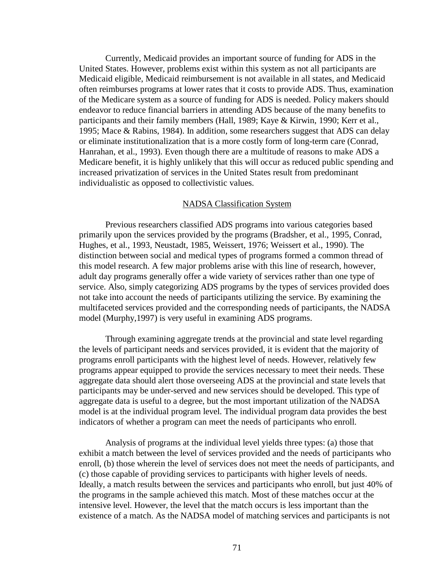Currently, Medicaid provides an important source of funding for ADS in the United States. However, problems exist within this system as not all participants are Medicaid eligible, Medicaid reimbursement is not available in all states, and Medicaid often reimburses programs at lower rates that it costs to provide ADS. Thus, examination of the Medicare system as a source of funding for ADS is needed. Policy makers should endeavor to reduce financial barriers in attending ADS because of the many benefits to participants and their family members (Hall, 1989; Kaye & Kirwin, 1990; Kerr et al., 1995; Mace & Rabins, 1984). In addition, some researchers suggest that ADS can delay or eliminate institutionalization that is a more costly form of long-term care (Conrad, Hanrahan, et al., 1993). Even though there are a multitude of reasons to make ADS a Medicare benefit, it is highly unlikely that this will occur as reduced public spending and increased privatization of services in the United States result from predominant individualistic as opposed to collectivistic values.

#### NADSA Classification System

Previous researchers classified ADS programs into various categories based primarily upon the services provided by the programs (Bradsher, et al., 1995, Conrad, Hughes, et al., 1993, Neustadt, 1985, Weissert, 1976; Weissert et al., 1990). The distinction between social and medical types of programs formed a common thread of this model research. A few major problems arise with this line of research, however, adult day programs generally offer a wide variety of services rather than one type of service. Also, simply categorizing ADS programs by the types of services provided does not take into account the needs of participants utilizing the service. By examining the multifaceted services provided and the corresponding needs of participants, the NADSA model (Murphy,1997) is very useful in examining ADS programs.

Through examining aggregate trends at the provincial and state level regarding the levels of participant needs and services provided, it is evident that the majority of programs enroll participants with the highest level of needs. However, relatively few programs appear equipped to provide the services necessary to meet their needs. These aggregate data should alert those overseeing ADS at the provincial and state levels that participants may be under-served and new services should be developed. This type of aggregate data is useful to a degree, but the most important utilization of the NADSA model is at the individual program level. The individual program data provides the best indicators of whether a program can meet the needs of participants who enroll.

Analysis of programs at the individual level yields three types: (a) those that exhibit a match between the level of services provided and the needs of participants who enroll, (b) those wherein the level of services does not meet the needs of participants, and (c) those capable of providing services to participants with higher levels of needs. Ideally, a match results between the services and participants who enroll, but just 40% of the programs in the sample achieved this match. Most of these matches occur at the intensive level. However, the level that the match occurs is less important than the existence of a match. As the NADSA model of matching services and participants is not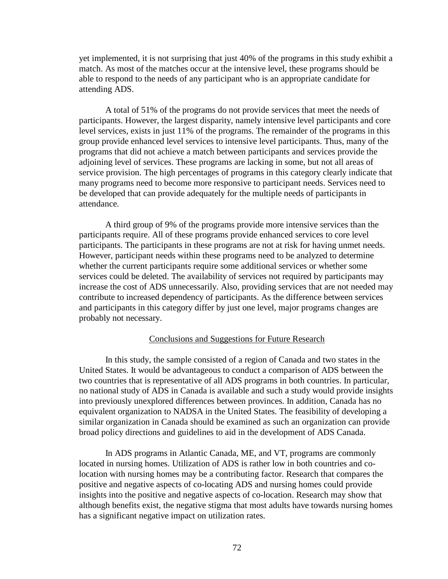yet implemented, it is not surprising that just 40% of the programs in this study exhibit a match. As most of the matches occur at the intensive level, these programs should be able to respond to the needs of any participant who is an appropriate candidate for attending ADS.

A total of 51% of the programs do not provide services that meet the needs of participants. However, the largest disparity, namely intensive level participants and core level services, exists in just 11% of the programs. The remainder of the programs in this group provide enhanced level services to intensive level participants. Thus, many of the programs that did not achieve a match between participants and services provide the adjoining level of services. These programs are lacking in some, but not all areas of service provision. The high percentages of programs in this category clearly indicate that many programs need to become more responsive to participant needs. Services need to be developed that can provide adequately for the multiple needs of participants in attendance.

A third group of 9% of the programs provide more intensive services than the participants require. All of these programs provide enhanced services to core level participants. The participants in these programs are not at risk for having unmet needs. However, participant needs within these programs need to be analyzed to determine whether the current participants require some additional services or whether some services could be deleted. The availability of services not required by participants may increase the cost of ADS unnecessarily. Also, providing services that are not needed may contribute to increased dependency of participants. As the difference between services and participants in this category differ by just one level, major programs changes are probably not necessary.

#### Conclusions and Suggestions for Future Research

In this study, the sample consisted of a region of Canada and two states in the United States. It would be advantageous to conduct a comparison of ADS between the two countries that is representative of all ADS programs in both countries. In particular, no national study of ADS in Canada is available and such a study would provide insights into previously unexplored differences between provinces. In addition, Canada has no equivalent organization to NADSA in the United States. The feasibility of developing a similar organization in Canada should be examined as such an organization can provide broad policy directions and guidelines to aid in the development of ADS Canada.

In ADS programs in Atlantic Canada, ME, and VT, programs are commonly located in nursing homes. Utilization of ADS is rather low in both countries and colocation with nursing homes may be a contributing factor. Research that compares the positive and negative aspects of co-locating ADS and nursing homes could provide insights into the positive and negative aspects of co-location. Research may show that although benefits exist, the negative stigma that most adults have towards nursing homes has a significant negative impact on utilization rates.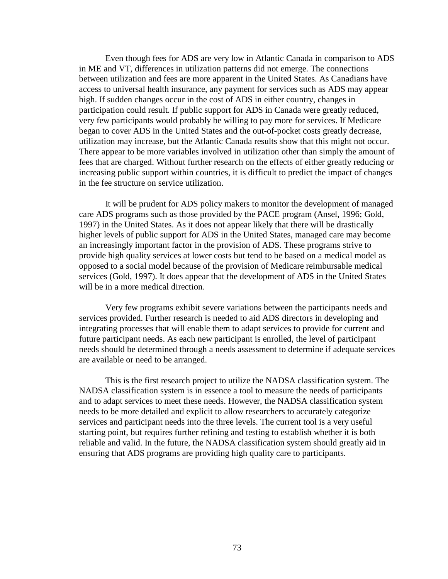Even though fees for ADS are very low in Atlantic Canada in comparison to ADS in ME and VT, differences in utilization patterns did not emerge. The connections between utilization and fees are more apparent in the United States. As Canadians have access to universal health insurance, any payment for services such as ADS may appear high. If sudden changes occur in the cost of ADS in either country, changes in participation could result. If public support for ADS in Canada were greatly reduced, very few participants would probably be willing to pay more for services. If Medicare began to cover ADS in the United States and the out-of-pocket costs greatly decrease, utilization may increase, but the Atlantic Canada results show that this might not occur. There appear to be more variables involved in utilization other than simply the amount of fees that are charged. Without further research on the effects of either greatly reducing or increasing public support within countries, it is difficult to predict the impact of changes in the fee structure on service utilization.

It will be prudent for ADS policy makers to monitor the development of managed care ADS programs such as those provided by the PACE program (Ansel, 1996; Gold, 1997) in the United States. As it does not appear likely that there will be drastically higher levels of public support for ADS in the United States, managed care may become an increasingly important factor in the provision of ADS. These programs strive to provide high quality services at lower costs but tend to be based on a medical model as opposed to a social model because of the provision of Medicare reimbursable medical services (Gold, 1997). It does appear that the development of ADS in the United States will be in a more medical direction.

Very few programs exhibit severe variations between the participants needs and services provided. Further research is needed to aid ADS directors in developing and integrating processes that will enable them to adapt services to provide for current and future participant needs. As each new participant is enrolled, the level of participant needs should be determined through a needs assessment to determine if adequate services are available or need to be arranged.

This is the first research project to utilize the NADSA classification system. The NADSA classification system is in essence a tool to measure the needs of participants and to adapt services to meet these needs. However, the NADSA classification system needs to be more detailed and explicit to allow researchers to accurately categorize services and participant needs into the three levels. The current tool is a very useful starting point, but requires further refining and testing to establish whether it is both reliable and valid. In the future, the NADSA classification system should greatly aid in ensuring that ADS programs are providing high quality care to participants.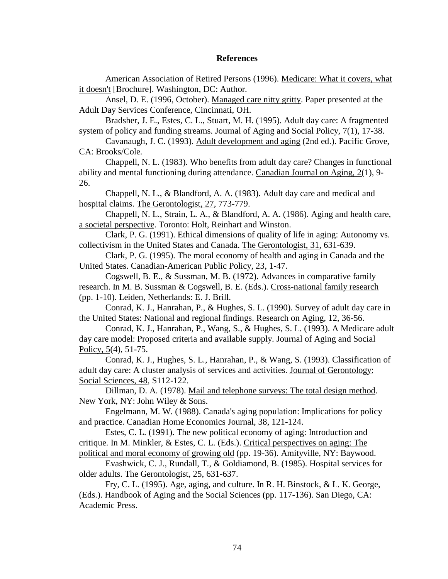#### **References**

American Association of Retired Persons (1996). Medicare: What it covers, what it doesn't [Brochure]. Washington, DC: Author.

Ansel, D. E. (1996, October). Managed care nitty gritty. Paper presented at the Adult Day Services Conference, Cincinnati, OH.

Bradsher, J. E., Estes, C. L., Stuart, M. H. (1995). Adult day care: A fragmented system of policy and funding streams. Journal of Aging and Social Policy, 7(1), 17-38.

Cavanaugh, J. C. (1993). Adult development and aging (2nd ed.). Pacific Grove, CA: Brooks/Cole.

Chappell, N. L. (1983). Who benefits from adult day care? Changes in functional ability and mental functioning during attendance. Canadian Journal on Aging, 2(1), 9- 26.

Chappell, N. L., & Blandford, A. A. (1983). Adult day care and medical and hospital claims. The Gerontologist, 27, 773-779.

Chappell, N. L., Strain, L. A., & Blandford, A. A. (1986). Aging and health care, a societal perspective. Toronto: Holt, Reinhart and Winston.

Clark, P. G. (1991). Ethical dimensions of quality of life in aging: Autonomy vs. collectivism in the United States and Canada. The Gerontologist, 31, 631-639.

Clark, P. G. (1995). The moral economy of health and aging in Canada and the United States. Canadian-American Public Policy, 23, 1-47.

Cogswell, B. E., & Sussman, M. B. (1972). Advances in comparative family research. In M. B. Sussman & Cogswell, B. E. (Eds.). Cross-national family research (pp. 1-10). Leiden, Netherlands: E. J. Brill.

Conrad, K. J., Hanrahan, P., & Hughes, S. L. (1990). Survey of adult day care in the United States: National and regional findings. Research on Aging, 12, 36-56.

Conrad, K. J., Hanrahan, P., Wang, S., & Hughes, S. L. (1993). A Medicare adult day care model: Proposed criteria and available supply. Journal of Aging and Social Policy, 5(4), 51-75.

Conrad, K. J., Hughes, S. L., Hanrahan, P., & Wang, S. (1993). Classification of adult day care: A cluster analysis of services and activities. Journal of Gerontology: Social Sciences, 48, S112-122.

Dillman, D. A. (1978). Mail and telephone surveys: The total design method. New York, NY: John Wiley & Sons.

Engelmann, M. W. (1988). Canada's aging population: Implications for policy and practice. Canadian Home Economics Journal, 38, 121-124.

Estes, C. L. (1991). The new political economy of aging: Introduction and critique. In M. Minkler, & Estes, C. L. (Eds.). Critical perspectives on aging: The political and moral economy of growing old (pp. 19-36). Amityville, NY: Baywood.

Evashwick, C. J., Rundall, T., & Goldiamond, B. (1985). Hospital services for older adults. The Gerontologist, 25, 631-637.

Fry, C. L. (1995). Age, aging, and culture. In R. H. Binstock, & L. K. George, (Eds.). Handbook of Aging and the Social Sciences (pp. 117-136). San Diego, CA: Academic Press.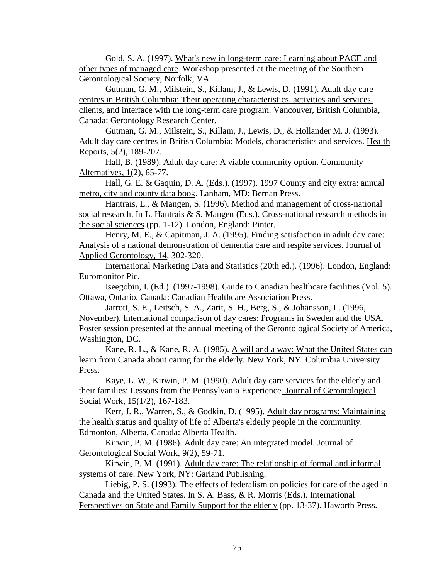Gold, S. A. (1997). What's new in long-term care: Learning about PACE and other types of managed care. Workshop presented at the meeting of the Southern Gerontological Society, Norfolk, VA.

Gutman, G. M., Milstein, S., Killam, J., & Lewis, D. (1991). Adult day care centres in British Columbia: Their operating characteristics, activities and services, clients, and interface with the long-term care program. Vancouver, British Columbia, Canada: Gerontology Research Center.

Gutman, G. M., Milstein, S., Killam, J., Lewis, D., & Hollander M. J. (1993). Adult day care centres in British Columbia: Models, characteristics and services. Health Reports, 5(2), 189-207.

Hall, B. (1989). Adult day care: A viable community option. Community Alternatives, 1(2), 65-77.

Hall, G. E. & Gaquin, D. A. (Eds.). (1997). 1997 County and city extra: annual metro, city and county data book. Lanham, MD: Bernan Press.

Hantrais, L., & Mangen, S. (1996). Method and management of cross-national social research. In L. Hantrais & S. Mangen (Eds.). Cross-national research methods in the social sciences (pp. 1-12). London, England: Pinter.

Henry, M. E., & Capitman, J. A. (1995). Finding satisfaction in adult day care: Analysis of a national demonstration of dementia care and respite services. Journal of Applied Gerontology, 14, 302-320.

International Marketing Data and Statistics (20th ed.). (1996). London, England: Euromonitor Pic.

Iseegobin, I. (Ed.). (1997-1998). Guide to Canadian healthcare facilities (Vol. 5). Ottawa, Ontario, Canada: Canadian Healthcare Association Press.

Jarrott, S. E., Leitsch, S. A., Zarit, S. H., Berg, S., & Johansson, L. (1996, November). International comparison of day cares: Programs in Sweden and the USA. Poster session presented at the annual meeting of the Gerontological Society of America, Washington, DC.

Kane, R. L., & Kane, R. A. (1985). A will and a way: What the United States can learn from Canada about caring for the elderly. New York, NY: Columbia University Press.

Kaye, L. W., Kirwin, P. M. (1990). Adult day care services for the elderly and their families: Lessons from the Pennsylvania Experience. Journal of Gerontological Social Work, 15(1/2), 167-183.

Kerr, J. R., Warren, S., & Godkin, D. (1995). Adult day programs: Maintaining the health status and quality of life of Alberta's elderly people in the community. Edmonton, Alberta, Canada: Alberta Health.

Kirwin, P. M. (1986). Adult day care: An integrated model. Journal of Gerontological Social Work, 9(2), 59-71.

Kirwin, P. M. (1991). Adult day care: The relationship of formal and informal systems of care. New York, NY: Garland Publishing.

Liebig, P. S. (1993). The effects of federalism on policies for care of the aged in Canada and the United States. In S. A. Bass, & R. Morris (Eds.). International Perspectives on State and Family Support for the elderly (pp. 13-37). Haworth Press.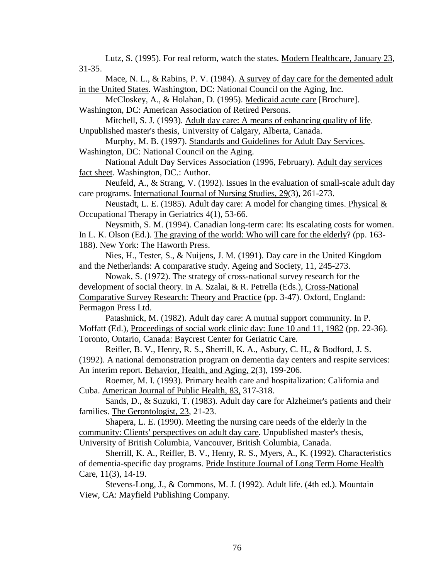Lutz, S. (1995). For real reform, watch the states. Modern Healthcare, January 23, 31-35.

Mace, N. L., & Rabins, P. V. (1984). A survey of day care for the demented adult in the United States. Washington, DC: National Council on the Aging, Inc.

McCloskey, A., & Holahan, D. (1995). Medicaid acute care [Brochure]. Washington, DC: American Association of Retired Persons.

Mitchell, S. J. (1993). Adult day care: A means of enhancing quality of life. Unpublished master's thesis, University of Calgary, Alberta, Canada.

Murphy, M. B. (1997). Standards and Guidelines for Adult Day Services. Washington, DC: National Council on the Aging.

National Adult Day Services Association (1996, February). Adult day services fact sheet. Washington, DC.: Author.

Neufeld, A., & Strang, V. (1992). Issues in the evaluation of small-scale adult day care programs. International Journal of Nursing Studies, 29(3), 261-273.

Neustadt, L. E. (1985). Adult day care: A model for changing times. Physical  $\&$ Occupational Therapy in Geriatrics 4(1), 53-66.

Neysmith, S. M. (1994). Canadian long-term care: Its escalating costs for women. In L. K. Olson (Ed.). The graying of the world: Who will care for the elderly? (pp. 163- 188). New York: The Haworth Press.

Nies, H., Tester, S., & Nuijens, J. M. (1991). Day care in the United Kingdom and the Netherlands: A comparative study. Ageing and Society, 11, 245-273.

Nowak, S. (1972). The strategy of cross-national survey research for the development of social theory. In A. Szalai, & R. Petrella (Eds.), Cross-National Comparative Survey Research: Theory and Practice (pp. 3-47). Oxford, England: Permagon Press Ltd.

Patashnick, M. (1982). Adult day care: A mutual support community. In P. Moffatt (Ed.), Proceedings of social work clinic day: June 10 and 11, 1982 (pp. 22-36). Toronto, Ontario, Canada: Baycrest Center for Geriatric Care.

Reifler, B. V., Henry, R. S., Sherrill, K. A., Asbury, C. H., & Bodford, J. S. (1992). A national demonstration program on dementia day centers and respite services: An interim report. Behavior, Health, and Aging, 2(3), 199-206.

Roemer, M. I. (1993). Primary health care and hospitalization: California and Cuba. American Journal of Public Health, 83, 317-318.

Sands, D., & Suzuki, T. (1983). Adult day care for Alzheimer's patients and their families. The Gerontologist, 23, 21-23.

Shapera, L. E. (1990). Meeting the nursing care needs of the elderly in the community: Clients' perspectives on adult day care. Unpublished master's thesis, University of British Columbia, Vancouver, British Columbia, Canada.

Sherrill, K. A., Reifler, B. V., Henry, R. S., Myers, A., K. (1992). Characteristics of dementia-specific day programs. Pride Institute Journal of Long Term Home Health Care, 11(3), 14-19.

Stevens-Long, J., & Commons, M. J. (1992). Adult life. (4th ed.). Mountain View, CA: Mayfield Publishing Company.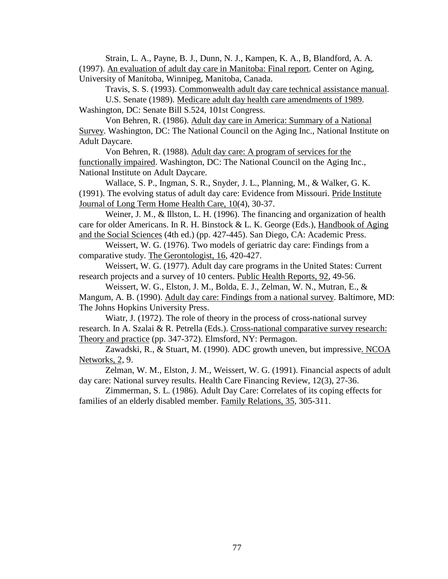Strain, L. A., Payne, B. J., Dunn, N. J., Kampen, K. A., B, Blandford, A. A. (1997). An evaluation of adult day care in Manitoba: Final report. Center on Aging, University of Manitoba, Winnipeg, Manitoba, Canada.

Travis, S. S. (1993). Commonwealth adult day care technical assistance manual. U.S. Senate (1989). Medicare adult day health care amendments of 1989. Washington, DC: Senate Bill S.524, 101st Congress.

Von Behren, R. (1986). Adult day care in America: Summary of a National Survey. Washington, DC: The National Council on the Aging Inc., National Institute on Adult Daycare.

Von Behren, R. (1988). Adult day care: A program of services for the functionally impaired. Washington, DC: The National Council on the Aging Inc., National Institute on Adult Daycare.

Wallace, S. P., Ingman, S. R., Snyder, J. L., Planning, M., & Walker, G. K. (1991). The evolving status of adult day care: Evidence from Missouri. Pride Institute Journal of Long Term Home Health Care, 10(4), 30-37.

Weiner, J. M., & Illston, L. H. (1996). The financing and organization of health care for older Americans. In R. H. Binstock & L. K. George (Eds.), Handbook of Aging and the Social Sciences (4th ed.) (pp. 427-445). San Diego, CA: Academic Press.

Weissert, W. G. (1976). Two models of geriatric day care: Findings from a comparative study. The Gerontologist, 16, 420-427.

Weissert, W. G. (1977). Adult day care programs in the United States: Current research projects and a survey of 10 centers. Public Health Reports, 92, 49-56.

Weissert, W. G., Elston, J. M., Bolda, E. J., Zelman, W. N., Mutran, E., & Mangum, A. B. (1990). Adult day care: Findings from a national survey. Baltimore, MD: The Johns Hopkins University Press.

Wiatr, J. (1972). The role of theory in the process of cross-national survey research. In A. Szalai & R. Petrella (Eds.). Cross-national comparative survey research: Theory and practice (pp. 347-372). Elmsford, NY: Permagon.

Zawadski, R., & Stuart, M. (1990). ADC growth uneven, but impressive. NCOA Networks, 2, 9.

Zelman, W. M., Elston, J. M., Weissert, W. G. (1991). Financial aspects of adult day care: National survey results. Health Care Financing Review, 12(3), 27-36.

Zimmerman, S. L. (1986). Adult Day Care: Correlates of its coping effects for families of an elderly disabled member. Family Relations, 35, 305-311.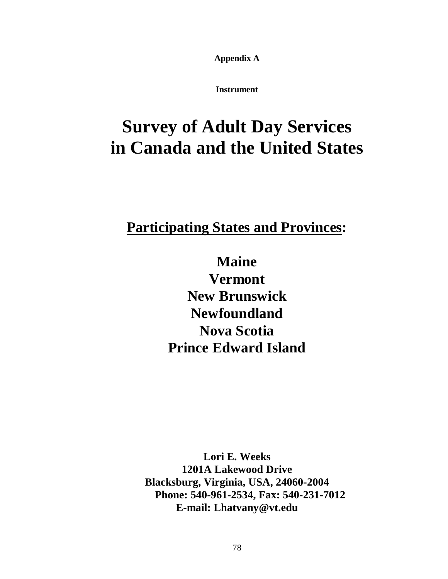**Appendix A**

**Instrument**

# **Survey of Adult Day Services in Canada and the United States**

## **Participating States and Provinces:**

**Maine Vermont New Brunswick Newfoundland Nova Scotia Prince Edward Island**

**Lori E. Weeks 1201A Lakewood Drive Blacksburg, Virginia, USA, 24060-2004 Phone: 540-961-2534, Fax: 540-231-7012 E-mail: Lhatvany@vt.edu**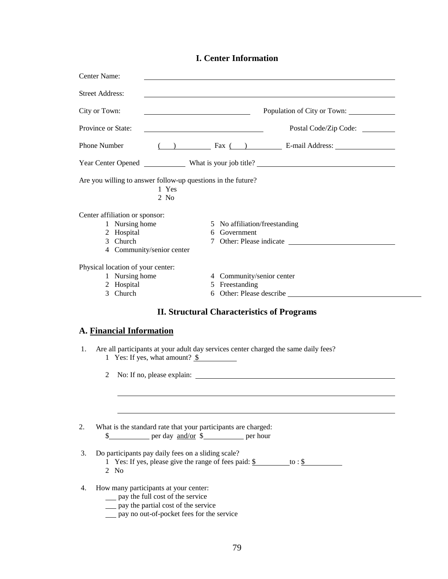|  |  | <b>I. Center Information</b> |
|--|--|------------------------------|
|--|--|------------------------------|

| Center Name:                                                                                                                                                              |                                                                                        |
|---------------------------------------------------------------------------------------------------------------------------------------------------------------------------|----------------------------------------------------------------------------------------|
| <b>Street Address:</b>                                                                                                                                                    |                                                                                        |
| City or Town:                                                                                                                                                             | Population of City or Town:<br><u> 1989 - Johann Barbara, martin amerikan basar da</u> |
| Province or State:                                                                                                                                                        |                                                                                        |
| <b>Phone Number</b>                                                                                                                                                       | ( ) Fax ( ) E-mail Address:                                                            |
|                                                                                                                                                                           |                                                                                        |
| Are you willing to answer follow-up questions in the future?<br>1 Yes<br>$2$ No                                                                                           |                                                                                        |
| Center affiliation or sponsor:                                                                                                                                            |                                                                                        |
| 1 Nursing home                                                                                                                                                            | 5 No affiliation/freestanding                                                          |
| 2 Hospital                                                                                                                                                                | 6 Government                                                                           |
| 3 Church                                                                                                                                                                  |                                                                                        |
| 4 Community/senior center                                                                                                                                                 |                                                                                        |
| Physical location of your center:                                                                                                                                         |                                                                                        |
| 1 Nursing home                                                                                                                                                            | 4 Community/senior center                                                              |
| 2 Hospital                                                                                                                                                                | 5 Freestanding                                                                         |
| 3 Church                                                                                                                                                                  |                                                                                        |
|                                                                                                                                                                           | <b>II. Structural Characteristics of Programs</b>                                      |
| A. Financial Information                                                                                                                                                  |                                                                                        |
| 1.<br>1 Yes: If yes, what amount? $\frac{\$}{\$}$                                                                                                                         | Are all participants at your adult day services center charged the same daily fees?    |
| 2                                                                                                                                                                         |                                                                                        |
|                                                                                                                                                                           |                                                                                        |
|                                                                                                                                                                           |                                                                                        |
| What is the standard rate that your participants are charged:<br>2.<br>\$_____________ per day <u>and/or</u> \$___________ per hour                                       |                                                                                        |
| Do participants pay daily fees on a sliding scale?<br>3.<br>$2$ No                                                                                                        | 1 Yes: If yes, please give the range of fees paid: $\frac{1}{2}$ to : $\frac{1}{2}$    |
| How many participants at your center:<br>4.<br>__ pay the full cost of the service<br>__ pay the partial cost of the service<br>pay no out-of-pocket fees for the service |                                                                                        |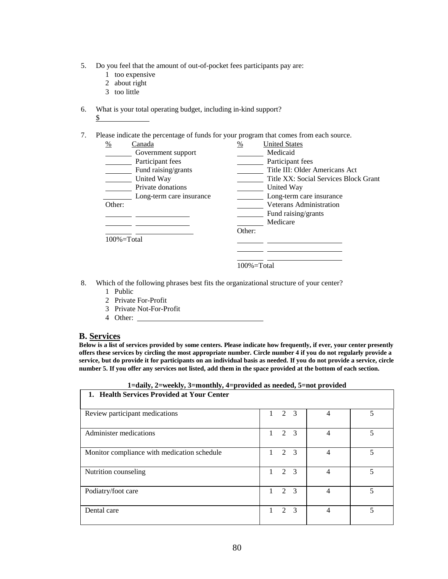- 5. Do you feel that the amount of out-of-pocket fees participants pay are:
	- 1 too expensive
	- 2 about right
	- 3 too little
- 6. What is your total operating budget, including in-kind support?
	- $S$

7. Please indicate the percentage of funds for your program that comes from each source.

| %<br>Canada              | <b>United States</b><br>%             |
|--------------------------|---------------------------------------|
| Government support       | Medicaid                              |
| Participant fees         | Participant fees                      |
| Fund raising/grants      | Title III: Older Americans Act        |
| United Way               | Title XX: Social Services Block Grant |
| Private donations        | United Way                            |
| Long-term care insurance | Long-term care insurance              |
| Other:                   | Veterans Administration               |
|                          | Fund raising/grants                   |
|                          | Medicare                              |
|                          | Other:                                |
| $100\% = Total$          |                                       |
|                          |                                       |
|                          |                                       |
|                          | $100\% = Total$                       |

- 8. Which of the following phrases best fits the organizational structure of your center?
	- 1 Public
	- 2 Private For-Profit
	- 3 Private Not-For-Profit
	- 4 Other:

#### **B. Services**

**Below is a list of services provided by some centers. Please indicate how frequently, if ever, your center presently offers these services by circling the most appropriate number. Circle number 4 if you do not regularly provide a service, but do provide it for participants on an individual basis as needed. If you do not provide a service, circle number 5. If you offer any services not listed, add them in the space provided at the bottom of each section.**

| 1=daily, 2=weekly, 3=monthly, 4=provided as needed, 5=not provided<br>1. Health Services Provided at Your Center |                                  |   |   |
|------------------------------------------------------------------------------------------------------------------|----------------------------------|---|---|
|                                                                                                                  |                                  |   |   |
| Review participant medications                                                                                   | 2 3<br>$1 \quad$                 | 4 | 5 |
| Administer medications                                                                                           | $1 \t2 \t3$                      | 4 | 5 |
| Monitor compliance with medication schedule                                                                      | 2 3<br>1                         | 4 | 5 |
| Nutrition counseling                                                                                             | $2 \overline{3}$<br>$\mathbf{1}$ | 4 | 5 |
| Podiatry/foot care                                                                                               | 2 3<br>1                         | 4 | 5 |
| Dental care                                                                                                      | 2 3<br>1                         | 4 | 5 |

**1=daily, 2=weekly, 3=monthly, 4=provided as needed, 5=not provided**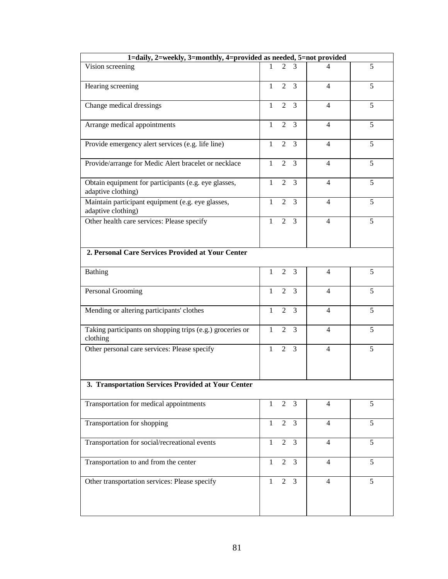| 1=daily, 2=weekly, 3=monthly, 4=provided as needed, 5=not provided         |              |                             |                |                |   |
|----------------------------------------------------------------------------|--------------|-----------------------------|----------------|----------------|---|
| Vision screening                                                           |              | $\mathcal{D}_{\mathcal{L}}$ | 3              | 4              | 5 |
| Hearing screening                                                          | $\mathbf{1}$ | 2                           | 3              | $\overline{4}$ | 5 |
| Change medical dressings                                                   | $\mathbf{1}$ | 2                           | 3              | $\overline{4}$ | 5 |
| Arrange medical appointments                                               | $\mathbf{1}$ | 2                           | 3              | $\overline{4}$ | 5 |
| Provide emergency alert services (e.g. life line)                          | $\mathbf{1}$ | $\overline{2}$              | $\overline{3}$ | $\overline{4}$ | 5 |
| Provide/arrange for Medic Alert bracelet or necklace                       | $\mathbf{1}$ | 2                           | 3              | $\overline{4}$ | 5 |
| Obtain equipment for participants (e.g. eye glasses,<br>adaptive clothing) | $\mathbf{1}$ | 2                           | 3              | $\overline{4}$ | 5 |
| Maintain participant equipment (e.g. eye glasses,<br>adaptive clothing)    | $\mathbf{1}$ | $\overline{2}$              | $\overline{3}$ | $\overline{4}$ | 5 |
| Other health care services: Please specify                                 | $\mathbf{1}$ | 2                           | $\overline{3}$ | $\overline{4}$ | 5 |
| 2. Personal Care Services Provided at Your Center                          |              |                             |                |                |   |
| <b>Bathing</b>                                                             | $\mathbf{1}$ | $\overline{2}$              | 3              | $\overline{4}$ | 5 |
| Personal Grooming                                                          | $\mathbf{1}$ | $\overline{2}$              | $\overline{3}$ | $\overline{4}$ | 5 |
| Mending or altering participants' clothes                                  | $\mathbf{1}$ | 2                           | 3              | $\overline{4}$ | 5 |
| Taking participants on shopping trips (e.g.) groceries or<br>clothing      | 1            | 2                           | $\overline{3}$ | $\overline{4}$ | 5 |
| Other personal care services: Please specify                               | $\mathbf{1}$ |                             | $2 \quad 3$    | $\overline{4}$ | 5 |
| 3. Transportation Services Provided at Your Center                         |              |                             |                |                |   |
| Transportation for medical appointments                                    | $\mathbf{1}$ |                             | $2 \quad 3$    | $\overline{4}$ | 5 |
| Transportation for shopping                                                | $\mathbf{1}$ | $\overline{2}$              | 3              | $\overline{4}$ | 5 |
| Transportation for social/recreational events                              | $\mathbf{1}$ | $\overline{2}$              | $\overline{3}$ | $\overline{4}$ | 5 |
| Transportation to and from the center                                      | $\mathbf{1}$ | 2                           | $\overline{3}$ | $\overline{4}$ | 5 |
| Other transportation services: Please specify                              | $\mathbf{1}$ | $\overline{2}$              | $\mathfrak{Z}$ | $\overline{4}$ | 5 |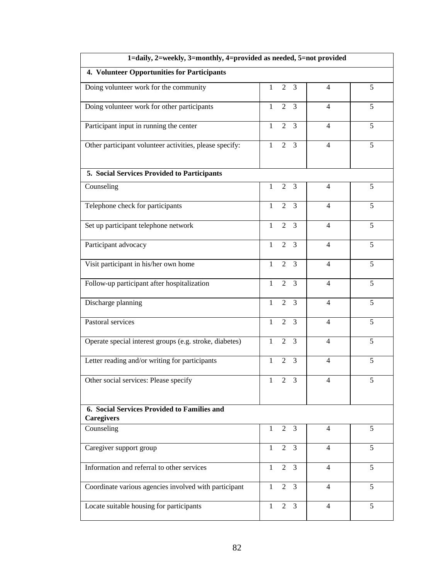| 1=daily, 2=weekly, 3=monthly, 4=provided as needed, 5=not provided |                                                  |                |   |  |
|--------------------------------------------------------------------|--------------------------------------------------|----------------|---|--|
| 4. Volunteer Opportunities for Participants                        |                                                  |                |   |  |
| Doing volunteer work for the community                             | $\mathbf{1}$<br>2<br>3                           | $\overline{4}$ | 5 |  |
| Doing volunteer work for other participants                        | $\mathbf{1}$<br>$\overline{2}$<br>3              | $\overline{4}$ | 5 |  |
| Participant input in running the center                            | $\mathbf{1}$<br>$\overline{2}$<br>$\overline{3}$ | $\overline{4}$ | 5 |  |
| Other participant volunteer activities, please specify:            | $\overline{3}$<br>$\mathbf{1}$<br>$\overline{2}$ | $\overline{4}$ | 5 |  |
| 5. Social Services Provided to Participants                        |                                                  |                |   |  |
| Counseling                                                         | $\mathbf{1}$<br>$\overline{2}$<br>3              | $\overline{4}$ | 5 |  |
| Telephone check for participants                                   | $\mathbf{1}$<br>$\overline{2}$<br>3              | $\overline{4}$ | 5 |  |
| Set up participant telephone network                               | 3<br>$\mathbf{1}$<br>2                           | $\overline{4}$ | 5 |  |
| Participant advocacy                                               | $\mathbf{1}$<br>$\overline{2}$<br>3              | $\overline{4}$ | 5 |  |
| Visit participant in his/her own home                              | $\overline{2}$<br>3<br>$\mathbf{1}$              | $\overline{4}$ | 5 |  |
| Follow-up participant after hospitalization                        | 3<br>$\mathbf{1}$<br>$\overline{2}$              | $\overline{4}$ | 5 |  |
| Discharge planning                                                 | 3<br>$\mathbf{1}$<br>2                           | $\overline{4}$ | 5 |  |
| Pastoral services                                                  | $\overline{2}$<br>3<br>$\mathbf{1}$              | $\overline{4}$ | 5 |  |
| Operate special interest groups (e.g. stroke, diabetes)            | $\mathbf{1}$<br>$\overline{3}$<br>$\overline{2}$ | $\overline{4}$ | 5 |  |
| Letter reading and/or writing for participants                     | $\mathbf{1}$<br>$\overline{2}$<br>$\mathfrak{Z}$ | $\overline{4}$ | 5 |  |
| Other social services: Please specify                              | 3<br>$\mathbf{1}$<br>2                           | 4              | 5 |  |
| 6. Social Services Provided to Families and<br><b>Caregivers</b>   |                                                  |                |   |  |
| Counseling                                                         | $\overline{2}$<br>$\mathbf{1}$<br>3              | $\overline{4}$ | 5 |  |
| Caregiver support group                                            | $\overline{2}$<br>$\overline{3}$<br>1            | 4              | 5 |  |
| Information and referral to other services                         | $2 \quad 3$<br>$\mathbf{1}$                      | $\overline{4}$ | 5 |  |
| Coordinate various agencies involved with participant              | $\overline{2}$<br>$\overline{3}$<br>$\mathbf{1}$ | $\overline{4}$ | 5 |  |
| Locate suitable housing for participants                           | $\mathbf{1}$<br>$\overline{2}$<br>3              | $\overline{4}$ | 5 |  |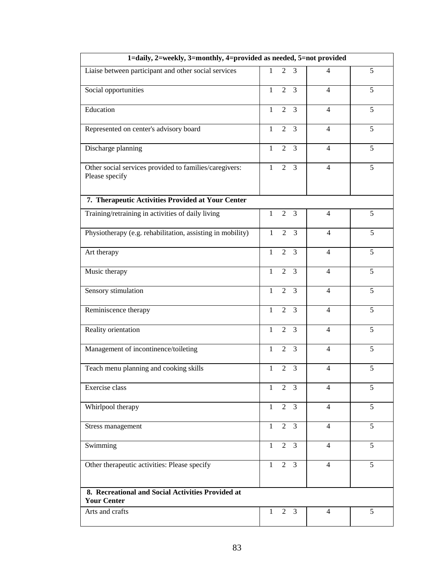| 1=daily, 2=weekly, 3=monthly, 4=provided as needed, 5=not provided       |                                                  |                |   |  |
|--------------------------------------------------------------------------|--------------------------------------------------|----------------|---|--|
| Liaise between participant and other social services                     | $\mathbf{1}$<br>2<br>3                           | $\overline{4}$ | 5 |  |
| Social opportunities                                                     | $\mathbf{1}$<br>2<br>$\overline{3}$              | $\overline{4}$ | 5 |  |
| Education                                                                | $\overline{3}$<br>$\overline{2}$<br>$\mathbf{1}$ | $\overline{4}$ | 5 |  |
| Represented on center's advisory board                                   | $\mathbf{1}$<br>$\overline{2}$<br>3              | $\overline{4}$ | 5 |  |
| Discharge planning                                                       | $\overline{2}$<br>$\overline{3}$<br>$\mathbf{1}$ | $\overline{4}$ | 5 |  |
| Other social services provided to families/caregivers:<br>Please specify | $\overline{2}$<br>$\overline{3}$<br>$\mathbf{1}$ | $\overline{4}$ | 5 |  |
| 7. Therapeutic Activities Provided at Your Center                        |                                                  |                |   |  |
| Training/retraining in activities of daily living                        | $\mathbf{1}$<br>2<br>3                           | $\overline{4}$ | 5 |  |
| Physiotherapy (e.g. rehabilitation, assisting in mobility)               | $\overline{3}$<br>2<br>1                         | 4              | 5 |  |
| Art therapy                                                              | $\mathbf{1}$<br>$\overline{2}$<br>3              | $\overline{4}$ | 5 |  |
| Music therapy                                                            | 3<br>$\mathbf{1}$<br>2                           | $\overline{4}$ | 5 |  |
| Sensory stimulation                                                      | $\mathbf{1}$<br>2<br>3                           | $\overline{4}$ | 5 |  |
| Reminiscence therapy                                                     | $\overline{3}$<br>$\mathbf{1}$<br>2              | 4              | 5 |  |
| Reality orientation                                                      | $\overline{3}$<br>$\mathbf{1}$<br>$\overline{2}$ | 4              | 5 |  |
| Management of incontinence/toileting                                     | $\mathbf{1}$<br>$\overline{2}$<br>$\overline{3}$ | $\overline{4}$ | 5 |  |
| Teach menu planning and cooking skills                                   | $\overline{2}$<br>3<br>1                         | $\overline{4}$ | 5 |  |
| Exercise class                                                           | $\overline{2}$<br>3<br>$\mathbf{1}$              | $\overline{4}$ | 5 |  |
| Whirlpool therapy                                                        | $2 \quad 3$<br>$\mathbf{1}$                      | $\overline{4}$ | 5 |  |
| Stress management                                                        | $2 \quad 3$<br>$\mathbf{1}$                      | $\overline{4}$ | 5 |  |
| Swimming                                                                 | $\mathbf{1}$<br>$2 \quad 3$                      | $\overline{4}$ | 5 |  |
| Other therapeutic activities: Please specify                             | $2 \quad 3$<br>$\mathbf{1}$                      | $\overline{4}$ | 5 |  |
| 8. Recreational and Social Activities Provided at<br><b>Your Center</b>  |                                                  |                |   |  |
| Arts and crafts                                                          | $\mathbf{1}$<br>$\overline{2}$<br>$\overline{3}$ | $\overline{4}$ | 5 |  |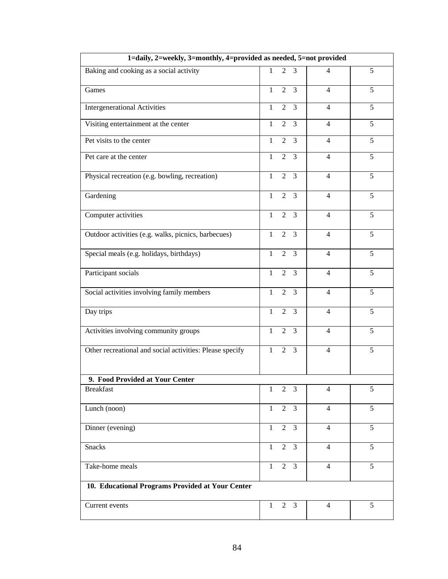| 1=daily, 2=weekly, 3=monthly, 4=provided as needed, 5=not provided |              |                |                 |                |   |
|--------------------------------------------------------------------|--------------|----------------|-----------------|----------------|---|
| Baking and cooking as a social activity                            | $\mathbf{1}$ | 2              | 3               | $\overline{4}$ | 5 |
| Games                                                              | $\mathbf{1}$ | 2              | 3               | $\overline{4}$ | 5 |
| <b>Intergenerational Activities</b>                                | $\mathbf{1}$ | $\overline{2}$ | $\overline{3}$  | $\overline{4}$ | 5 |
| Visiting entertainment at the center                               | $\mathbf{1}$ | $\overline{2}$ | 3               | $\overline{4}$ | 5 |
| Pet visits to the center                                           | $\mathbf{1}$ | $\overline{2}$ | $\overline{3}$  | $\overline{4}$ | 5 |
| Pet care at the center                                             | $\mathbf{1}$ | 2              | 3               | $\overline{4}$ | 5 |
| Physical recreation (e.g. bowling, recreation)                     | $\mathbf{1}$ | 2              | $\mathfrak{Z}$  | $\overline{4}$ | 5 |
| Gardening                                                          | $\mathbf{1}$ | 2              | 3               | $\overline{4}$ | 5 |
| Computer activities                                                | $\mathbf{1}$ | $\overline{2}$ | $\overline{3}$  | $\overline{4}$ | 5 |
| Outdoor activities (e.g. walks, picnics, barbecues)                | $\mathbf{1}$ |                | $2 \quad 3$     | $\overline{4}$ | 5 |
| Special meals (e.g. holidays, birthdays)                           | $\mathbf{1}$ | $\overline{2}$ | $\overline{3}$  | $\overline{4}$ | 5 |
| Participant socials                                                | $\mathbf{1}$ | $\overline{2}$ | $\overline{3}$  | $\overline{4}$ | 5 |
| Social activities involving family members                         | $\mathbf{1}$ | 2              | $\overline{3}$  | $\overline{4}$ | 5 |
| Day trips                                                          | $\mathbf{1}$ | $\overline{2}$ | $\overline{3}$  | $\overline{4}$ | 5 |
| Activities involving community groups                              | $\mathbf{1}$ | $\overline{2}$ | 3               | $\overline{4}$ | 5 |
| Other recreational and social activities: Please specify           | $\mathbf{1}$ | $\overline{2}$ | $\overline{3}$  | $\overline{4}$ | 5 |
| 9. Food Provided at Your Center                                    |              |                |                 |                |   |
| <b>Breakfast</b>                                                   | $\mathbf{1}$ | $\overline{2}$ | $\overline{3}$  | $\overline{4}$ | 5 |
| Lunch (noon)                                                       | $\mathbf{1}$ |                | $2 \quad 3$     | $\overline{4}$ | 5 |
| Dinner (evening)                                                   | $\mathbf{1}$ | $\overline{2}$ | $\mathfrak{Z}$  | $\overline{4}$ | 5 |
| <b>Snacks</b>                                                      | $\mathbf{1}$ |                | $2 \quad 3$     | $\overline{4}$ | 5 |
| Take-home meals                                                    | $\mathbf{1}$ |                | $2\overline{3}$ | $\overline{4}$ | 5 |
| 10. Educational Programs Provided at Your Center                   |              |                |                 |                |   |
| Current events                                                     | $\mathbf{1}$ | $\overline{2}$ | $\overline{3}$  | $\overline{4}$ | 5 |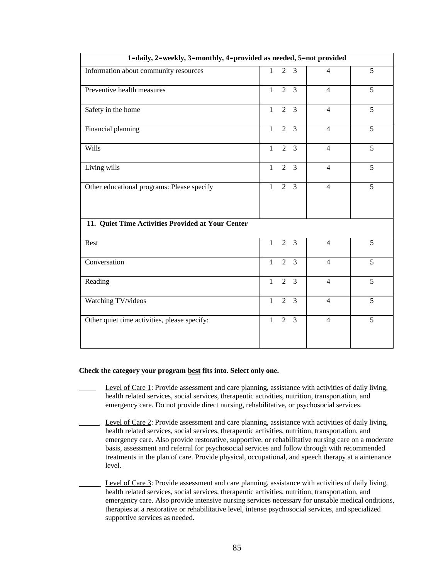|                                                   | 1=daily, 2=weekly, 3=monthly, 4=provided as needed, 5=not provided |                |                |                |   |  |
|---------------------------------------------------|--------------------------------------------------------------------|----------------|----------------|----------------|---|--|
| Information about community resources             | $\mathbf{1}$                                                       | $\overline{2}$ | 3              | $\overline{4}$ | 5 |  |
| Preventive health measures                        | $\mathbf{1}$                                                       | $\overline{2}$ | $\overline{3}$ | $\overline{4}$ | 5 |  |
| Safety in the home                                | $\mathbf{1}$                                                       | $\overline{2}$ | $\overline{3}$ | $\overline{4}$ | 5 |  |
| Financial planning                                | $\mathbf{1}$                                                       | $\overline{2}$ | $\overline{3}$ | $\overline{4}$ | 5 |  |
| <b>Wills</b>                                      | $\mathbf{1}$                                                       | $\overline{2}$ | $\overline{3}$ | $\overline{4}$ | 5 |  |
| Living wills                                      | $\mathbf{1}$                                                       | $\overline{2}$ | 3              | $\overline{4}$ | 5 |  |
| Other educational programs: Please specify        | $\mathbf{1}$                                                       | $\overline{2}$ | 3              | $\overline{4}$ | 5 |  |
| 11. Quiet Time Activities Provided at Your Center |                                                                    |                |                |                |   |  |
| Rest                                              | $\mathbf{1}$                                                       | 2              | $\overline{3}$ | $\overline{4}$ | 5 |  |
| Conversation                                      | $\mathbf{1}$                                                       | $\overline{2}$ | $\overline{3}$ | $\overline{4}$ | 5 |  |
| Reading                                           | $\mathbf{1}$                                                       | $\overline{2}$ | 3              | $\overline{4}$ | 5 |  |
| Watching TV/videos                                | $\mathbf{1}$                                                       | $\overline{2}$ | $\overline{3}$ | $\overline{4}$ | 5 |  |
| Other quiet time activities, please specify:      | $\mathbf{1}$                                                       | $\overline{2}$ | 3              | $\overline{4}$ | 5 |  |

#### **Check the category your program best fits into. Select only one.**

- Level of Care 1: Provide assessment and care planning, assistance with activities of daily living, health related services, social services, therapeutic activities, nutrition, transportation, and emergency care. Do not provide direct nursing, rehabilitative, or psychosocial services.
- Level of Care 2: Provide assessment and care planning, assistance with activities of daily living, health related services, social services, therapeutic activities, nutrition, transportation, and emergency care. Also provide restorative, supportive, or rehabilitative nursing care on a moderate basis, assessment and referral for psychosocial services and follow through with recommended treatments in the plan of care. Provide physical, occupational, and speech therapy at a aintenance level.
- Level of Care 3: Provide assessment and care planning, assistance with activities of daily living, health related services, social services, therapeutic activities, nutrition, transportation, and emergency care. Also provide intensive nursing services necessary for unstable medical onditions, therapies at a restorative or rehabilitative level, intense psychosocial services, and specialized supportive services as needed.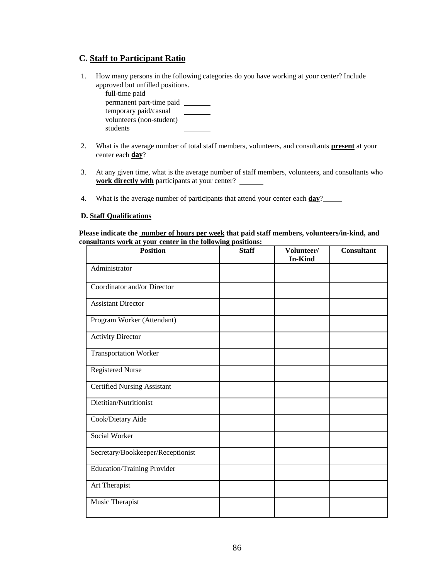## **C. Staff to Participant Ratio**

 1. How many persons in the following categories do you have working at your center? Include approved but unfilled positions.

| full-time paid           |  |
|--------------------------|--|
| permanent part-time paid |  |
| temporary paid/casual    |  |
| volunteers (non-student) |  |
| students                 |  |

- 2. What is the average number of total staff members, volunteers, and consultants **present** at your center each **day**?
- 3. At any given time, what is the average number of staff members, volunteers, and consultants who **work directly with** participants at your center?
- 4. What is the average number of participants that attend your center each **day**?

#### **D. Staff Qualifications**

**Please indicate the number of hours per week that paid staff members, volunteers/in-kind, and consultants work at your center in the following positions:**

| <b>Position</b>                    | <b>Staff</b> | Volunteer/<br><b>In-Kind</b> | <b>Consultant</b> |
|------------------------------------|--------------|------------------------------|-------------------|
| Administrator                      |              |                              |                   |
| Coordinator and/or Director        |              |                              |                   |
| <b>Assistant Director</b>          |              |                              |                   |
| Program Worker (Attendant)         |              |                              |                   |
| <b>Activity Director</b>           |              |                              |                   |
| <b>Transportation Worker</b>       |              |                              |                   |
| <b>Registered Nurse</b>            |              |                              |                   |
| <b>Certified Nursing Assistant</b> |              |                              |                   |
| Dietitian/Nutritionist             |              |                              |                   |
| Cook/Dietary Aide                  |              |                              |                   |
| Social Worker                      |              |                              |                   |
| Secretary/Bookkeeper/Receptionist  |              |                              |                   |
| <b>Education/Training Provider</b> |              |                              |                   |
| Art Therapist                      |              |                              |                   |
| Music Therapist                    |              |                              |                   |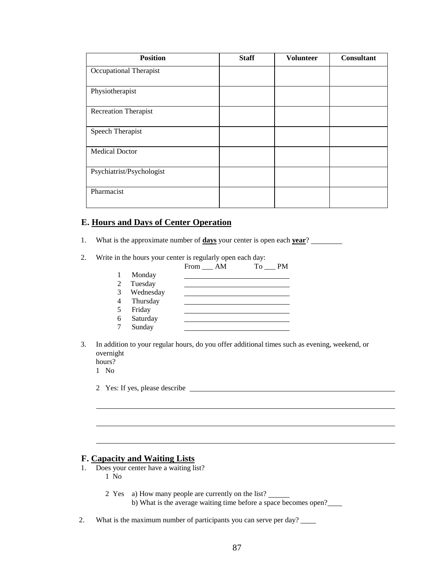| <b>Position</b>             | <b>Staff</b> | <b>Volunteer</b> | <b>Consultant</b> |
|-----------------------------|--------------|------------------|-------------------|
| Occupational Therapist      |              |                  |                   |
| Physiotherapist             |              |                  |                   |
| <b>Recreation Therapist</b> |              |                  |                   |
| Speech Therapist            |              |                  |                   |
| <b>Medical Doctor</b>       |              |                  |                   |
| Psychiatrist/Psychologist   |              |                  |                   |
| Pharmacist                  |              |                  |                   |

## **E. Hours and Days of Center Operation**

- 1. What is the approximate number of **days** your center is open each **year**?
- 2. Write in the hours your center is regularly open each day:

|   |           | From AM | To<br><b>PM</b> |
|---|-----------|---------|-----------------|
|   | Monday    |         |                 |
| 2 | Tuesday   |         |                 |
| 3 | Wednesday |         |                 |
| 4 | Thursday  |         |                 |
| 5 | Friday    |         |                 |
| 6 | Saturday  |         |                 |
|   | Sunday    |         |                 |

3. In addition to your regular hours, do you offer additional times such as evening, weekend, or overnight

hours? 1 No

l

2 Yes: If yes, please describe

## **F. Capacity and Waiting Lists**

- 1. Does your center have a waiting list? 1 No
	- 2 Yes a) How many people are currently on the list?
- b) What is the average waiting time before a space becomes open?

 $\ddot{\phantom{a}}$ 

 $\ddot{\phantom{a}}$ 

2. What is the maximum number of participants you can serve per day?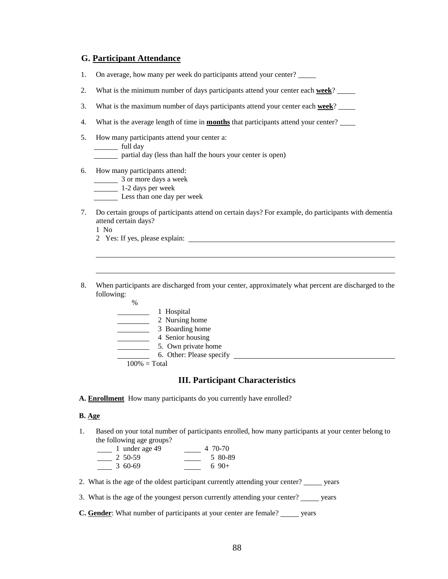#### **G. Participant Attendance**

- 1. On average, how many per week do participants attend your center?
- 2. What is the minimum number of days participants attend your center each **week**?
- 3. What is the maximum number of days participants attend your center each **week**?
- 4. What is the average length of time in **months** that participants attend your center?
- 5. How many participants attend your center a: full day partial day (less than half the hours your center is open)
- 6. How many participants attend:
	- 3 or more days a week
	- 1-2 days per week
	- Less than one day per week
- 7. Do certain groups of participants attend on certain days? For example, do participants with dementia attend certain days?

1 No

 $\ddot{\phantom{a}}$ 

- 2 Yes: If yes, please explain:
- 8. When participants are discharged from your center, approximately what percent are discharged to the following:

 $\ddot{\phantom{a}}$ 

% 1 Hospital 2 Nursing home **3** Boarding home 4 Senior housing 5. Own private home 6. Other: Please specify  $100\% = \text{Total}$ 

#### **III. Participant Characteristics**

**A. Enrollment** How many participants do you currently have enrolled?

#### **B. Age**

- 1. Based on your total number of participants enrolled, how many participants at your center belong to the following age groups?
	- 1 under age 49 4 70-70  $\frac{2}{50-59}$  $\frac{-}{3}$  60-69  $\frac{360-69}{6}$  6 90+
- 2. What is the age of the oldest participant currently attending your center? wears

3. What is the age of the youngest person currently attending your center? vears

**C. Gender:** What number of participants at your center are female? vears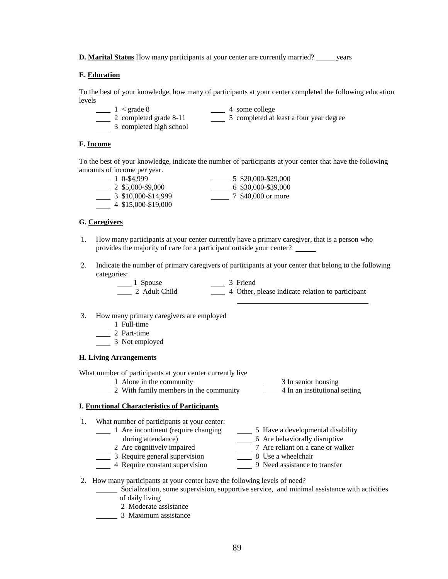**D. Marital Status** How many participants at your center are currently married? years

#### **E. Education**

To the best of your knowledge, how many of participants at your center completed the following education levels

 $\frac{1}{2}$  < grade 8  $\frac{1}{2}$  4 some college 2 completed grade 8-11 5 completed at least a four year degree 3 completed high school

#### **F. Income**

To the best of your knowledge, indicate the number of participants at your center that have the following amounts of income per year.

| 1 0-\$4,999         | 5 \$20,000-\$29,000 |
|---------------------|---------------------|
| 2 \$5,000-\$9,000   | 6 \$30,000-\$39,000 |
| 3 \$10,000-\$14,999 | 7 \$40,000 or more  |
| 4 \$15,000-\$19,000 |                     |

#### **G. Caregivers**

- 1. How many participants at your center currently have a primary caregiver, that is a person who provides the majority of care for a participant outside your center?
- 2. Indicate the number of primary caregivers of participants at your center that belong to the following categories:

| 1 Spouse      | 3 Friend                                         |
|---------------|--------------------------------------------------|
| 2 Adult Child | 4 Other, please indicate relation to participant |
|               |                                                  |

- 3. How many primary caregivers are employed
	- 1 Full-time
	- $\frac{1}{2}$  2 Part-time
	- 1 3 Not employed

#### **H. Living Arrangements**

What number of participants at your center currently live

1 Alone in the community<br>
2 With family members in the community<br>
<sup>3 In senior housing</sup><br>
<sup>4</sup> In an institutional setting  $\frac{1}{2}$  With family members in the community

#### **I. Functional Characteristics of Participants**

- 1. What number of participants at your center: 1 Are incontinent (require changing 5 Have a developmental disability during attendance) 6 Are behaviorally disruptive<br>
2 Are cognitively impaired<br>
<sup>7</sup> Are reliant on a cane or wal 7 Are reliant on a cane or walker<br>8 Use a wheelchair<br>9 Need assistance to transfer
	- $\frac{1}{2}$  3 Require general supervision
	- **4 Require constant supervision**
- 2. How many participants at your center have the following levels of need?
	- Socialization, some supervision, supportive service, and minimal assistance with activities of daily living
	- 2 Moderate assistance
	- 3 Maximum assistance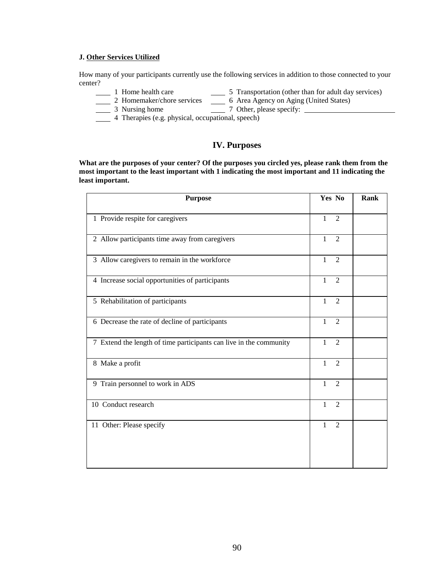#### **J. Other Services Utilized**

How many of your participants currently use the following services in addition to those connected to your center?<br>1 Home health care

- 1 Home health care  $\frac{1}{\sqrt{5}}$  Transportation (other than for adult day services)
- 2 Homemaker/chore services \_\_\_\_\_ 6 Area Agency on Aging (United States)
- 3 Nursing home 7 Other, please specify:
- 4 Therapies (e.g. physical, occupational, speech)

## **IV. Purposes**

**What are the purposes of your center? Of the purposes you circled yes, please rank them from the most important to the least important with 1 indicating the most important and 11 indicating the least important.**

| <b>Purpose</b>                                                     | Yes No                         | <b>Rank</b> |
|--------------------------------------------------------------------|--------------------------------|-------------|
| 1 Provide respite for caregivers                                   | $\mathbf{1}$<br>$\overline{2}$ |             |
| 2 Allow participants time away from caregivers                     | $\mathbf{1}$<br>$\overline{2}$ |             |
| 3 Allow caregivers to remain in the workforce                      | $\overline{2}$<br>1            |             |
| 4 Increase social opportunities of participants                    | $\mathbf{1}$<br>$\mathfrak{D}$ |             |
| 5 Rehabilitation of participants                                   | $\mathbf{1}$<br>2              |             |
| 6 Decrease the rate of decline of participants                     | $\overline{2}$<br>$\mathbf{1}$ |             |
| 7 Extend the length of time participants can live in the community | $\mathbf{1}$<br>$\overline{2}$ |             |
| 8 Make a profit                                                    | $\overline{2}$<br>$\mathbf{1}$ |             |
| 9 Train personnel to work in ADS                                   | $\mathbf{1}$<br>$\mathfrak{D}$ |             |
| 10 Conduct research                                                | $\overline{2}$<br>1            |             |
| 11 Other: Please specify                                           | $\mathbf{1}$<br>$\overline{2}$ |             |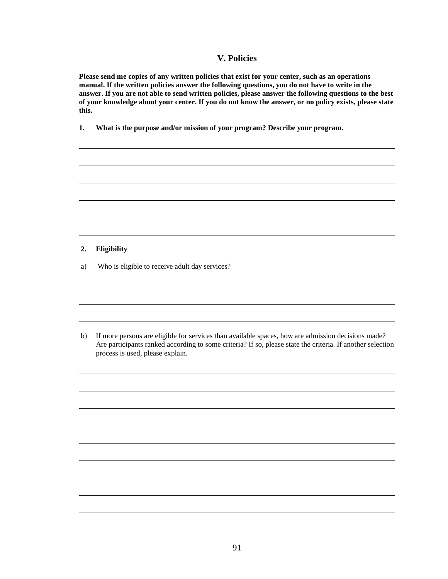#### **V. Policies**

**Please send me copies of any written policies that exist for your center, such as an operations manual. If the written policies answer the following questions, you do not have to write in the answer. If you are not able to send written policies, please answer the following questions to the best of your knowledge about your center. If you do not know the answer, or no policy exists, please state this.**

 $\ddot{\phantom{a}}$ 

 $\ddot{\phantom{a}}$ 

 $\ddot{\phantom{a}}$ 

 $\ddot{\phantom{a}}$ 

 $\ddot{\phantom{a}}$ 

 $\ddot{\phantom{a}}$ 

 $\ddot{\phantom{a}}$ 

 $\ddot{\phantom{a}}$ 

 $\ddot{\phantom{a}}$ 

 $\ddot{\phantom{a}}$ 

 $\ddot{\phantom{a}}$ 

 $\ddot{\phantom{a}}$ 

 $\ddot{\phantom{a}}$ 

**1. What is the purpose and/or mission of your program? Describe your program.**

#### **2. Eligibility**

l

l

l

a) Who is eligible to receive adult day services?

 b) If more persons are eligible for services than available spaces, how are admission decisions made? Are participants ranked according to some criteria? If so, please state the criteria. If another selection process is used, please explain.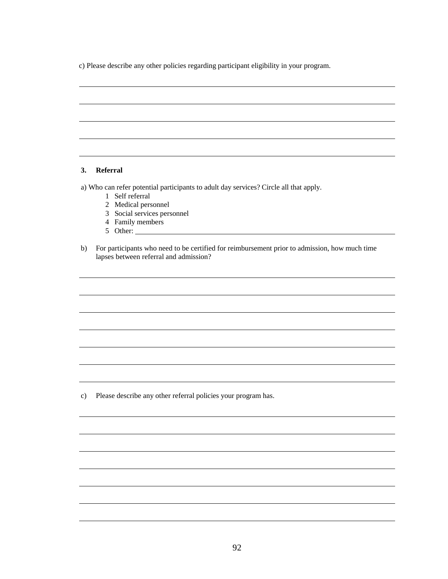c) Please describe any other policies regarding participant eligibility in your program.

#### **3. Referral**

l

l

l

a) Who can refer potential participants to adult day services? Circle all that apply.

- 1 Self referral
- 2 Medical personnel
- 3 Social services personnel
- 4 Family members
- 5 Other:
- b) For participants who need to be certified for reimbursement prior to admission, how much time lapses between referral and admission?

 $\ddot{\phantom{a}}$ 

 $\ddot{\phantom{a}}$ 

 $\ddot{\phantom{a}}$ 

 $\ddot{\phantom{a}}$ 

 $\ddot{\phantom{a}}$ 

 $\ddot{\phantom{a}}$ 

 $\ddot{\phantom{a}}$ 

 $\ddot{\phantom{a}}$ 

 $\ddot{\phantom{a}}$ 

 $\ddot{\phantom{a}}$ 

 $\ddot{\phantom{a}}$ 

 $\ddot{\phantom{a}}$ 

 $\ddot{\phantom{a}}$ 

 $\ddot{\phantom{a}}$ 

l

c) Please describe any other referral policies your program has.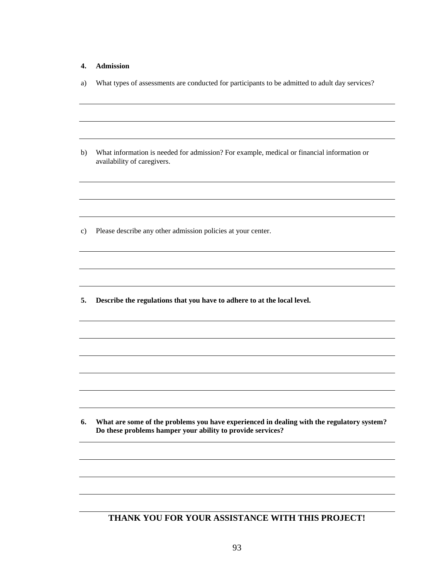#### **4. Admission**

l

l

l

l

l

a) What types of assessments are conducted for participants to be admitted to adult day services?

 $\ddot{\phantom{a}}$ 

 $\ddot{\phantom{a}}$ 

 $\ddot{\phantom{a}}$ 

 $\ddot{\phantom{a}}$ 

 $\ddot{\phantom{a}}$ 

 $\ddot{\phantom{a}}$ 

 $\ddot{\phantom{a}}$ 

 $\ddot{\phantom{a}}$ 

 $\ddot{\phantom{a}}$ 

 $\ddot{\phantom{a}}$ 

 $\ddot{\phantom{a}}$ 

 $\ddot{\phantom{a}}$ 

 $\ddot{\phantom{a}}$ 

 $\ddot{\phantom{a}}$ 

 b) What information is needed for admission? For example, medical or financial information or availability of caregivers.

c) Please describe any other admission policies at your center.

 **5. Describe the regulations that you have to adhere to at the local level.**

 **6. What are some of the problems you have experienced in dealing with the regulatory system? Do these problems hamper your ability to provide services?**

#### **THANK YOU FOR YOUR ASSISTANCE WITH THIS PROJECT!**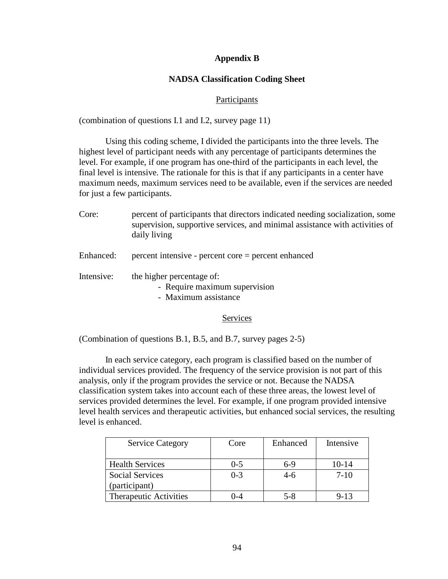## **Appendix B**

## **NADSA Classification Coding Sheet**

### Participants

(combination of questions I.1 and I.2, survey page 11)

Using this coding scheme, I divided the participants into the three levels. The highest level of participant needs with any percentage of participants determines the level. For example, if one program has one-third of the participants in each level, the final level is intensive. The rationale for this is that if any participants in a center have maximum needs, maximum services need to be available, even if the services are needed for just a few participants.

| Core:      | percent of participants that directors indicated needing socialization, some<br>supervision, supportive services, and minimal assistance with activities of<br>daily living |
|------------|-----------------------------------------------------------------------------------------------------------------------------------------------------------------------------|
| Enhanced:  | $percent$ intensive - percent core = percent enhanced                                                                                                                       |
| Intensive: | the higher percentage of:<br>- Require maximum supervision<br>- Maximum assistance                                                                                          |

#### Services

(Combination of questions B.1, B.5, and B.7, survey pages 2-5)

In each service category, each program is classified based on the number of individual services provided. The frequency of the service provision is not part of this analysis, only if the program provides the service or not. Because the NADSA classification system takes into account each of these three areas, the lowest level of services provided determines the level. For example, if one program provided intensive level health services and therapeutic activities, but enhanced social services, the resulting level is enhanced.

| <b>Service Category</b> | Core    | Enhanced | Intensive |
|-------------------------|---------|----------|-----------|
|                         |         |          |           |
| <b>Health Services</b>  | $0 - 5$ | $6-9$    | 10-14     |
| <b>Social Services</b>  | $0 - 3$ | 4-6      | $7-10$    |
| (participant)           |         |          |           |
| Therapeutic Activities  | ()-4    | $5 - 8$  | $9 - 13$  |